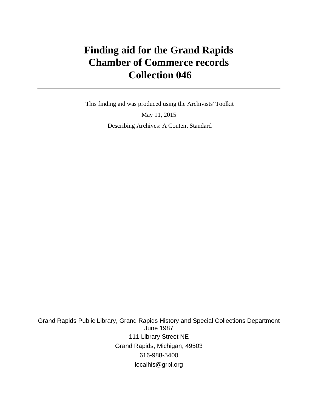# **Finding aid for the Grand Rapids Chamber of Commerce records Collection 046**

 This finding aid was produced using the Archivists' Toolkit May 11, 2015 Describing Archives: A Content Standard

Grand Rapids Public Library, Grand Rapids History and Special Collections Department June 1987 111 Library Street NE Grand Rapids, Michigan, 49503 616-988-5400 localhis@grpl.org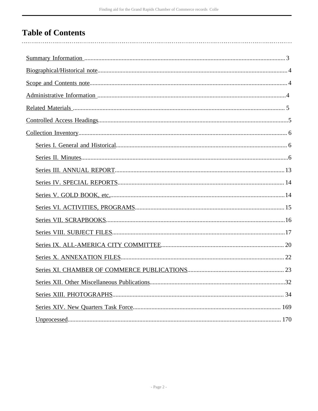# **Table of Contents**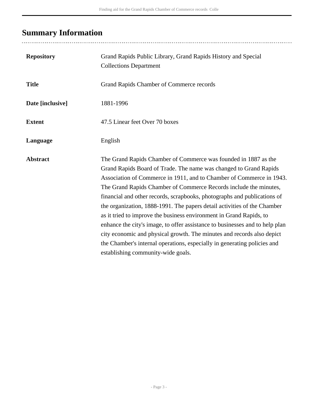# <span id="page-2-0"></span>**Summary Information**

| <b>Repository</b> | Grand Rapids Public Library, Grand Rapids History and Special<br><b>Collections Department</b>                                                                                                                                                                                                                                                                                                                                                                                                                                                                                                                                                                                                                                                                                               |
|-------------------|----------------------------------------------------------------------------------------------------------------------------------------------------------------------------------------------------------------------------------------------------------------------------------------------------------------------------------------------------------------------------------------------------------------------------------------------------------------------------------------------------------------------------------------------------------------------------------------------------------------------------------------------------------------------------------------------------------------------------------------------------------------------------------------------|
| <b>Title</b>      | Grand Rapids Chamber of Commerce records                                                                                                                                                                                                                                                                                                                                                                                                                                                                                                                                                                                                                                                                                                                                                     |
| Date [inclusive]  | 1881-1996                                                                                                                                                                                                                                                                                                                                                                                                                                                                                                                                                                                                                                                                                                                                                                                    |
| <b>Extent</b>     | 47.5 Linear feet Over 70 boxes                                                                                                                                                                                                                                                                                                                                                                                                                                                                                                                                                                                                                                                                                                                                                               |
| Language          | English                                                                                                                                                                                                                                                                                                                                                                                                                                                                                                                                                                                                                                                                                                                                                                                      |
| <b>Abstract</b>   | The Grand Rapids Chamber of Commerce was founded in 1887 as the<br>Grand Rapids Board of Trade. The name was changed to Grand Rapids<br>Association of Commerce in 1911, and to Chamber of Commerce in 1943.<br>The Grand Rapids Chamber of Commerce Records include the minutes,<br>financial and other records, scrapbooks, photographs and publications of<br>the organization, 1888-1991. The papers detail activities of the Chamber<br>as it tried to improve the business environment in Grand Rapids, to<br>enhance the city's image, to offer assistance to businesses and to help plan<br>city economic and physical growth. The minutes and records also depict<br>the Chamber's internal operations, especially in generating policies and<br>establishing community-wide goals. |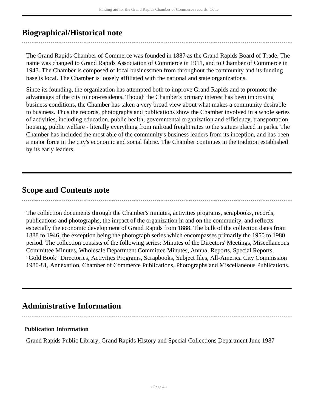## <span id="page-3-0"></span>**Biographical/Historical note**

The Grand Rapids Chamber of Commerce was founded in 1887 as the Grand Rapids Board of Trade. The name was changed to Grand Rapids Association of Commerce in 1911, and to Chamber of Commerce in 1943. The Chamber is composed of local businessmen from throughout the community and its funding base is local. The Chamber is loosely affiliated with the national and state organizations.

Since its founding, the organization has attempted both to improve Grand Rapids and to promote the advantages of the city to non-residents. Though the Chamber's primary interest has been improving business conditions, the Chamber has taken a very broad view about what makes a community desirable to business. Thus the records, photographs and publications show the Chamber involved in a whole series of activities, including education, public health, governmental organization and efficiency, transportation, housing, public welfare - literally everything from railroad freight rates to the statues placed in parks. The Chamber has included the most able of the community's business leaders from its inception, and has been a major force in the city's economic and social fabric. The Chamber continues in the tradition established by its early leaders.

## <span id="page-3-1"></span>**Scope and Contents note**

The collection documents through the Chamber's minutes, activities programs, scrapbooks, records, publications and photographs, the impact of the organization in and on the community, and reflects especially the economic development of Grand Rapids from 1888. The bulk of the collection dates from 1888 to 1946, the exception being the photograph series which encompasses primarily the 1950 to 1980 period. The collection consists of the following series: Minutes of the Directors' Meetings, Miscellaneous Committee Minutes, Wholesale Department Committee Minutes, Annual Reports, Special Reports, "Gold Book" Directories, Activities Programs, Scrapbooks, Subject files, All-America City Commission 1980-81, Annexation, Chamber of Commerce Publications, Photographs and Miscellaneous Publications.

## <span id="page-3-2"></span>**Administrative Information**

## **Publication Information**

Grand Rapids Public Library, Grand Rapids History and Special Collections Department June 1987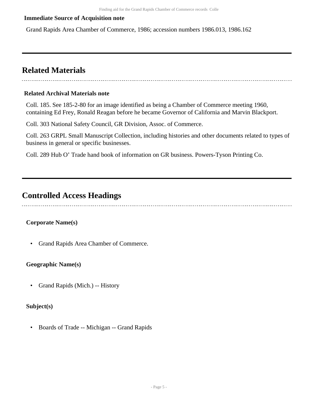### **Immediate Source of Acquisition note**

Grand Rapids Area Chamber of Commerce, 1986; accession numbers 1986.013, 1986.162

## <span id="page-4-0"></span>**Related Materials**

#### **Related Archival Materials note**

Coll. 185. See 185-2-80 for an image identified as being a Chamber of Commerce meeting 1960, containing Ed Frey, Ronald Reagan before he became Governor of California and Marvin Blackport.

Coll. 303 National Safety Council, GR Division, Assoc. of Commerce.

Coll. 263 GRPL Small Manuscript Collection, including histories and other documents related to types of business in general or specific businesses.

Coll. 289 Hub O' Trade hand book of information on GR business. Powers-Tyson Printing Co.

## <span id="page-4-1"></span>**Controlled Access Headings**

## **Corporate Name(s)**

• Grand Rapids Area Chamber of Commerce.

## **Geographic Name(s)**

• Grand Rapids (Mich.) -- History

#### **Subject(s)**

• Boards of Trade -- Michigan -- Grand Rapids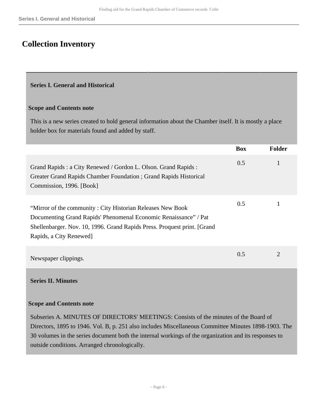## <span id="page-5-0"></span>**Collection Inventory**

#### <span id="page-5-1"></span>**Series I. General and Historical**

#### **Scope and Contents note**

This is a new series created to hold general information about the Chamber itself. It is mostly a place holder box for materials found and added by staff.

|                                                                                                                                                                                                                                         | <b>Box</b> | <b>Folder</b>         |
|-----------------------------------------------------------------------------------------------------------------------------------------------------------------------------------------------------------------------------------------|------------|-----------------------|
| Grand Rapids: a City Renewed / Gordon L. Olson. Grand Rapids:<br>Greater Grand Rapids Chamber Foundation; Grand Rapids Historical<br>Commission, 1996. [Book]                                                                           | 0.5        |                       |
| "Mirror of the community: City Historian Releases New Book"<br>Documenting Grand Rapids' Phenomenal Economic Renaissance" / Pat<br>Shellenbarger. Nov. 10, 1996. Grand Rapids Press. Proquest print. [Grand]<br>Rapids, a City Renewed] | 0.5        |                       |
| Newspaper clippings.                                                                                                                                                                                                                    | 0.5        | $\mathcal{D}_{\cdot}$ |
|                                                                                                                                                                                                                                         |            |                       |

## <span id="page-5-2"></span>**Series II. Minutes**

#### **Scope and Contents note**

Subseries A. MINUTES OF DIRECTORS' MEETINGS: Consists of the minutes of the Board of Directors, 1895 to 1946. Vol. B, p. 251 also includes Miscellaneous Committee Minutes 1898-1903. The 30 volumes in the series document both the internal workings of the organization and its responses to outside conditions. Arranged chronologically.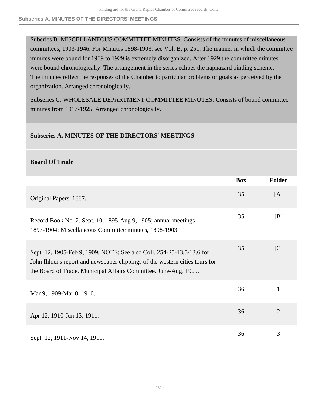Suberies B. MISCELLANEOUS COMMITTEE MINUTES: Consists of the minutes of miscellaneous committees, 1903-1946. For Minutes 1898-1903, see Vol. B, p. 251. The manner in which the committee minutes were bound for 1909 to 1929 is extremely disorganized. After 1929 the committee minutes were bound chronologically. The arrangement in the series echoes the haphazard binding scheme. The minutes reflect the responses of the Chamber to particular problems or goals as perceived by the organization. Arranged chronologically.

Subseries C. WHOLESALE DEPARTMENT COMMITTEE MINUTES: Consists of bound committee minutes from 1917-1925. Arranged chronologically.

## **Subseries A. MINUTES OF THE DIRECTORS' MEETINGS**

### **Board Of Trade**

|                                                                                                                                                                                                                            | <b>Box</b> | <b>Folder</b>  |
|----------------------------------------------------------------------------------------------------------------------------------------------------------------------------------------------------------------------------|------------|----------------|
| Original Papers, 1887.                                                                                                                                                                                                     | 35         | [A]            |
| Record Book No. 2. Sept. 10, 1895-Aug 9, 1905; annual meetings<br>1897-1904; Miscellaneous Committee minutes, 1898-1903.                                                                                                   | 35         | [B]            |
| Sept. 12, 1905-Feb 9, 1909. NOTE: See also Coll. 254-25-13.5/13.6 for<br>John I hlder's report and newspaper clippings of the western cities tours for<br>the Board of Trade. Municipal Affairs Committee. June-Aug. 1909. | 35         | [C]            |
| Mar 9, 1909-Mar 8, 1910.                                                                                                                                                                                                   | 36         | 1              |
| Apr 12, 1910-Jun 13, 1911.                                                                                                                                                                                                 | 36         | $\overline{2}$ |
| Sept. 12, 1911-Nov 14, 1911.                                                                                                                                                                                               | 36         | 3              |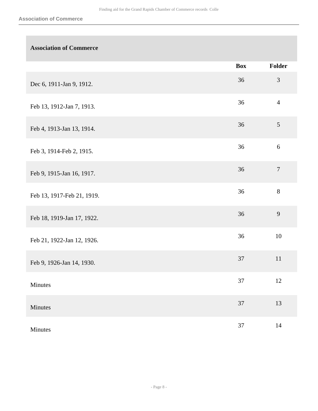## **Association of Commerce**

|                            | <b>Box</b> | Folder           |
|----------------------------|------------|------------------|
| Dec 6, 1911-Jan 9, 1912.   | 36         | $\mathfrak{Z}$   |
| Feb 13, 1912-Jan 7, 1913.  | 36         | $\overline{4}$   |
| Feb 4, 1913-Jan 13, 1914.  | 36         | $\mathfrak{S}$   |
| Feb 3, 1914-Feb 2, 1915.   | 36         | $\sqrt{6}$       |
| Feb 9, 1915-Jan 16, 1917.  | 36         | $\boldsymbol{7}$ |
| Feb 13, 1917-Feb 21, 1919. | 36         | $8\,$            |
| Feb 18, 1919-Jan 17, 1922. | 36         | 9                |
| Feb 21, 1922-Jan 12, 1926. | 36         | $10\,$           |
| Feb 9, 1926-Jan 14, 1930.  | 37         | $11\,$           |
| Minutes                    | $37\,$     | 12               |
| Minutes                    | $37\,$     | $13\,$           |
| Minutes                    | 37         | $14\,$           |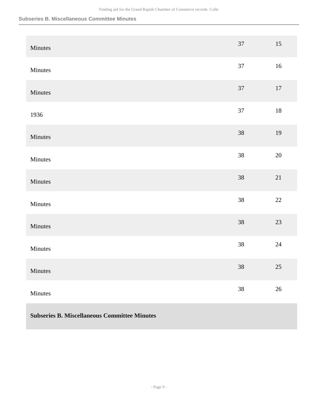#### **Subseries B. Miscellaneous Committee Minutes**

| Minutes | 37     | $15\,$ |
|---------|--------|--------|
| Minutes | $37\,$ | $16\,$ |
| Minutes | $37\,$ | $17\,$ |
| 1936    | 37     | $18\,$ |
| Minutes | $38\,$ | $19\,$ |
| Minutes | $38\,$ | $20\,$ |
| Minutes | $38\,$ | 21     |
| Minutes | 38     | $22\,$ |
| Minutes | $38\,$ | $23\,$ |
| Minutes | $38\,$ | $24\,$ |
| Minutes | $38\,$ | $25\,$ |
| Minutes | $38\,$ | $26\,$ |

## **Subseries B. Miscellaneous Committee Minutes**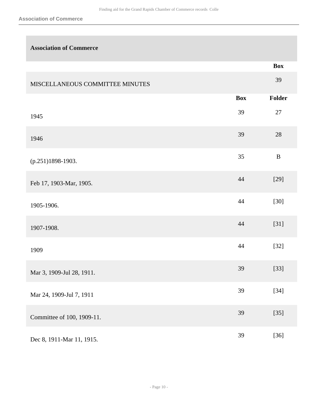| <b>Association of Commerce</b>  |            |               |
|---------------------------------|------------|---------------|
|                                 |            | <b>Box</b>    |
| MISCELLANEOUS COMMITTEE MINUTES |            | 39            |
|                                 | <b>Box</b> | <b>Folder</b> |
| 1945                            | 39         | 27            |
| 1946                            | 39         | 28            |
| (p.251)1898-1903.               | 35         | $\, {\bf B}$  |
| Feb 17, 1903-Mar, 1905.         | 44         | $[29]$        |
| 1905-1906.                      | 44         | $[30]$        |
| 1907-1908.                      | 44         | $[31]$        |
| 1909                            | 44         | $[32]$        |
| Mar 3, 1909-Jul 28, 1911.       | 39         | $[33]$        |
| Mar 24, 1909-Jul 7, 1911        | 39         | $[34]$        |
| Committee of 100, 1909-11.      | 39         | $[35]$        |
| Dec 8, 1911-Mar 11, 1915.       | 39         | $[36]$        |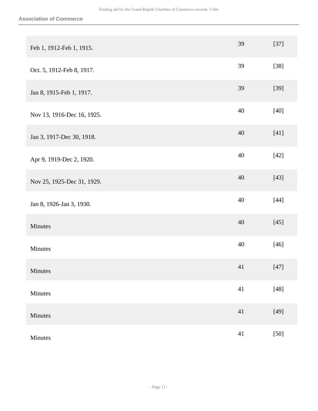| Feb 1, 1912-Feb 1, 1915.   | 39     | $[37]$ |
|----------------------------|--------|--------|
| Oct. 5, 1912-Feb 8, 1917.  | 39     | $[38]$ |
| Jan 8, 1915-Feb 1, 1917.   | 39     | $[39]$ |
| Nov 13, 1916-Dec 16, 1925. | 40     | $[40]$ |
| Jan 3, 1917-Dec 30, 1918.  | 40     | $[41]$ |
| Apr 9, 1919-Dec 2, 1920.   | 40     | $[42]$ |
| Nov 25, 1925-Dec 31, 1929. | 40     | $[43]$ |
| Jan 8, 1926-Jan 3, 1930.   | $40\,$ | $[44]$ |
| Minutes                    | 40     | $[45]$ |
| Minutes                    | 40     | $[46]$ |
| Minutes                    | 41     | $[47]$ |
| Minutes                    | 41     | $[48]$ |
| Minutes                    | $41\,$ | $[49]$ |
| Minutes                    | 41     | $[50]$ |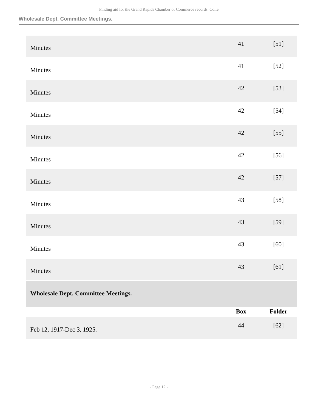#### **Wholesale Dept. Committee Meetings.**

| Minutes                                    | 41         | $[51]$ |
|--------------------------------------------|------------|--------|
| Minutes                                    | 41         | $[52]$ |
| Minutes                                    | $42\,$     | $[53]$ |
| Minutes                                    | 42         | $[54]$ |
| Minutes                                    | 42         | $[55]$ |
| Minutes                                    | 42         | $[56]$ |
| Minutes                                    | $42\,$     | $[57]$ |
| Minutes                                    | 43         | $[58]$ |
| Minutes                                    | 43         | $[59]$ |
| Minutes                                    | 43         | $[60]$ |
| Minutes                                    | $43\,$     | $[61]$ |
| <b>Wholesale Dept. Committee Meetings.</b> |            |        |
|                                            | <b>Box</b> | Folder |
| Feb 12, 1917-Dec 3, 1925.                  | 44         | $[62]$ |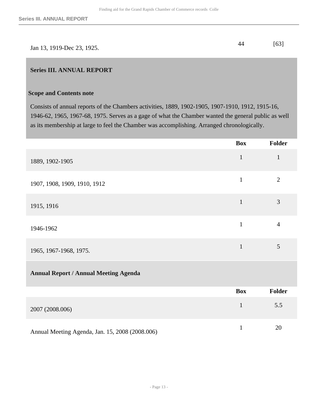|                            | [63] |
|----------------------------|------|
| Jan 13, 1919-Dec 23, 1925. |      |

### <span id="page-12-0"></span>**Series III. ANNUAL REPORT**

#### **Scope and Contents note**

Consists of annual reports of the Chambers activities, 1889, 1902-1905, 1907-1910, 1912, 1915-16, 1946-62, 1965, 1967-68, 1975. Serves as a gage of what the Chamber wanted the general public as well as its membership at large to feel the Chamber was accomplishing. Arranged chronologically.

|                                                 | <b>Box</b>   | <b>Folder</b>  |
|-------------------------------------------------|--------------|----------------|
| 1889, 1902-1905                                 | $\mathbf{1}$ | $\mathbf{1}$   |
| 1907, 1908, 1909, 1910, 1912                    | $\mathbf{1}$ | $\overline{2}$ |
| 1915, 1916                                      | $\mathbf{1}$ | 3              |
| 1946-1962                                       | $\mathbf{1}$ | $\overline{4}$ |
| 1965, 1967-1968, 1975.                          | $\mathbf{1}$ | 5              |
| <b>Annual Report / Annual Meeting Agenda</b>    |              |                |
|                                                 | <b>Box</b>   | <b>Folder</b>  |
| 2007 (2008.006)                                 | $\mathbf{1}$ | 5.5            |
| Annual Meeting Agenda, Jan. 15, 2008 (2008.006) | $\mathbf{1}$ | 20             |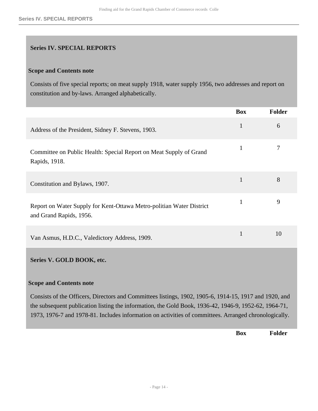## <span id="page-13-0"></span>**Series IV. SPECIAL REPORTS**

#### **Scope and Contents note**

Consists of five special reports; on meat supply 1918, water supply 1956, two addresses and report on constitution and by-laws. Arranged alphabetically.

<span id="page-13-1"></span>

|                                                                                                                                                                                                                                                                                                                          | <b>Box</b>   | <b>Folder</b> |
|--------------------------------------------------------------------------------------------------------------------------------------------------------------------------------------------------------------------------------------------------------------------------------------------------------------------------|--------------|---------------|
| Address of the President, Sidney F. Stevens, 1903.                                                                                                                                                                                                                                                                       | $\mathbf{1}$ | 6             |
| Committee on Public Health: Special Report on Meat Supply of Grand<br>Rapids, 1918.                                                                                                                                                                                                                                      | $\mathbf{1}$ | 7             |
| Constitution and Bylaws, 1907.                                                                                                                                                                                                                                                                                           | $\mathbf{1}$ | 8             |
| Report on Water Supply for Kent-Ottawa Metro-politian Water District<br>and Grand Rapids, 1956.                                                                                                                                                                                                                          | $\mathbf{1}$ | 9             |
| Van Asmus, H.D.C., Valedictory Address, 1909.                                                                                                                                                                                                                                                                            | $\mathbf{1}$ | 10            |
| Series V. GOLD BOOK, etc.                                                                                                                                                                                                                                                                                                |              |               |
| <b>Scope and Contents note</b>                                                                                                                                                                                                                                                                                           |              |               |
| Consists of the Officers, Directors and Committees listings, 1902, 1905-6, 1914-15, 1917 and 1920, and<br>the subsequent publication listing the information, the Gold Book, 1936-42, 1946-9, 1952-62, 1964-71,<br>1973, 1976-7 and 1978-81. Includes information on activities of committees. Arranged chronologically. |              |               |

**Box Folder**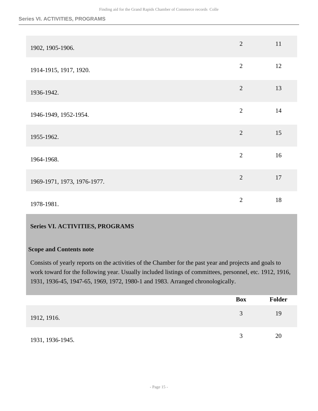#### **Series VI. ACTIVITIES, PROGRAMS**

| 1902, 1905-1906.            | $\overline{2}$ | 11 |
|-----------------------------|----------------|----|
| 1914-1915, 1917, 1920.      | $\mathbf{2}$   | 12 |
| 1936-1942.                  | $\overline{2}$ | 13 |
| 1946-1949, 1952-1954.       | $\overline{2}$ | 14 |
| 1955-1962.                  | $\overline{2}$ | 15 |
| 1964-1968.                  | $\overline{2}$ | 16 |
| 1969-1971, 1973, 1976-1977. | $\overline{2}$ | 17 |
| 1978-1981.                  | $\overline{2}$ | 18 |

## <span id="page-14-0"></span>**Series VI. ACTIVITIES, PROGRAMS**

#### **Scope and Contents note**

Consists of yearly reports on the activities of the Chamber for the past year and projects and goals to work toward for the following year. Usually included listings of committees, personnel, etc. 1912, 1916, 1931, 1936-45, 1947-65, 1969, 1972, 1980-1 and 1983. Arranged chronologically.

|                  | <b>Box</b> | Folder |
|------------------|------------|--------|
| 1912, 1916.      | 3          | 19     |
| 1931, 1936-1945. | 3          | 20     |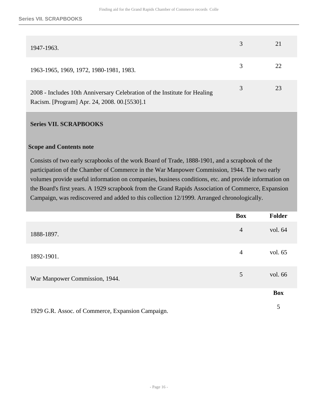| 1947-1963.                                                                                                                | 3 | 21 |
|---------------------------------------------------------------------------------------------------------------------------|---|----|
| 1963-1965, 1969, 1972, 1980-1981, 1983.                                                                                   | 3 | 22 |
| 2008 - Includes 10th Anniversary Celebration of the Institute for Healing<br>Racism. [Program] Apr. 24, 2008. 00.[5530].1 | 3 | 23 |

#### <span id="page-15-0"></span>**Series VII. SCRAPBOOKS**

#### **Scope and Contents note**

Consists of two early scrapbooks of the work Board of Trade, 1888-1901, and a scrapbook of the participation of the Chamber of Commerce in the War Manpower Commission, 1944. The two early volumes provide useful information on companies, business conditions, etc. and provide information on the Board's first years. A 1929 scrapbook from the Grand Rapids Association of Commerce, Expansion Campaign, was rediscovered and added to this collection 12/1999. Arranged chronologically.

|                                                   | <b>Box</b>     | <b>Folder</b> |
|---------------------------------------------------|----------------|---------------|
| 1888-1897.                                        | $\overline{4}$ | vol. 64       |
| 1892-1901.                                        | $\overline{4}$ | vol. 65       |
| War Manpower Commission, 1944.                    | 5              | vol. 66       |
|                                                   |                | <b>Box</b>    |
| 1929 G.R. Assoc. of Commerce, Expansion Campaign. |                | 5             |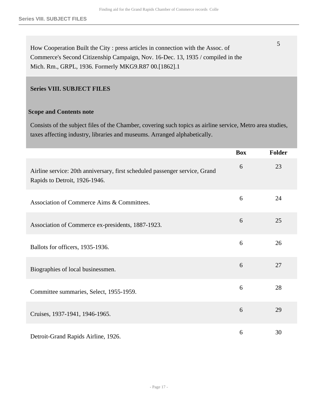5

How Cooperation Built the City : press articles in connection with the Assoc. of Commerce's Second Citizenship Campaign, Nov. 16-Dec. 13, 1935 / compiled in the Mich. Rm., GRPL, 1936. Formerly MKG9.R87 00.[1862].1

#### <span id="page-16-0"></span>**Series VIII. SUBJECT FILES**

#### **Scope and Contents note**

Consists of the subject files of the Chamber, covering such topics as airline service, Metro area studies, taxes affecting industry, libraries and museums. Arranged alphabetically.

|                                                                                                              | <b>Box</b> | <b>Folder</b> |
|--------------------------------------------------------------------------------------------------------------|------------|---------------|
| Airline service: 20th anniversary, first scheduled passenger service, Grand<br>Rapids to Detroit, 1926-1946. | 6          | 23            |
| Association of Commerce Aims & Committees.                                                                   | 6          | 24            |
| Association of Commerce ex-presidents, 1887-1923.                                                            | 6          | 25            |
| Ballots for officers, 1935-1936.                                                                             | 6          | 26            |
| Biographies of local businessmen.                                                                            | 6          | 27            |
| Committee summaries, Select, 1955-1959.                                                                      | 6          | 28            |
| Cruises, 1937-1941, 1946-1965.                                                                               | 6          | 29            |
| Detroit-Grand Rapids Airline, 1926.                                                                          | 6          | 30            |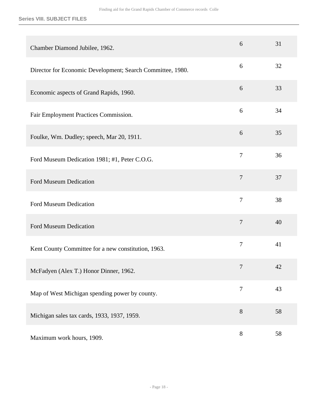#### **Series VIII. SUBJECT FILES**

| Chamber Diamond Jubilee, 1962.                             | 6              | 31 |
|------------------------------------------------------------|----------------|----|
| Director for Economic Development; Search Committee, 1980. | 6              | 32 |
| Economic aspects of Grand Rapids, 1960.                    | 6              | 33 |
| Fair Employment Practices Commission.                      | 6              | 34 |
| Foulke, Wm. Dudley; speech, Mar 20, 1911.                  | 6              | 35 |
| Ford Museum Dedication 1981; #1, Peter C.O.G.              | $\overline{7}$ | 36 |
| Ford Museum Dedication                                     | $\overline{7}$ | 37 |
| Ford Museum Dedication                                     | $\overline{7}$ | 38 |
| Ford Museum Dedication                                     | $\overline{7}$ | 40 |
| Kent County Committee for a new constitution, 1963.        | $\overline{7}$ | 41 |
| McFadyen (Alex T.) Honor Dinner, 1962.                     | $\overline{7}$ | 42 |
| Map of West Michigan spending power by county.             | $\tau$         | 43 |
| Michigan sales tax cards, 1933, 1937, 1959.                | $8\,$          | 58 |
| Maximum work hours, 1909.                                  | $8\,$          | 58 |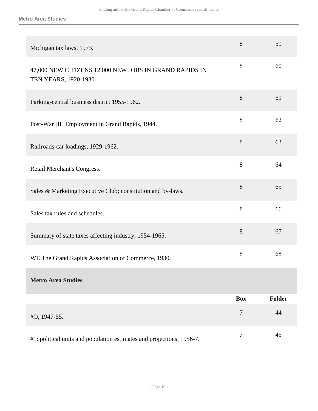| Michigan tax laws, 1973.                                                        | 8          | 59     |
|---------------------------------------------------------------------------------|------------|--------|
| 47,000 NEW CITIZENS 12,000 NEW JOBS IN GRAND RAPIDS IN<br>TEN YEARS, 1920-1930. | 8          | 60     |
| Parking-central business district 1955-1962.                                    | 8          | 61     |
| Post-War [II] Employment in Grand Rapids, 1944.                                 | $8\,$      | 62     |
| Railroads-car loadings, 1929-1962.                                              | 8          | 63     |
| Retail Merchant's Congress.                                                     | 8          | 64     |
| Sales & Marketing Executive Club; constitution and by-laws.                     | $8\,$      | 65     |
| Sales tax rules and schedules.                                                  | 8          | 66     |
| Summary of state taxes affecting industry, 1954-1965.                           | 8          | 67     |
| WE The Grand Rapids Association of Commerce, 1930.                              | $8\,$      | 68     |
| <b>Metro Area Studies</b>                                                       |            |        |
|                                                                                 | <b>Box</b> | Folder |
| #O, 1947-55.                                                                    | 7          | 44     |
| #1: political units and population estimates and projections, 1956-7.           | $\tau$     | 45     |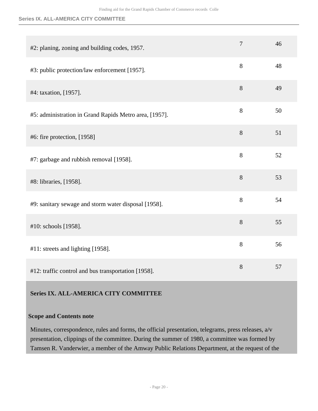### **Series IX. ALL-AMERICA CITY COMMITTEE**

| #2: planing, zoning and building codes, 1957.          | $\overline{7}$ | 46 |
|--------------------------------------------------------|----------------|----|
| #3: public protection/law enforcement [1957].          | 8              | 48 |
| #4: taxation, [1957].                                  | 8              | 49 |
| #5: administration in Grand Rapids Metro area, [1957]. | 8              | 50 |
| #6: fire protection, [1958]                            | 8              | 51 |
| #7: garbage and rubbish removal [1958].                | 8              | 52 |
| #8: libraries, [1958].                                 | 8              | 53 |
| #9: sanitary sewage and storm water disposal [1958].   | 8              | 54 |
| #10: schools [1958].                                   | 8              | 55 |
| #11: streets and lighting [1958].                      | 8              | 56 |
| #12: traffic control and bus transportation [1958].    | 8              | 57 |

## <span id="page-19-0"></span>**Series IX. ALL-AMERICA CITY COMMITTEE**

#### **Scope and Contents note**

Minutes, correspondence, rules and forms, the official presentation, telegrams, press releases, a/v presentation, clippings of the committee. During the summer of 1980, a committee was formed by Tamsen R. Vanderwier, a member of the Amway Public Relations Department, at the request of the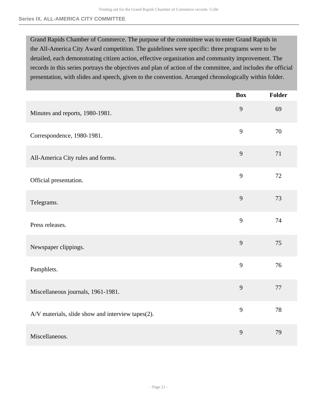Grand Rapids Chamber of Commerce. The purpose of the committee was to enter Grand Rapids in the All-America City Award competition. The guidelines were specific: three programs were to be detailed, each demonstrating citizen action, effective organization and community improvement. The records in this series portrays the objectives and plan of action of the committee, and includes the official presentation, with slides and speech, given to the convention. Arranged chronologically within folder.

|                                                   | <b>Box</b> | <b>Folder</b> |
|---------------------------------------------------|------------|---------------|
| Minutes and reports, 1980-1981.                   | 9          | 69            |
| Correspondence, 1980-1981.                        | 9          | 70            |
| All-America City rules and forms.                 | 9          | 71            |
| Official presentation.                            | 9          | 72            |
| Telegrams.                                        | 9          | 73            |
| Press releases.                                   | 9          | 74            |
| Newspaper clippings.                              | 9          | 75            |
| Pamphlets.                                        | 9          | 76            |
| Miscellaneous journals, 1961-1981.                | 9          | 77            |
| A/V materials, slide show and interview tapes(2). | 9          | 78            |
| Miscellaneous.                                    | 9          | 79            |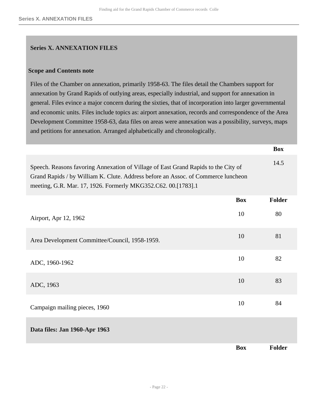#### <span id="page-21-0"></span>**Series X. ANNEXATION FILES**

#### **Scope and Contents note**

Files of the Chamber on annexation, primarily 1958-63. The files detail the Chambers support for annexation by Grand Rapids of outlying areas, especially industrial, and support for annexation in general. Files evince a major concern during the sixties, that of incorporation into larger governmental and economic units. Files include topics as: airport annexation, records and correspondence of the Area Development Committee 1958-63, data files on areas were annexation was a possibility, surveys, maps and petitions for annexation. Arranged alphabetically and chronologically.

|                                                                                                                                                                                                                                          |            | <b>Box</b>    |
|------------------------------------------------------------------------------------------------------------------------------------------------------------------------------------------------------------------------------------------|------------|---------------|
| Speech. Reasons favoring Annexation of Village of East Grand Rapids to the City of<br>Grand Rapids / by William K. Clute. Address before an Assoc. of Commerce luncheon<br>meeting, G.R. Mar. 17, 1926. Formerly MKG352.C62. 00.[1783].1 |            | 14.5          |
|                                                                                                                                                                                                                                          | <b>Box</b> | <b>Folder</b> |
| Airport, Apr 12, 1962                                                                                                                                                                                                                    | 10         | 80            |
| Area Development Committee/Council, 1958-1959.                                                                                                                                                                                           | 10         | 81            |
| ADC, 1960-1962                                                                                                                                                                                                                           | 10         | 82            |
| ADC, 1963                                                                                                                                                                                                                                | 10         | 83            |
| Campaign mailing pieces, 1960                                                                                                                                                                                                            | 10         | 84            |
| Data files: Jan 1960-Apr 1963                                                                                                                                                                                                            |            |               |
|                                                                                                                                                                                                                                          | <b>Box</b> | <b>Folder</b> |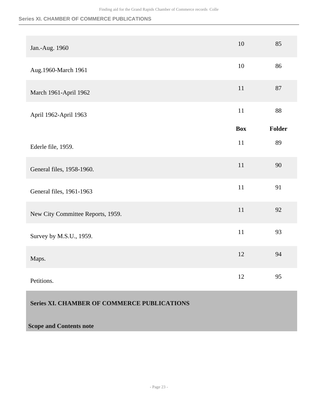**Series XI. CHAMBER OF COMMERCE PUBLICATIONS**

| Jan.-Aug. 1960                    | 10         | 85            |
|-----------------------------------|------------|---------------|
| Aug.1960-March 1961               | 10         | 86            |
| March 1961-April 1962             | 11         | $87\,$        |
| April 1962-April 1963             | 11         | 88            |
|                                   | <b>Box</b> | <b>Folder</b> |
| Ederle file, 1959.                | 11         | 89            |
| General files, 1958-1960.         | 11         | 90            |
| General files, 1961-1963          | 11         | 91            |
| New City Committee Reports, 1959. | 11         | 92            |
| Survey by M.S.U., 1959.           | 11         | 93            |
| Maps.                             | 12         | 94            |
| Petitions.                        | 12         | 95            |

## <span id="page-22-0"></span>**Series XI. CHAMBER OF COMMERCE PUBLICATIONS**

## **Scope and Contents note**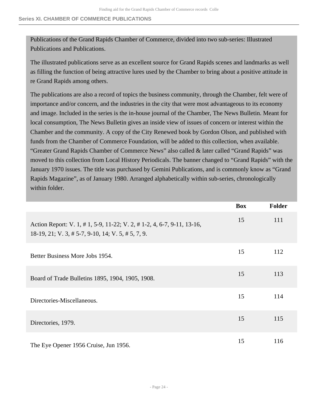Publications of the Grand Rapids Chamber of Commerce, divided into two sub-series: Illustrated Publications and Publications.

The illustrated publications serve as an excellent source for Grand Rapids scenes and landmarks as well as filling the function of being attractive lures used by the Chamber to bring about a positive attitude in re Grand Rapids among others.

The publications are also a record of topics the business community, through the Chamber, felt were of importance and/or concern, and the industries in the city that were most advantageous to its economy and image. Included in the series is the in-house journal of the Chamber, The News Bulletin. Meant for local consumption, The News Bulletin gives an inside view of issues of concern or interest within the Chamber and the community. A copy of the City Renewed book by Gordon Olson, and published with funds from the Chamber of Commerce Foundation, will be added to this collection, when available. "Greater Grand Rapids Chamber of Commerce News" also called & later called "Grand Rapids" was moved to this collection from Local History Periodicals. The banner changed to "Grand Rapids" with the January 1970 issues. The title was purchased by Gemini Publications, and is commonly know as "Grand Rapids Magazine", as of January 1980. Arranged alphabetically within sub-series, chronologically within folder.

|                                                                                                                                     | <b>Box</b> | <b>Folder</b> |
|-------------------------------------------------------------------------------------------------------------------------------------|------------|---------------|
| Action Report: V. 1, # 1, 5-9, 11-22; V. 2, # 1-2, 4, 6-7, 9-11, 13-16,<br>$18-19$ , $21$ ; V, 3, # 5-7, 9-10, 14; V, 5, # 5, 7, 9. | 15         | 111           |
| Better Business More Jobs 1954.                                                                                                     | 15         | 112           |
| Board of Trade Bulletins 1895, 1904, 1905, 1908.                                                                                    | 15         | 113           |
| Directories-Miscellaneous.                                                                                                          | 15         | 114           |
| Directories, 1979.                                                                                                                  | 15         | 115           |
| The Eye Opener 1956 Cruise, Jun 1956.                                                                                               | 15         | 116           |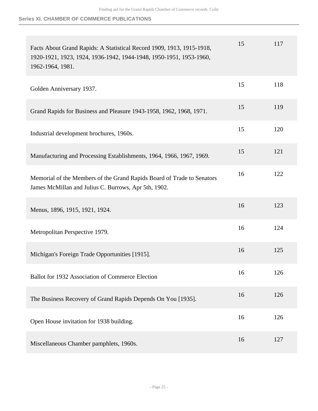**Series XI. CHAMBER OF COMMERCE PUBLICATIONS**

| Facts About Grand Rapids: A Statistical Record 1909, 1913, 1915-1918,<br>1920-1921, 1923, 1924, 1936-1942, 1944-1948, 1950-1951, 1953-1960, | 15 | 117 |
|---------------------------------------------------------------------------------------------------------------------------------------------|----|-----|
| 1962-1964, 1981.                                                                                                                            |    |     |
| Golden Anniversary 1937.                                                                                                                    | 15 | 118 |
| Grand Rapids for Business and Pleasure 1943-1958, 1962, 1968, 1971.                                                                         | 15 | 119 |
| Industrial development brochures, 1960s.                                                                                                    | 15 | 120 |
| Manufacturing and Processing Establishments, 1964, 1966, 1967, 1969.                                                                        | 15 | 121 |
| Memorial of the Members of the Grand Rapids Board of Trade to Senators<br>James McMillan and Julius C. Burrows, Apr 5th, 1902.              | 16 | 122 |
| Menus, 1896, 1915, 1921, 1924.                                                                                                              | 16 | 123 |
| Metropolitan Perspective 1979.                                                                                                              | 16 | 124 |
| Michigan's Foreign Trade Opportunities [1915].                                                                                              | 16 | 125 |
| Ballot for 1932 Association of Commerce Election                                                                                            | 16 | 126 |
| The Business Recovery of Grand Rapids Depends On You [1935].                                                                                | 16 | 126 |
| Open House invitation for 1938 building.                                                                                                    | 16 | 126 |
| Miscellaneous Chamber pamphlets, 1960s.                                                                                                     | 16 | 127 |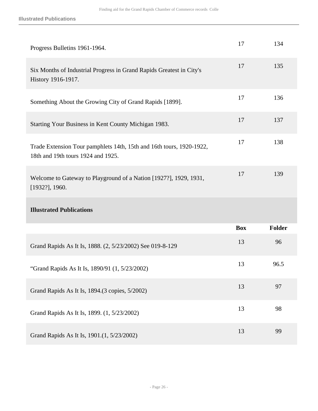| Progress Bulletins 1961-1964.                                                                              | 17         | 134           |
|------------------------------------------------------------------------------------------------------------|------------|---------------|
| Six Months of Industrial Progress in Grand Rapids Greatest in City's<br>History 1916-1917.                 | 17         | 135           |
| Something About the Growing City of Grand Rapids [1899].                                                   | 17         | 136           |
| Starting Your Business in Kent County Michigan 1983.                                                       | 17         | 137           |
| Trade Extension Tour pamphlets 14th, 15th and 16th tours, 1920-1922,<br>18th and 19th tours 1924 and 1925. | 17         | 138           |
| Welcome to Gateway to Playground of a Nation [1927?], 1929, 1931,                                          | 17         | 139           |
| $[1932?]$ , 1960.                                                                                          |            |               |
| <b>Illustrated Publications</b>                                                                            |            |               |
|                                                                                                            | <b>Box</b> | <b>Folder</b> |
| Grand Rapids As It Is, 1888. (2, 5/23/2002) See 019-8-129                                                  | 13         | 96            |
| "Grand Rapids As It Is, 1890/91 (1, 5/23/2002)                                                             | 13         | 96.5          |
| Grand Rapids As It Is, 1894.(3 copies, 5/2002)                                                             | 13         | 97            |
| Grand Rapids As It Is, 1899. (1, 5/23/2002)                                                                | 13         | 98            |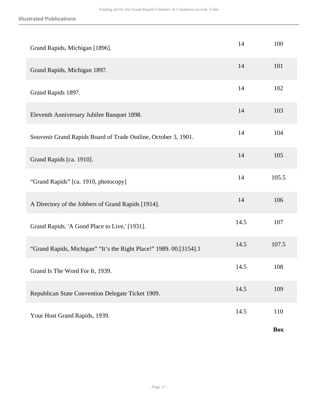| Grand Rapids, Michigan [1896].                                     | 14   | 100        |
|--------------------------------------------------------------------|------|------------|
| Grand Rapids, Michigan 1897.                                       | 14   | 101        |
| Grand Rapids 1897.                                                 | 14   | 102        |
| Eleventh Anniversary Jubilee Banquet 1898.                         | 14   | 103        |
| Souvenir Grand Rapids Board of Trade Outline, October 3, 1901.     | 14   | 104        |
| Grand Rapids [ca. 1910].                                           | 14   | 105        |
| "Grand Rapids" [ca. 1910, photocopy]                               | 14   | 105.5      |
| A Directory of the Jobbers of Grand Rapids [1914].                 | 14   | 106        |
| Grand Rapids. 'A Good Place to Live,' [1931].                      | 14.5 | 107        |
| "Grand Rapids, Michigan" "It's the Right Place!" 1989. 00.[3154].1 | 14.5 | 107.5      |
| Grand Is The Word For It, 1939.                                    | 14.5 | 108        |
| Republican State Convention Delegate Ticket 1909.                  | 14.5 | 109        |
| Your Host Grand Rapids, 1939.                                      | 14.5 | 110        |
|                                                                    |      | <b>Box</b> |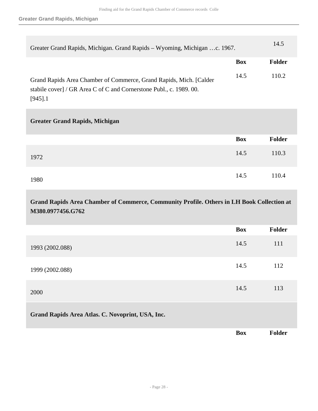| Greater Grand Rapids, Michigan. Grand Rapids - Wyoming, Michigan c. 1967.                                                                               |            | 14.5          |
|---------------------------------------------------------------------------------------------------------------------------------------------------------|------------|---------------|
|                                                                                                                                                         | <b>Box</b> | Folder        |
| Grand Rapids Area Chamber of Commerce, Grand Rapids, Mich. [Calder<br>stabile cover] / GR Area C of C and Cornerstone Publ., c. 1989. 00.<br>$[945]$ .1 | 14.5       | 110.2         |
| <b>Greater Grand Rapids, Michigan</b>                                                                                                                   |            |               |
|                                                                                                                                                         | <b>Box</b> | Folder        |
| 1972                                                                                                                                                    | 14.5       | 110.3         |
| 1980                                                                                                                                                    | 14.5       | 110.4         |
| Grand Rapids Area Chamber of Commerce, Community Profile. Others in LH Book Collection at<br>M380.0977456.G762                                          |            |               |
|                                                                                                                                                         | <b>Box</b> | <b>Folder</b> |
| 1993 (2002.088)                                                                                                                                         | 14.5       | 111           |

1999 (2002.088) 14.5 <sup>112</sup>

 $2000$  and  $113$  and  $113$  and  $113$  and  $113$  and  $113$  and  $113$ **Grand Rapids Area Atlas. C. Novoprint, USA, Inc.** 

**Box Folder**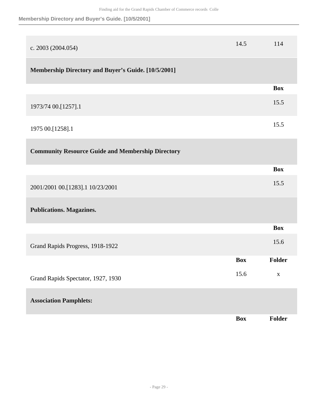**Membership Directory and Buyer's Guide. [10/5/2001]**

| c. 2003 (2004.054)                                       | 14.5       | 114         |
|----------------------------------------------------------|------------|-------------|
| Membership Directory and Buyer's Guide. [10/5/2001]      |            |             |
|                                                          |            | <b>Box</b>  |
| 1973/74 00.[1257].1                                      |            | 15.5        |
| 1975 00.[1258].1                                         |            | 15.5        |
| <b>Community Resource Guide and Membership Directory</b> |            |             |
|                                                          |            | <b>Box</b>  |
| 2001/2001 00.[1283].1 10/23/2001                         |            | 15.5        |
| <b>Publications. Magazines.</b>                          |            |             |
|                                                          |            | <b>Box</b>  |
| Grand Rapids Progress, 1918-1922                         |            | 15.6        |
|                                                          | <b>Box</b> | Folder      |
| Grand Rapids Spectator, 1927, 1930                       | 15.6       | $\mathbf X$ |
| <b>Association Pamphlets:</b>                            |            |             |
|                                                          | <b>Box</b> | Folder      |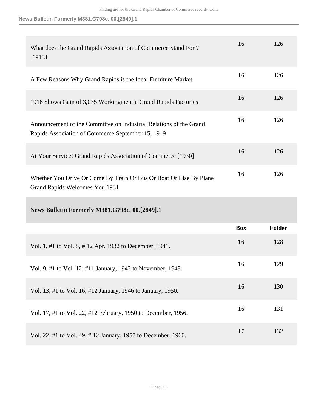**News Bulletin Formerly M381.G798c. 00.[2849].1**

| What does the Grand Rapids Association of Commerce Stand For?<br>[19131]                                                | 16         | 126           |
|-------------------------------------------------------------------------------------------------------------------------|------------|---------------|
| A Few Reasons Why Grand Rapids is the Ideal Furniture Market                                                            | 16         | 126           |
| 1916 Shows Gain of 3,035 Workingmen in Grand Rapids Factories                                                           | 16         | 126           |
| Announcement of the Committee on Industrial Relations of the Grand<br>Rapids Association of Commerce September 15, 1919 | 16         | 126           |
| At Your Service! Grand Rapids Association of Commerce [1930]                                                            | 16         | 126           |
| Whether You Drive Or Come By Train Or Bus Or Boat Or Else By Plane                                                      | 16         | 126           |
| Grand Rapids Welcomes You 1931                                                                                          |            |               |
| <b>News Bulletin Formerly M381.G798c. 00.[2849].1</b>                                                                   |            |               |
|                                                                                                                         | <b>Box</b> | <b>Folder</b> |
| Vol. 1, #1 to Vol. 8, #12 Apr, 1932 to December, 1941.                                                                  | 16         | 128           |
| Vol. 9, #1 to Vol. 12, #11 January, 1942 to November, 1945.                                                             | 16         | 129           |
| Vol. 13, #1 to Vol. 16, #12 January, 1946 to January, 1950.                                                             | 16         | 130           |
| Vol. 17, #1 to Vol. 22, #12 February, 1950 to December, 1956.                                                           | 16         | 131           |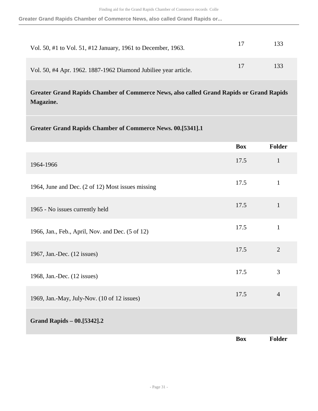**Greater Grand Rapids Chamber of Commerce News, also called Grand Rapids or...**

| Vol. 50, #1 to Vol. 51, #12 January, 1961 to December, 1963.    | 17 | 133 |
|-----------------------------------------------------------------|----|-----|
| Vol. 50, #4 Apr. 1962. 1887-1962 Diamond Jubiliee year article. | 17 | 133 |

**Greater Grand Rapids Chamber of Commerce News, also called Grand Rapids or Grand Rapids Magazine.** 

| <b>Greater Grand Rapids Chamber of Commerce News. 00.[5341].1</b> |            |                |
|-------------------------------------------------------------------|------------|----------------|
|                                                                   | <b>Box</b> | Folder         |
| 1964-1966                                                         | 17.5       | $\mathbf{1}$   |
| 1964, June and Dec. (2 of 12) Most issues missing                 | 17.5       | $\mathbf{1}$   |
| 1965 - No issues currently held                                   | 17.5       | $\mathbf{1}$   |
| 1966, Jan., Feb., April, Nov. and Dec. (5 of 12)                  | 17.5       | $\mathbf{1}$   |
| 1967, Jan.-Dec. (12 issues)                                       | 17.5       | $\overline{2}$ |
| 1968, Jan.-Dec. (12 issues)                                       | 17.5       | 3              |
| 1969, Jan.-May, July-Nov. (10 of 12 issues)                       | 17.5       | $\overline{4}$ |
| Grand Rapids - 00.[5342].2                                        |            |                |
|                                                                   | <b>Box</b> | <b>Folder</b>  |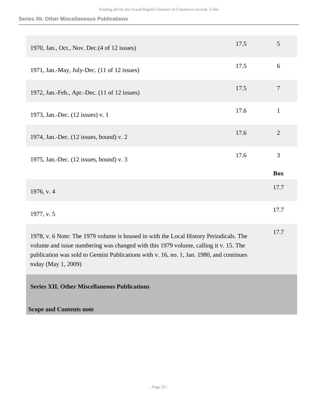#### **Series XII. Other Miscellaneous Publications**

| 1970, Jan., Oct., Nov. Dec. (4 of 12 issues)                                                                                                                                                                                                                                                   | 17.5 | 5              |
|------------------------------------------------------------------------------------------------------------------------------------------------------------------------------------------------------------------------------------------------------------------------------------------------|------|----------------|
| 1971, Jan.-May, July-Dec. (11 of 12 issues)                                                                                                                                                                                                                                                    | 17.5 | 6              |
| 1972, Jan.-Feb., Apr.-Dec. (11 of 12 issues)                                                                                                                                                                                                                                                   | 17.5 | $\overline{7}$ |
| 1973, Jan.-Dec. (12 issues) v. 1                                                                                                                                                                                                                                                               | 17.6 | $\mathbf{1}$   |
| 1974, Jan.-Dec. (12 issues, bound) v. 2                                                                                                                                                                                                                                                        | 17.6 | $\overline{2}$ |
|                                                                                                                                                                                                                                                                                                | 17.6 | 3              |
| 1975, Jan.-Dec. (12 issues, bound) v. 3                                                                                                                                                                                                                                                        |      |                |
|                                                                                                                                                                                                                                                                                                |      | <b>Box</b>     |
| 1976, v. 4                                                                                                                                                                                                                                                                                     |      | 17.7           |
| 1977, v. 5                                                                                                                                                                                                                                                                                     |      | 17.7           |
| 1978, v. 6 Note: The 1979 volume is housed in with the Local History Periodicals. The<br>volume and issue numbering was changed with this 1979 volume, calling it v. 15. The<br>publication was sold to Gemini Publications with v. 16, no. 1, Jan. 1980, and continues<br>today (May 1, 2009) |      | 17.7           |

<span id="page-31-0"></span>**Scope and Contents note**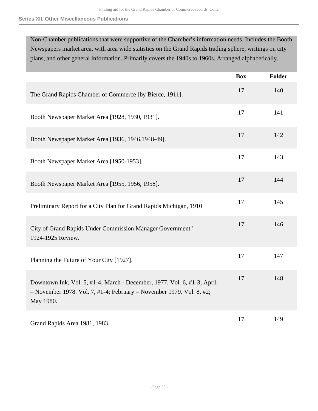#### **Series XII. Other Miscellaneous Publications**

Non-Chamber publications that were supportive of the Chamber's information needs. Includes the Booth Newspapers market area, with area wide statistics on the Grand Rapids trading sphere, writings on city plans, and other general information. Primarily covers the 1940s to 1960s. Arranged alphabetically.

|                                                                                                                                                              | <b>Box</b> | Folder |
|--------------------------------------------------------------------------------------------------------------------------------------------------------------|------------|--------|
| The Grand Rapids Chamber of Commerce [by Bierce, 1911].                                                                                                      | 17         | 140    |
| Booth Newspaper Market Area [1928, 1930, 1931].                                                                                                              | 17         | 141    |
| Booth Newspaper Market Area [1936, 1946, 1948-49].                                                                                                           | 17         | 142    |
| Booth Newspaper Market Area [1950-1953].                                                                                                                     | 17         | 143    |
| Booth Newspaper Market Area [1955, 1956, 1958].                                                                                                              | 17         | 144    |
| Preliminary Report for a City Plan for Grand Rapids Michigan, 1910                                                                                           | 17         | 145    |
| City of Grand Rapids Under Commission Manager Government"<br>1924-1925 Review.                                                                               | 17         | 146    |
| Planning the Future of Your City [1927].                                                                                                                     | 17         | 147    |
| Downtown Ink, Vol. 5, #1-4; March - December, 1977. Vol. 6, #1-3; April<br>- November 1978. Vol. 7, #1-4; February - November 1979. Vol. 8, #2;<br>May 1980. | 17         | 148    |
| Grand Rapids Area 1981, 1983.                                                                                                                                | 17         | 149    |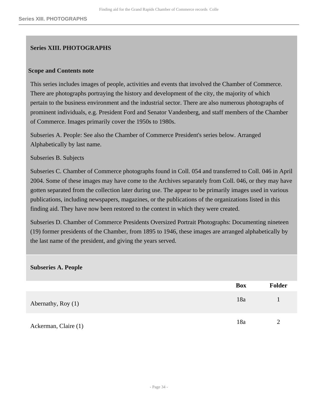### <span id="page-33-0"></span>**Series XIII. PHOTOGRAPHS**

#### **Scope and Contents note**

This series includes images of people, activities and events that involved the Chamber of Commerce. There are photographs portraying the history and development of the city, the majority of which pertain to the business environment and the industrial sector. There are also numerous photographs of prominent individuals, e.g. President Ford and Senator Vandenberg, and staff members of the Chamber of Commerce. Images primarily cover the 1950s to 1980s.

Subseries A. People: See also the Chamber of Commerce President's series below. Arranged Alphabetically by last name.

Subseries B. Subjects

Subseries C. Chamber of Commerce photographs found in Coll. 054 and transferred to Coll. 046 in April 2004. Some of these images may have come to the Archives separately from Coll. 046, or they may have gotten separated from the collection later during use. The appear to be primarily images used in various publications, including newspapers, magazines, or the publications of the organizations listed in this finding aid. They have now been restored to the context in which they were created.

Subseries D. Chamber of Commerce Presidents Oversized Portrait Photographs: Documenting nineteen (19) former presidents of the Chamber, from 1895 to 1946, these images are arranged alphabetically by the last name of the president, and giving the years served.

#### **Subseries A. People**

|                      | <b>Box</b> | <b>Folder</b> |
|----------------------|------------|---------------|
| Abernathy, Roy (1)   | 18a        |               |
| Ackerman, Claire (1) | 18a        | 2             |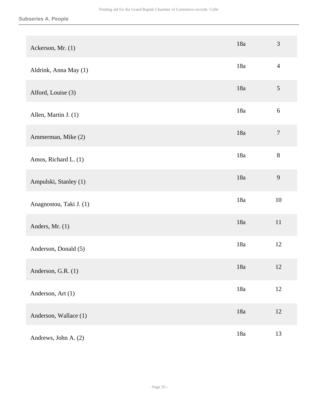| Ackerson, Mr. (1)       | 18a   | 3                |
|-------------------------|-------|------------------|
| Aldrink, Anna May (1)   | 18a   | $\overline{4}$   |
| Alford, Louise (3)      | 18a   | $\mathfrak s$    |
| Allen, Martin J. (1)    | 18a   | $\sqrt{6}$       |
| Ammerman, Mike (2)      | 18a   | $\boldsymbol{7}$ |
| Amos, Richard L. (1)    | 18a   | $8\,$            |
| Ampulski, Stanley (1)   | 18a   | 9                |
| Anagnostou, Taki J. (1) | 18a   | 10               |
| Anders, Mr. (1)         | 18a   | $11\,$           |
| Anderson, Donald (5)    | 18a   | 12               |
| Anderson, G.R. (1)      | 18a   | 12               |
| Anderson, Art (1)       | 18a   | 12               |
| Anderson, Wallace (1)   | $18a$ | $12\,$           |
| Andrews, John A. (2)    | 18a   | 13               |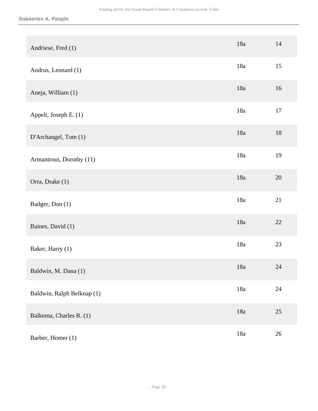|                            | 18a | 14     |
|----------------------------|-----|--------|
| Andriese, Fred (1)         |     |        |
| Andrus, Leonard (1)        | 18a | 15     |
| Aneja, William (1)         | 18a | 16     |
| Appelt, Joseph E. (1)      | 18a | $17\,$ |
| D'Archangel, Tom (1)       | 18a | $18\,$ |
| Armantrout, Dorothy (11)   | 18a | 19     |
| Orra, Drake (1)            | 18a | 20     |
| Badger, Don (1)            | 18a | 21     |
| Baines, David (1)          | 18a | 22     |
| Baker, Harry (1)           | 18a | 23     |
| Baldwin, M. Dana (1)       | 18a | 24     |
| Baldwin, Ralph Belknap (1) | 18a | $24\,$ |
| Balkema, Charles R. (1)    | 18a | 25     |
| Barber, Homer (1)          | 18a | $26\,$ |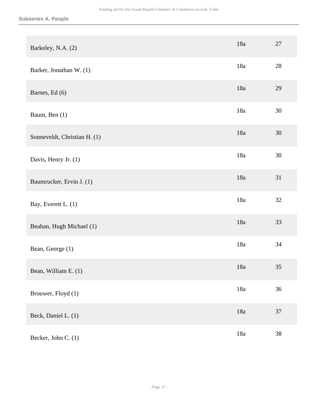| Barkeley, N.A. (2)           | 18a | $27\,$ |
|------------------------------|-----|--------|
| Barker, Jonathan W. (1)      | 18a | 28     |
| Barnes, Ed (6)               | 18a | 29     |
| Baum, Ben (1)                | 18a | 30     |
| Sonneveldt, Christian H. (1) | 18a | 30     |
| Davis, Henry Jr. (1)         | 18a | 30     |
| Baumrucker, Ervin J. (1)     | 18a | 31     |
| Bay, Everett L. (1)          | 18a | 32     |
| Beahan, Hugh Michael (1)     | 18a | 33     |
| Bean, George (1)             | 18a | 34     |
| Bean, William E. (1)         | 18a | 35     |
| Brouwer, Floyd (1)           | 18a | 36     |
| Beck, Daniel L. (1)          | 18a | 37     |
| Becker, John C. (1)          | 18a | 38     |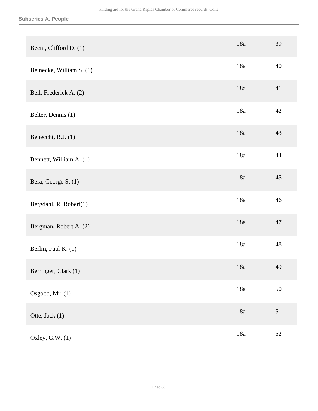| Beem, Clifford D. (1)    | 18a   | 39 |
|--------------------------|-------|----|
| Beinecke, William S. (1) | 18a   | 40 |
| Bell, Frederick A. (2)   | 18a   | 41 |
| Belter, Dennis (1)       | 18a   | 42 |
| Benecchi, R.J. (1)       | 18a   | 43 |
| Bennett, William A. (1)  | 18a   | 44 |
| Bera, George S. (1)      | 18a   | 45 |
| Bergdahl, R. Robert(1)   | 18a   | 46 |
| Bergman, Robert A. (2)   | 18a   | 47 |
| Berlin, Paul K. (1)      | 18a   | 48 |
| Berringer, Clark (1)     | 18a   | 49 |
| Osgood, Mr. (1)          | 18a   | 50 |
| Otte, Jack (1)           | $18a$ | 51 |
| Oxley, G.W. (1)          | 18a   | 52 |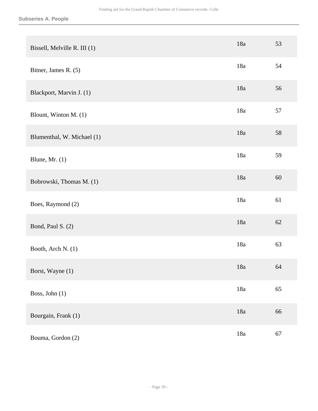| Bissell, Melville R. III (1) | 18a   | 53 |
|------------------------------|-------|----|
| Bitner, James R. (5)         | 18a   | 54 |
| Blackport, Marvin J. (1)     | 18a   | 56 |
| Blount, Winton M. (1)        | 18a   | 57 |
| Blumenthal, W. Michael (1)   | 18a   | 58 |
| Blune, Mr. $(1)$             | 18a   | 59 |
| Bobrowski, Thomas M. (1)     | 18a   | 60 |
| Boes, Raymond (2)            | 18a   | 61 |
| Bond, Paul S. (2)            | 18a   | 62 |
| Booth, Arch N. (1)           | 18a   | 63 |
| Borst, Wayne (1)             | 18a   | 64 |
| Boss, John (1)               | 18a   | 65 |
| Bourgain, Frank (1)          | $18a$ | 66 |
| Bouma, Gordon (2)            | $18a$ | 67 |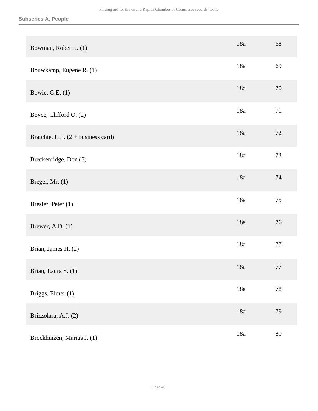| Bowman, Robert J. (1)                       | 18a   | 68     |
|---------------------------------------------|-------|--------|
| Bouwkamp, Eugene R. (1)                     | 18a   | 69     |
| Bowie, G.E. $(1)$                           | 18a   | 70     |
| Boyce, Clifford O. (2)                      | 18a   | 71     |
| Bratchie, L.L. $(2 + \text{business card})$ | 18a   | 72     |
| Breckenridge, Don (5)                       | 18a   | 73     |
| Bregel, Mr. (1)                             | 18a   | 74     |
| Bresler, Peter (1)                          | 18a   | 75     |
| Brewer, A.D. $(1)$                          | 18a   | 76     |
| Brian, James H. (2)                         | 18a   | 77     |
| Brian, Laura S. (1)                         | 18a   | 77     |
| Briggs, Elmer (1)                           | 18a   | $78\,$ |
| Brizzolara, A.J. (2)                        | $18a$ | 79     |
| Brockhuizen, Marius J. (1)                  | 18a   | $80\,$ |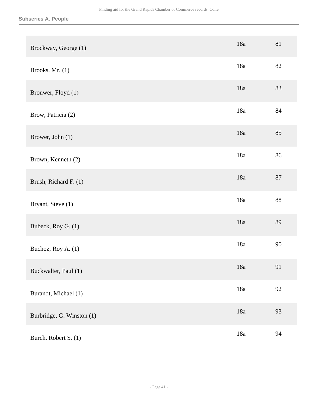| Brockway, George (1)      | 18a   | 81     |
|---------------------------|-------|--------|
| Brooks, Mr. (1)           | 18a   | 82     |
| Brouwer, Floyd (1)        | 18a   | 83     |
| Brow, Patricia (2)        | 18a   | 84     |
| Brower, John (1)          | 18a   | 85     |
| Brown, Kenneth (2)        | 18a   | 86     |
| Brush, Richard F. (1)     | 18a   | $87\,$ |
| Bryant, Steve (1)         | 18a   | 88     |
| Bubeck, Roy G. (1)        | 18a   | 89     |
| Buchoz, Roy A. (1)        | 18a   | 90     |
| Buckwalter, Paul (1)      | 18a   | 91     |
| Burandt, Michael (1)      | 18a   | 92     |
| Burbridge, G. Winston (1) | $18a$ | 93     |
| Burch, Robert S. (1)      | 18a   | 94     |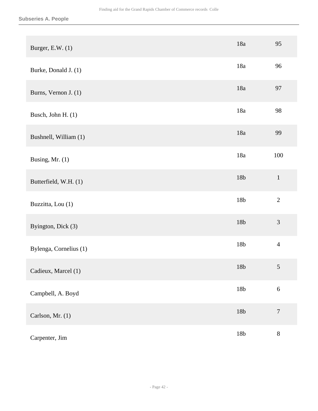| Burger, E.W. (1)       | 18a             | 95               |
|------------------------|-----------------|------------------|
| Burke, Donald J. (1)   | 18a             | 96               |
| Burns, Vernon J. (1)   | 18a             | 97               |
| Busch, John H. (1)     | 18a             | 98               |
| Bushnell, William (1)  | 18a             | 99               |
| Busing, Mr. (1)        | 18a             | 100              |
| Butterfield, W.H. (1)  | 18 <b>b</b>     | $\mathbf 1$      |
| Buzzitta, Lou (1)      | 18b             | $\overline{2}$   |
| Byington, Dick (3)     | 18 <b>b</b>     | $\mathfrak{Z}$   |
| Bylenga, Cornelius (1) | 18b             | $\overline{4}$   |
| Cadieux, Marcel (1)    | 18b             | $\sqrt{5}$       |
| Campbell, A. Boyd      | 18 <sub>b</sub> | $\sqrt{6}$       |
| Carlson, Mr. (1)       | $18\mathrm{b}$  | $\boldsymbol{7}$ |
| Carpenter, Jim         | $18\mathrm{b}$  | $8\,$            |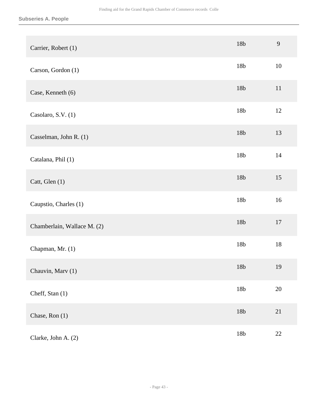| Carrier, Robert (1)         | 18 <b>b</b> | 9      |
|-----------------------------|-------------|--------|
| Carson, Gordon (1)          | 18b         | 10     |
| Case, Kenneth (6)           | 18b         | 11     |
| Casolaro, S.V. (1)          | 18b         | 12     |
| Casselman, John R. (1)      | 18 <b>b</b> | 13     |
| Catalana, Phil (1)          | 18b         | 14     |
| Catt, Glen (1)              | 18b         | 15     |
| Caupstio, Charles (1)       | 18b         | 16     |
| Chamberlain, Wallace M. (2) | 18b         | $17\,$ |
| Chapman, Mr. (1)            | 18b         | 18     |
| Chauvin, Marv (1)           | 18b         | 19     |
| Cheff, Stan (1)             | 18 <b>b</b> | $20\,$ |
| Chase, Ron (1)              | 18 <b>b</b> | 21     |
| Clarke, John A. (2)         | 18b         | $22\,$ |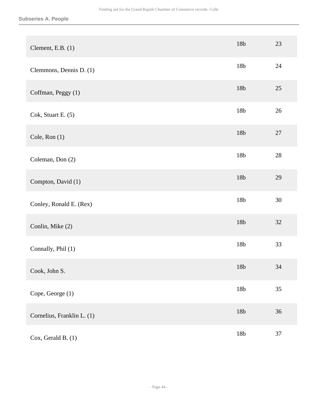| Clement, E.B. $(1)$        | 18 <b>b</b> | 23     |
|----------------------------|-------------|--------|
| Clemmons, Dennis D. (1)    | 18b         | 24     |
| Coffman, Peggy (1)         | 18 <b>b</b> | $25\,$ |
| Cok, Stuart E. (5)         | 18b         | $26\,$ |
| Cole, Ron (1)              | 18 <b>b</b> | $27\,$ |
| Coleman, Don (2)           | 18b         | $28\,$ |
| Compton, David (1)         | 18 <b>b</b> | 29     |
| Conley, Ronald E. (Rex)    | 18b         | 30     |
| Conlin, Mike (2)           | 18b         | 32     |
| Connally, Phil (1)         | 18b         | 33     |
| Cook, John S.              | 18b         | 34     |
| Cope, George (1)           | 18b         | 35     |
| Cornelius, Franklin L. (1) | 18 <b>b</b> | 36     |
| Cox, Gerald B. (1)         | $18b$       | 37     |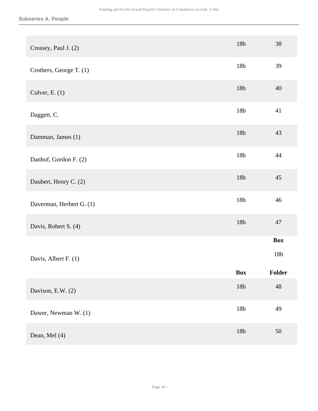| Creasey, Paul J. (2)     | 18 <b>b</b> | 38          |
|--------------------------|-------------|-------------|
| Crothers, George T. (1)  | 18b         | 39          |
| Culver, E. $(1)$         | 18b         | 40          |
| Daggett, C.              | 18b         | 41          |
| Damman, James (1)        | 18 <b>b</b> | 43          |
| Danhof, Gordon F. (2)    | 18b         | 44          |
| Daubert, Henry C. (2)    | 18b         | 45          |
| Daverman, Herbert G. (1) | 18b         | 46          |
| Davis, Robert S. (4)     | 18 <b>b</b> | 47          |
|                          |             | <b>Box</b>  |
| Davis, Albert F. (1)     |             | 18b         |
|                          | <b>Box</b>  | Folder      |
| Davison, E.W. (2)        | 18 <b>b</b> | $\sqrt{48}$ |
| Dawer, Newman W. (1)     | 18 <b>b</b> | 49          |
| Dean, Mel (4)            | 18 <b>b</b> | $50\,$      |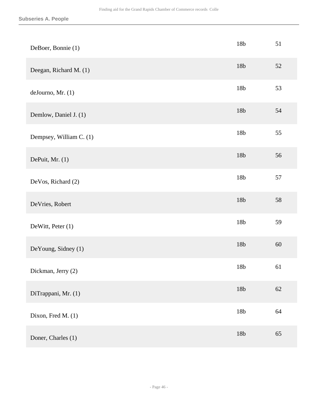| DeBoer, Bonnie (1)      | 18b            | 51     |
|-------------------------|----------------|--------|
| Deegan, Richard M. (1)  | 18b            | 52     |
| deJourno, Mr. (1)       | 18b            | 53     |
| Demlow, Daniel J. (1)   | 18 <b>b</b>    | 54     |
| Dempsey, William C. (1) | 18 <b>b</b>    | 55     |
| DePuit, Mr. (1)         | 18 <b>b</b>    | 56     |
| DeVos, Richard (2)      | 18 <b>b</b>    | 57     |
| DeVries, Robert         | 18 <b>b</b>    | 58     |
| DeWitt, Peter (1)       | 18b            | 59     |
| DeYoung, Sidney (1)     | 18 <b>b</b>    | $60\,$ |
| Dickman, Jerry (2)      | 18b            | 61     |
| DiTrappani, Mr. (1)     | $18b\,$        | $62\,$ |
| Dixon, Fred M. (1)      | 18 <b>b</b>    | 64     |
| Doner, Charles (1)      | $18\mathrm{b}$ | 65     |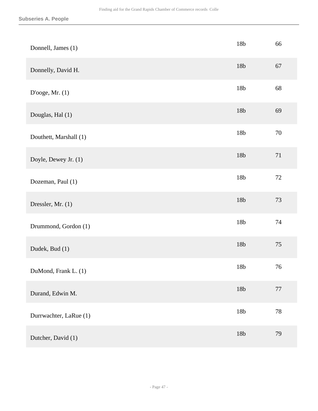| Donnell, James (1)     | 18b            | 66     |
|------------------------|----------------|--------|
| Donnelly, David H.     | 18 <b>b</b>    | 67     |
| D'ooge, Mr. (1)        | 18 <b>b</b>    | 68     |
| Douglas, Hal (1)       | 18 <b>b</b>    | 69     |
| Douthett, Marshall (1) | 18 <b>b</b>    | $70\,$ |
| Doyle, Dewey Jr. (1)   | 18 <b>b</b>    | $71\,$ |
| Dozeman, Paul (1)      | 18 <b>b</b>    | $72\,$ |
| Dressler, Mr. (1)      | 18 <b>b</b>    | 73     |
| Drummond, Gordon (1)   | 18 <b>b</b>    | 74     |
| Dudek, Bud (1)         | 18 <b>b</b>    | 75     |
| DuMond, Frank L. (1)   | 18b            | 76     |
| Durand, Edwin M.       | $18\mathrm{b}$ | $77\,$ |
| Durrwachter, LaRue (1) | 18b            | $78\,$ |
| Dutcher, David (1)     | 18b            | 79     |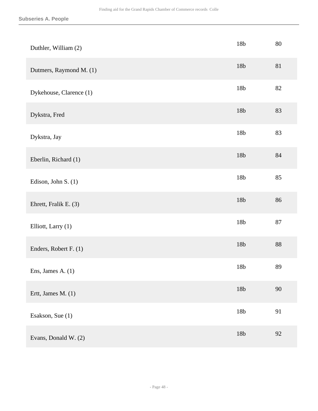| Duthler, William (2)    | 18b            | 80     |
|-------------------------|----------------|--------|
| Dutmers, Raymond M. (1) | 18b            | 81     |
| Dykehouse, Clarence (1) | 18b            | $82\,$ |
| Dykstra, Fred           | 18 <b>b</b>    | 83     |
| Dykstra, Jay            | 18b            | 83     |
| Eberlin, Richard (1)    | 18 <b>b</b>    | $84\,$ |
| Edison, John S. (1)     | 18b            | 85     |
| Ehrett, Fralik E. (3)   | 18b            | 86     |
| Elliott, Larry (1)      | 18b            | $87\,$ |
| Enders, Robert F. (1)   | 18 <b>b</b>    | 88     |
| Ens, James A. $(1)$     | 18b            | 89     |
| Ertt, James M. (1)      | $18\mathrm{b}$ | 90     |
| Esakson, Sue (1)        | 18b            | 91     |
| Evans, Donald W. (2)    | 18b            | 92     |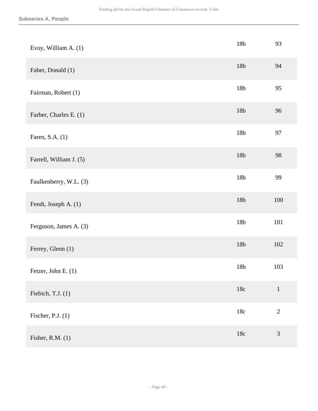| Evoy, William A. (1)    | 18b         | 93             |
|-------------------------|-------------|----------------|
| Faber, Donald (1)       | 18b         | 94             |
| Fairman, Robert (1)     | 18b         | 95             |
| Farber, Charles E. (1)  | 18 <b>b</b> | 96             |
| Faren, S.A. (1)         | 18b         | 97             |
| Farrell, William J. (5) | 18 <b>b</b> | 98             |
| Faulkenberry, W.L. (3)  | 18b         | 99             |
| Fendt, Joseph A. (1)    | 18 <b>b</b> | 100            |
| Ferguson, James A. (3)  | 18b         | 101            |
| Ferrey, Glenn (1)       | 18 <b>b</b> | 102            |
| Fetzer, John E. (1)     | 18b         | 103            |
| Fiebich, T.J. (1)       | $18c\,$     | $\mathbf{1}$   |
| Fischer, P.J. $(1)$     | $18c\,$     | $\sqrt{2}$     |
| Fisher, R.M. (1)        | $18c\,$     | $\mathfrak{Z}$ |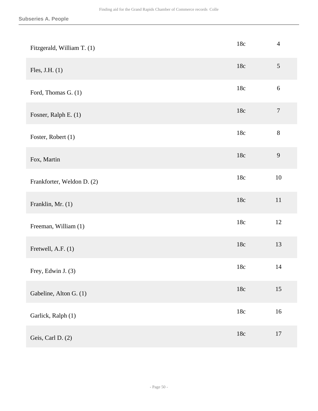| Fitzgerald, William T. (1) | $18c\,$        | $\overline{4}$   |
|----------------------------|----------------|------------------|
| Fles, J.H. $(1)$           | $18c$          | $\mathfrak{S}$   |
| Ford, Thomas G. (1)        | 18c            | $6\,$            |
| Fosner, Ralph E. (1)       | $18c$          | $\boldsymbol{7}$ |
| Foster, Robert (1)         | 18c            | $8\,$            |
| Fox, Martin                | $18c$          | 9                |
| Frankforter, Weldon D. (2) | 18c            | $10\,$           |
| Franklin, Mr. (1)          | $18c$          | $11\,$           |
| Freeman, William (1)       | 18c            | 12               |
| Fretwell, A.F. (1)         | $18c$          | 13               |
| Frey, Edwin J. (3)         | 18c            | 14               |
| Gabeline, Alton G. (1)     | $18\mathrm{c}$ | 15               |
| Garlick, Ralph (1)         | $18c\,$        | 16               |
| Geis, Carl D. (2)          | $18c$          | 17               |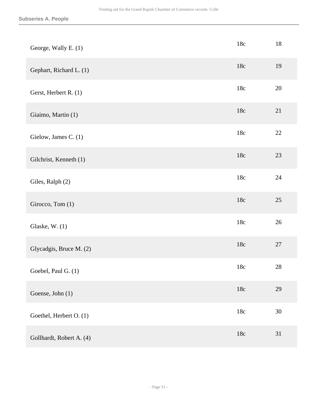| George, Wally E. (1)     | 18c | 18     |
|--------------------------|-----|--------|
| Gephart, Richard L. (1)  | 18c | 19     |
| Gerst, Herbert R. (1)    | 18c | 20     |
| Giaimo, Martin (1)       | 18c | 21     |
| Gielow, James C. (1)     | 18c | $22\,$ |
| Gilchrist, Kenneth (1)   | 18c | $23\,$ |
| Giles, Ralph (2)         | 18c | 24     |
| Girocco, Tom (1)         | 18c | $25\,$ |
| Glaske, W. (1)           | 18c | 26     |
| Glycadgis, Bruce M. (2)  | 18c | $27\,$ |
| Goebel, Paul G. (1)      | 18c | 28     |
| Goense, John (1)         | 18c | 29     |
| Goethel, Herbert O. (1)  | 18c | $30\,$ |
| Gollhardt, Robert A. (4) | 18c | 31     |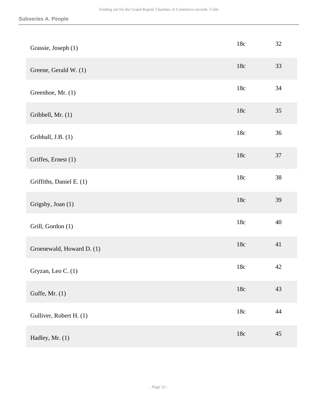| Grassie, Joseph (1)       | 18c     | 32     |
|---------------------------|---------|--------|
| Greene, Gerald W. (1)     | 18c     | 33     |
| Greenhoe, Mr. (1)         | 18c     | 34     |
| Gribbell, Mr. (1)         | 18c     | 35     |
| Gribhall, J.B. (1)        | 18c     | 36     |
| Griffes, Ernest (1)       | 18c     | 37     |
| Griffiths, Daniel E. (1)  | 18c     | 38     |
| Grigsby, Joan (1)         | 18c     | 39     |
| Grill, Gordon (1)         | 18c     | 40     |
| Groenewald, Howard D. (1) | 18c     | 41     |
| Gryzan, Leo C. (1)        | 18c     | 42     |
| Guffe, Mr. (1)            | $18c\,$ | 43     |
| Gulliver, Robert H. (1)   | 18c     | 44     |
| Hadley, Mr. (1)           | 18c     | $45\,$ |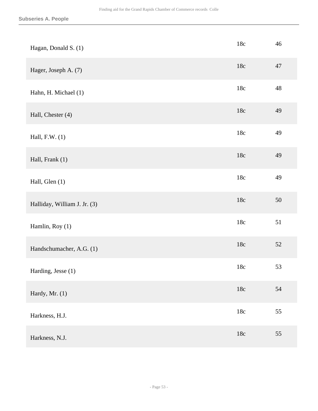| Hagan, Donald S. (1)         | $18c$          | 46     |
|------------------------------|----------------|--------|
| Hager, Joseph A. (7)         | 18c            | 47     |
| Hahn, H. Michael (1)         | 18c            | 48     |
| Hall, Chester (4)            | 18c            | 49     |
| Hall, $F.W. (1)$             | 18c            | 49     |
| Hall, Frank (1)              | 18c            | 49     |
| Hall, Glen (1)               | $18c$          | 49     |
| Halliday, William J. Jr. (3) | 18c            | $50\,$ |
| Hamlin, Roy (1)              | $18c\,$        | 51     |
| Handschumacher, A.G. (1)     | 18c            | 52     |
| Harding, Jesse (1)           | 18c            | 53     |
| Hardy, Mr. (1)               | $18c$          | 54     |
| Harkness, H.J.               | $18\mathrm{c}$ | 55     |
| Harkness, N.J.               | $18c$          | 55     |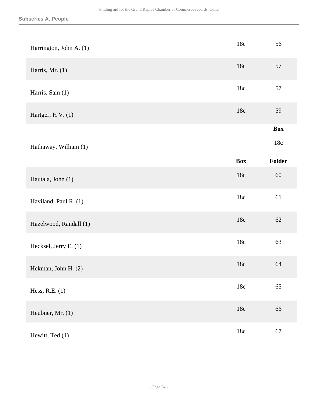| Harrington, John A. (1) | 18c        | 56         |
|-------------------------|------------|------------|
| Harris, Mr. $(1)$       | 18c        | 57         |
| Harris, Sam (1)         | 18c        | 57         |
| Hartger, H V. (1)       | 18c        | 59         |
|                         |            | <b>Box</b> |
| Hathaway, William (1)   |            | 18c        |
|                         | <b>Box</b> | Folder     |
| Hautala, John (1)       | 18c        | $60\,$     |
| Haviland, Paul R. (1)   | 18c        | 61         |
| Hazelwood, Randall (1)  | 18c        | $62\,$     |
| Hecksel, Jerry E. (1)   | 18c        | 63         |
| Hekman, John H. (2)     | $18c$      | 64         |
| Hess, R.E. (1)          | $18c\,$    | 65         |
| Heubner, Mr. (1)        | $18c\,$    | 66         |
| Hewitt, Ted (1)         | $18c\,$    | 67         |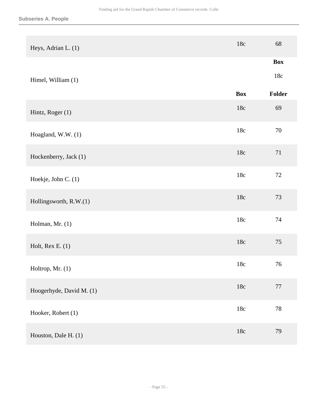| Heys, Adrian L. (1)      | $18c$      | 68         |
|--------------------------|------------|------------|
|                          |            | <b>Box</b> |
| Himel, William (1)       |            | $18c\,$    |
|                          | <b>Box</b> | Folder     |
| Hintz, Roger (1)         | $18c$      | 69         |
| Hoagland, W.W. (1)       | 18c        | $70\,$     |
| Hockenberry, Jack (1)    | $18c$      | 71         |
| Hoekje, John C. (1)      | $18c$      | $72\,$     |
| Hollingsworth, R.W.(1)   | $18c$      | 73         |
| Holman, Mr. (1)          | 18c        | 74         |
| Holt, Rex E. $(1)$       | 18c        | $75\,$     |
| Holtrop, Mr. (1)         | 18c        | 76         |
| Hoogerhyde, David M. (1) | $18c\,$    | $77\,$     |
| Hooker, Robert (1)       | $18c$      | $78\,$     |
| Houston, Dale H. (1)     | $18c\,$    | 79         |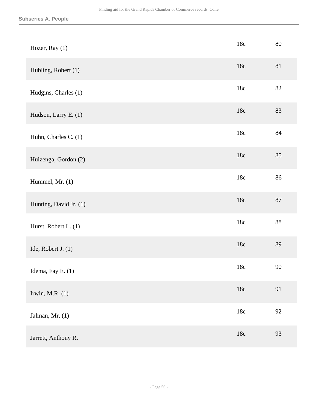| Hozer, Ray (1)         | $18c$   | 80     |
|------------------------|---------|--------|
| Hubling, Robert (1)    | 18c     | 81     |
| Hudgins, Charles (1)   | 18c     | 82     |
| Hudson, Larry E. (1)   | $18c$   | 83     |
| Huhn, Charles C. (1)   | 18c     | $84\,$ |
| Huizenga, Gordon (2)   | $18c$   | 85     |
| Hummel, Mr. (1)        | 18c     | 86     |
| Hunting, David Jr. (1) | $18c$   | $87\,$ |
| Hurst, Robert L. (1)   | 18c     | $88\,$ |
| Ide, Robert J. (1)     | 18c     | 89     |
| Idema, Fay E. (1)      | 18c     | 90     |
| Irwin, M.R. $(1)$      | $18c\,$ | 91     |
| Jalman, Mr. (1)        | $18c$   | 92     |
| Jarrett, Anthony R.    | $18c\,$ | 93     |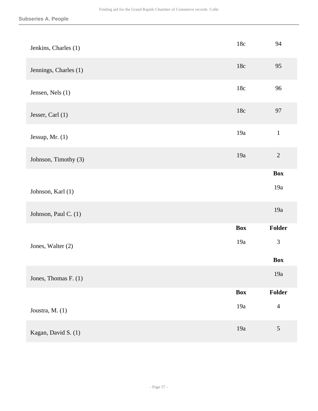| Jenkins, Charles (1)  | $18c$      | 94             |
|-----------------------|------------|----------------|
| Jennings, Charles (1) | 18c        | 95             |
| Jensen, Nels (1)      | 18c        | 96             |
| Jesser, Carl (1)      | 18c        | 97             |
| Jessup, Mr. $(1)$     | 19a        | $\,1\,$        |
| Johnson, Timothy (3)  | 19a        | $\sqrt{2}$     |
|                       |            | <b>Box</b>     |
| Johnson, Karl (1)     |            | 19a            |
| Johnson, Paul C. (1)  |            | 19a            |
|                       | <b>Box</b> | Folder         |
| Jones, Walter (2)     | 19a        | $\mathfrak{Z}$ |
|                       |            | <b>Box</b>     |
| Jones, Thomas F. (1)  |            | $19a$          |
|                       | <b>Box</b> | Folder         |
| Joustra, M. (1)       | 19a        | $\overline{4}$ |
| Kagan, David S. (1)   | 19a        | $\sqrt{5}$     |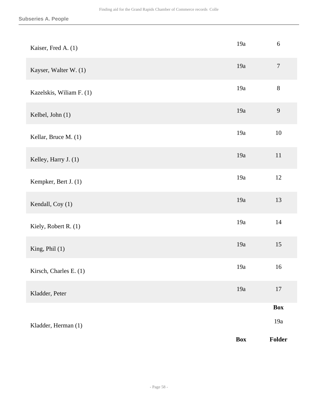| Kaiser, Fred A. (1)      | 19a        | $6\,$            |
|--------------------------|------------|------------------|
| Kayser, Walter W. (1)    | 19a        | $\boldsymbol{7}$ |
| Kazelskis, Wiliam F. (1) | 19a        | $8\,$            |
| Kelbel, John (1)         | 19a        | $\mathbf{9}$     |
| Kellar, Bruce M. (1)     | 19a        | $10\,$           |
| Kelley, Harry J. (1)     | 19a        | $11\,$           |
| Kempker, Bert J. (1)     | 19a        | 12               |
| Kendall, Coy (1)         | 19a        | 13               |
| Kiely, Robert R. (1)     | 19a        | $14$             |
| King, Phil (1)           | 19a        | 15               |
| Kirsch, Charles E. (1)   | 19a        | 16               |
| Kladder, Peter           | 19a        | $17\,$           |
|                          |            | Box              |
| Kladder, Herman (1)      |            | $19a\,$          |
|                          | <b>Box</b> | Folder           |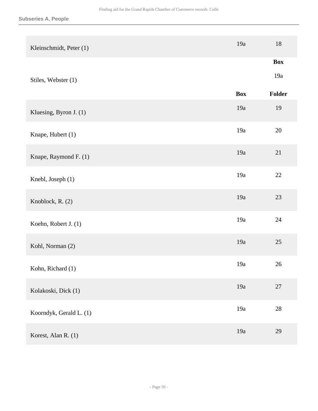| Kleinschmidt, Peter (1) | 19a        | 18         |
|-------------------------|------------|------------|
|                         |            | <b>Box</b> |
| Stiles, Webster (1)     |            | 19a        |
|                         | <b>Box</b> | Folder     |
| Kluesing, Byron J. (1)  | 19a        | 19         |
| Knape, Hubert (1)       | 19a        | $20\,$     |
| Knape, Raymond F. (1)   | 19a        | 21         |
| Knebl, Joseph (1)       | 19a        | $22\,$     |
| Knoblock, R. (2)        | 19a        | 23         |
| Koehn, Robert J. (1)    | 19a        | 24         |
| Kohl, Norman (2)        | 19a        | 25         |
| Kohn, Richard (1)       | 19a        | 26         |
| Kolakoski, Dick (1)     | 19a        | $27\,$     |
| Koorndyk, Gerald L. (1) | 19a        | $28\,$     |
| Korest, Alan R. (1)     | 19a        | 29         |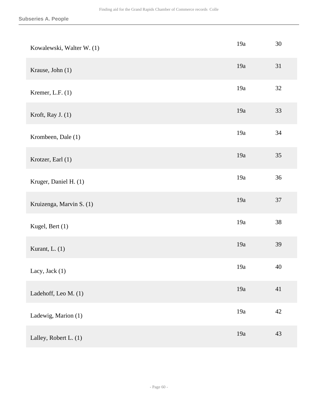| Kowalewski, Walter W. (1) | 19a | 30     |
|---------------------------|-----|--------|
| Krause, John (1)          | 19a | 31     |
| Kremer, L.F. $(1)$        | 19a | 32     |
| Kroft, Ray J. (1)         | 19a | 33     |
| Krombeen, Dale (1)        | 19a | 34     |
| Krotzer, Earl (1)         | 19a | 35     |
| Kruger, Daniel H. (1)     | 19a | 36     |
| Kruizenga, Marvin S. (1)  | 19a | $37\,$ |
| Kugel, Bert (1)           | 19a | $38\,$ |
| Kurant, L. (1)            | 19a | 39     |
| Lacy, Jack $(1)$          | 19a | 40     |
| Ladehoff, Leo M. (1)      | 19a | 41     |
| Ladewig, Marion (1)       | 19a | 42     |
| Lalley, Robert L. (1)     | 19a | 43     |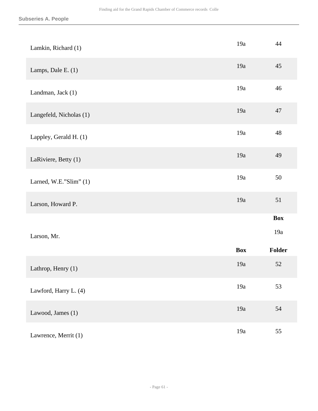| Lamkin, Richard (1)     | 19a        | 44                |
|-------------------------|------------|-------------------|
| Lamps, Dale E. (1)      | 19a        | 45                |
| Landman, Jack (1)       | 19a        | 46                |
| Langefeld, Nicholas (1) | 19a        | 47                |
| Lappley, Gerald H. (1)  | 19a        | 48                |
| LaRiviere, Betty (1)    | 19a        | 49                |
| Larned, W.E."Slim" (1)  | 19a        | 50                |
| Larson, Howard P.       | 19a        | 51                |
| Larson, Mr.             |            | <b>Box</b><br>19a |
|                         | <b>Box</b> | Folder            |
| Lathrop, Henry (1)      | 19a        | 52                |
| Lawford, Harry L. (4)   | 19a        | 53                |
| Lawood, James (1)       | 19a        | 54                |
| Lawrence, Merrit (1)    | 19a        | 55                |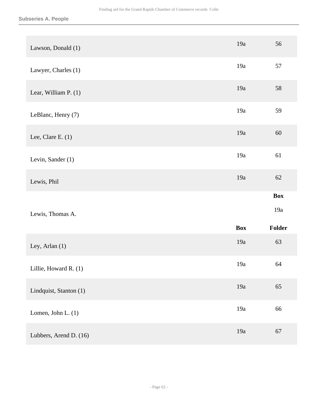| Lawson, Donald (1)     | 19a        | 56                          |
|------------------------|------------|-----------------------------|
| Lawyer, Charles (1)    | 19a        | 57                          |
| Lear, William P. (1)   | 19a        | 58                          |
| LeBlanc, Henry (7)     | 19a        | 59                          |
| Lee, Clare E. $(1)$    | 19a        | 60                          |
| Levin, Sander (1)      | 19a        | 61                          |
| Lewis, Phil            | 19a        | 62                          |
|                        |            |                             |
| Lewis, Thomas A.       | <b>Box</b> | <b>Box</b><br>19a<br>Folder |
| Ley, Arlan (1)         | 19a        | 63                          |
| Lillie, Howard R. (1)  | 19a        | 64                          |
| Lindquist, Stanton (1) | 19a        | 65                          |
| Lomen, John L. (1)     | 19a        | 66                          |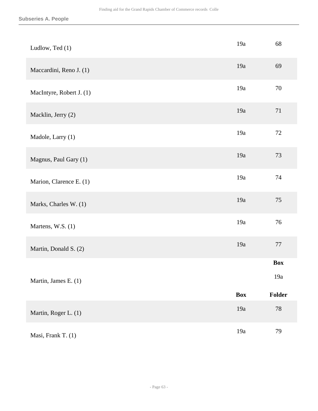| Ludlow, Ted (1)          | 19a        | 68         |
|--------------------------|------------|------------|
| Maccardini, Reno J. (1)  | 19a        | 69         |
| MacIntyre, Robert J. (1) | 19a        | 70         |
| Macklin, Jerry (2)       | 19a        | 71         |
| Madole, Larry (1)        | 19a        | $72\,$     |
| Magnus, Paul Gary (1)    | 19a        | 73         |
| Marion, Clarence E. (1)  | 19a        | 74         |
| Marks, Charles W. (1)    | 19a        | 75         |
| Martens, W.S. (1)        | 19a        | 76         |
| Martin, Donald S. (2)    | 19a        | 77         |
|                          |            | <b>Box</b> |
| Martin, James E. (1)     |            | $19a$      |
|                          | <b>Box</b> | Folder     |
| Martin, Roger L. (1)     | 19a        | $78\,$     |
| Masi, Frank T. (1)       | 19a        | 79         |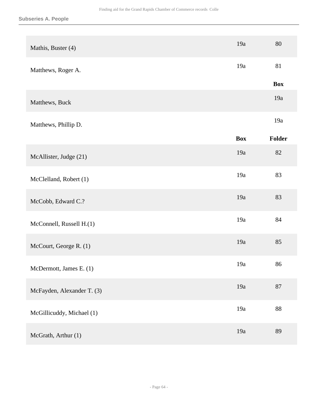| Mathis, Buster (4)         | 19a        | 80         |
|----------------------------|------------|------------|
| Matthews, Roger A.         | 19a        | 81         |
|                            |            | <b>Box</b> |
| Matthews, Buck             |            | 19a        |
| Matthews, Phillip D.       |            | 19a        |
|                            | <b>Box</b> | Folder     |
| McAllister, Judge (21)     | 19a        | 82         |
| McClelland, Robert (1)     | 19a        | 83         |
| McCobb, Edward C.?         | 19a        | 83         |
| McConnell, Russell H.(1)   | 19a        | 84         |
| McCourt, George R. (1)     | 19a        | 85         |
| McDermott, James E. (1)    | 19a        | 86         |
| McFayden, Alexander T. (3) | 19a        | 87         |
| McGillicuddy, Michael (1)  | 19a        | 88         |
| McGrath, Arthur (1)        | 19a        | 89         |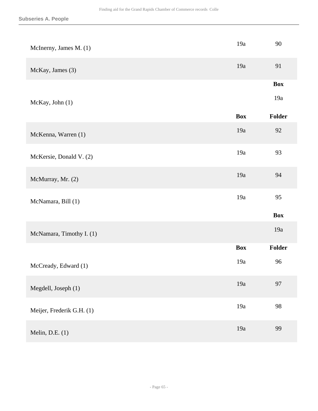| McInerny, James M. (1)    | 19a        | 90         |
|---------------------------|------------|------------|
| McKay, James (3)          | 19a        | 91         |
|                           |            | <b>Box</b> |
| McKay, John (1)           |            | 19a        |
|                           | <b>Box</b> | Folder     |
| McKenna, Warren (1)       | 19a        | 92         |
| McKersie, Donald V. (2)   | 19a        | 93         |
| McMurray, Mr. (2)         | 19a        | 94         |
| McNamara, Bill (1)        | 19a        | 95         |
|                           |            | <b>Box</b> |
| McNamara, Timothy I. (1)  |            | 19a        |
|                           | <b>Box</b> | Folder     |
| McCready, Edward (1)      | 19a        | 96         |
| Megdell, Joseph (1)       | 19a        | 97         |
| Meijer, Frederik G.H. (1) | 19a        | 98         |
| Melin, D.E. $(1)$         | 19a        | 99         |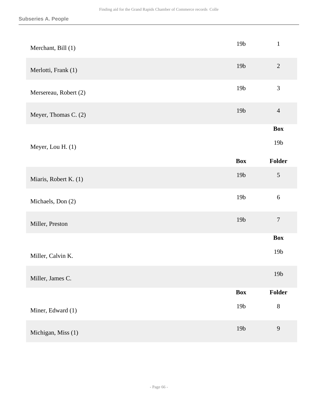| Merchant, Bill (1)    | 19 <sub>b</sub> | $\mathbf{1}$     |
|-----------------------|-----------------|------------------|
| Merlotti, Frank (1)   | 19 <sub>b</sub> | $\overline{2}$   |
| Mersereau, Robert (2) | 19 <sub>b</sub> | $\mathfrak{Z}$   |
| Meyer, Thomas C. (2)  | 19 <b>b</b>     | $\overline{4}$   |
|                       |                 | <b>Box</b>       |
| Meyer, Lou H. (1)     |                 | 19 <sub>b</sub>  |
|                       | <b>Box</b>      | Folder           |
| Miaris, Robert K. (1) | 19 <sub>b</sub> | $\sqrt{5}$       |
| Michaels, Don (2)     | 19 <sub>b</sub> | $6\,$            |
| Miller, Preston       | 19 <b>b</b>     | $\boldsymbol{7}$ |
|                       |                 | <b>Box</b>       |
| Miller, Calvin K.     |                 | 19 <sub>b</sub>  |
| Miller, James C.      |                 | 19 <sub>b</sub>  |
|                       | <b>Box</b>      | Folder           |
| Miner, Edward (1)     | $19b$           | $8\,$            |
| Michigan, Miss (1)    | 19 <sub>b</sub> | $\mathbf{9}$     |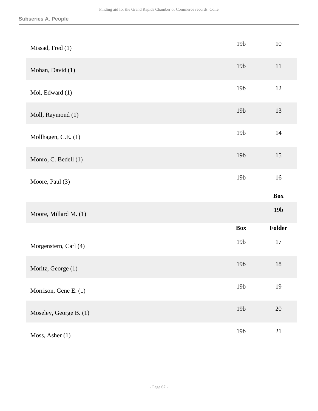| Missad, Fred (1)       | 19 <sub>b</sub> | 10              |
|------------------------|-----------------|-----------------|
| Mohan, David (1)       | 19 <sub>b</sub> | 11              |
| Mol, Edward (1)        | 19 <sub>b</sub> | $12\,$          |
| Moll, Raymond (1)      | 19 <sub>b</sub> | 13              |
| Mollhagen, C.E. (1)    | 19 <sub>b</sub> | $14$            |
| Monro, C. Bedell (1)   | 19 <sub>b</sub> | 15              |
| Moore, Paul (3)        | 19 <sub>b</sub> | 16              |
|                        |                 |                 |
|                        |                 | <b>Box</b>      |
| Moore, Millard M. (1)  |                 | 19 <sub>b</sub> |
|                        | <b>Box</b>      | Folder          |
| Morgenstern, Carl (4)  | 19 <sub>b</sub> | $17\,$          |
| Moritz, George (1)     | 19 <sub>b</sub> | 18              |
| Morrison, Gene E. (1)  | 19 <sub>b</sub> | 19              |
| Moseley, George B. (1) | 19 <b>b</b>     | 20              |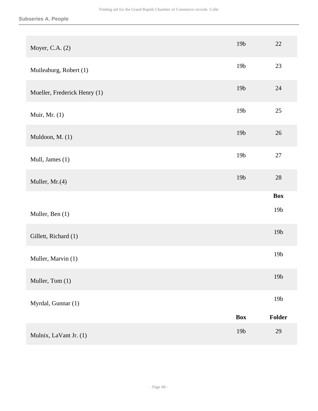| Moyer, C.A. (2)              | 19 <sub>b</sub> | 22              |
|------------------------------|-----------------|-----------------|
| Muileaburg, Robert (1)       | 19 <sub>b</sub> | 23              |
| Mueller, Frederick Henry (1) | 19 <sub>b</sub> | 24              |
| Muir, Mr. (1)                | 19 <sub>b</sub> | $25\,$          |
| Muldoon, M. (1)              | 19 <sub>b</sub> | 26              |
| Mull, James (1)              | 19 <sub>b</sub> | 27              |
| Muller, Mr.(4)               | 19 <sub>b</sub> | $28\,$          |
|                              |                 | <b>Box</b>      |
| Muller, Ben (1)              |                 | 19 <sub>b</sub> |
| Gillett, Richard (1)         |                 | 19 <sub>b</sub> |
| Muller, Marvin (1)           |                 | 19 <sub>b</sub> |
| Muller, Tom (1)              |                 | 19 <sub>b</sub> |
| Myrdal, Gunnar (1)           |                 | 19 <sub>b</sub> |
|                              | <b>Box</b>      | Folder          |
| Mulnix, LaVant Jr. (1)       | 19b             | 29              |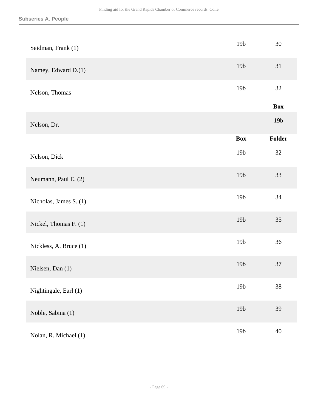| Seidman, Frank (1)     | 19 <sub>b</sub> | 30         |
|------------------------|-----------------|------------|
| Namey, Edward D.(1)    | 19 <sub>b</sub> | 31         |
| Nelson, Thomas         | 19 <sub>b</sub> | 32         |
|                        |                 | <b>Box</b> |
| Nelson, Dr.            |                 | 19b        |
|                        | <b>Box</b>      | Folder     |
| Nelson, Dick           | 19 <sub>b</sub> | 32         |
| Neumann, Paul E. (2)   | 19 <sub>b</sub> | 33         |
| Nicholas, James S. (1) | 19 <sub>b</sub> | 34         |
| Nickel, Thomas F. (1)  | 19 <sub>b</sub> | 35         |
| Nickless, A. Bruce (1) | 19 <sub>b</sub> | 36         |
| Nielsen, Dan (1)       | 19 <sub>b</sub> | 37         |
| Nightingale, Earl (1)  | 19 <sub>b</sub> | 38         |
| Noble, Sabina (1)      | 19b             | 39         |
| Nolan, R. Michael (1)  | 19 <sub>b</sub> | $40\,$     |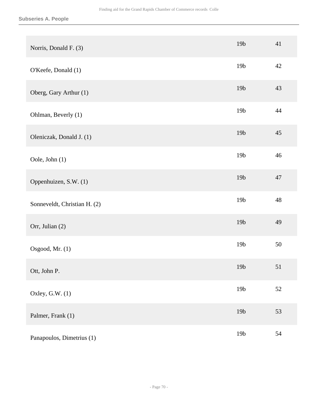| Norris, Donald F. (3)        | 19 <sub>b</sub> | 41     |
|------------------------------|-----------------|--------|
| O'Keefe, Donald (1)          | 19 <sub>b</sub> | 42     |
| Oberg, Gary Arthur (1)       | 19 <sub>b</sub> | 43     |
| Ohlman, Beverly (1)          | 19 <sub>b</sub> | 44     |
| Oleniczak, Donald J. (1)     | 19 <sub>b</sub> | 45     |
| Oole, John (1)               | 19 <sub>b</sub> | 46     |
| Oppenhuizen, S.W. (1)        | 19 <sub>b</sub> | 47     |
| Sonneveldt, Christian H. (2) | 19 <sub>b</sub> | 48     |
| Orr, Julian (2)              | 19 <sub>b</sub> | 49     |
| Osgood, Mr. (1)              | 19 <sub>b</sub> | $50\,$ |
| Ott, John P.                 | 19 <sub>b</sub> | 51     |
| Oxley, G.W. (1)              | 19 <sub>b</sub> | 52     |
| Palmer, Frank (1)            | 19 <sub>b</sub> | 53     |
| Panapoulos, Dimetrius (1)    | 19 <sub>b</sub> | 54     |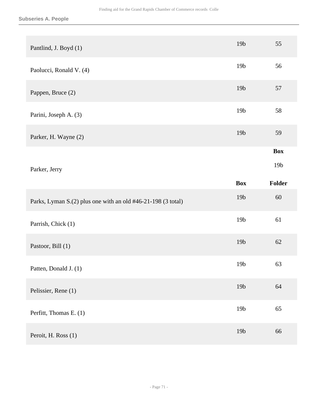| Pantlind, J. Boyd (1)                                        | 19 <sub>b</sub> | 55              |
|--------------------------------------------------------------|-----------------|-----------------|
| Paolucci, Ronald V. (4)                                      | 19 <sub>b</sub> | 56              |
| Pappen, Bruce (2)                                            | 19 <sub>b</sub> | 57              |
| Parini, Joseph A. (3)                                        | 19 <sub>b</sub> | 58              |
| Parker, H. Wayne (2)                                         | 19 <sub>b</sub> | 59              |
|                                                              |                 | <b>Box</b>      |
| Parker, Jerry                                                |                 | 19 <sub>b</sub> |
|                                                              |                 |                 |
|                                                              | <b>Box</b>      | Folder          |
| Parks, Lyman S.(2) plus one with an old #46-21-198 (3 total) | 19 <sub>b</sub> | 60              |
| Parrish, Chick (1)                                           | 19 <sub>b</sub> | 61              |
| Pastoor, Bill (1)                                            | 19 <sub>b</sub> | $62\,$          |
| Patten, Donald J. (1)                                        | 19 <sub>b</sub> | 63              |
| Pelissier, Rene (1)                                          | 19b             | 64              |
| Perfitt, Thomas E. (1)                                       | 19 <sub>b</sub> | 65              |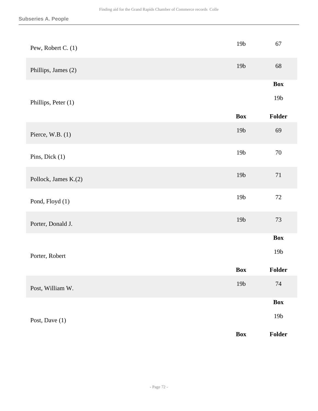| Pew, Robert C. (1)   | 19 <sub>b</sub> | 67              |
|----------------------|-----------------|-----------------|
| Phillips, James (2)  | 19 <sub>b</sub> | 68              |
|                      |                 | <b>Box</b>      |
| Phillips, Peter (1)  |                 | 19 <sub>b</sub> |
|                      | <b>Box</b>      | Folder          |
| Pierce, W.B. $(1)$   | 19 <sub>b</sub> | 69              |
| Pins, Dick (1)       | 19 <sub>b</sub> | $70\,$          |
| Pollock, James K.(2) | 19 <sub>b</sub> | $71\,$          |
| Pond, Floyd (1)      | 19 <sub>b</sub> | $72\,$          |
| Porter, Donald J.    | 19 <sub>b</sub> | $73\,$          |
|                      |                 | <b>Box</b>      |
| Porter, Robert       |                 | 19 <sub>b</sub> |
|                      | Box             | Folder          |
| Post, William W.     | 19 <sub>b</sub> | $74\,$          |
|                      |                 | <b>Box</b>      |
| Post, Dave (1)       |                 | $19b$           |
|                      | Box             | Folder          |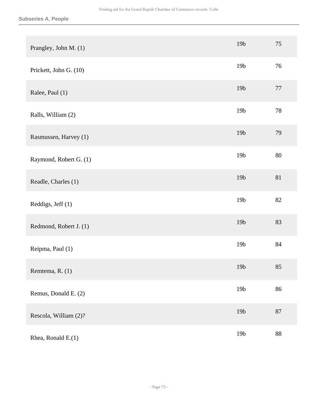| Prangley, John M. (1)  | 19 <sub>b</sub> | 75     |
|------------------------|-----------------|--------|
| Prickett, John G. (10) | 19 <sub>b</sub> | 76     |
| Ralee, Paul (1)        | 19 <sub>b</sub> | $77\,$ |
| Ralls, William (2)     | 19 <sub>b</sub> | 78     |
| Rasmussen, Harvey (1)  | 19 <sub>b</sub> | 79     |
| Raymond, Robert G. (1) | 19 <sub>b</sub> | 80     |
| Readle, Charles (1)    | 19 <sub>b</sub> | 81     |
| Reddigs, Jeff (1)      | 19 <sub>b</sub> | 82     |
| Redmond, Robert J. (1) | 19 <sub>b</sub> | 83     |
| Reipma, Paul (1)       | 19 <sub>b</sub> | 84     |
| Remtema, R. (1)        | 19 <sub>b</sub> | 85     |
| Remus, Donald E. (2)   | 19 <sub>b</sub> | 86     |
| Rescola, William (2)?  | 19 <sub>b</sub> | $87\,$ |
| Rhea, Ronald E.(1)     | 19 <sub>b</sub> | 88     |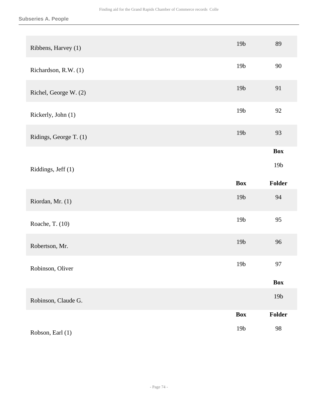| Ribbens, Harvey (1)    | 19 <sub>b</sub> | 89              |
|------------------------|-----------------|-----------------|
| Richardson, R.W. (1)   | 19 <sub>b</sub> | 90              |
| Richel, George W. (2)  | 19 <sub>b</sub> | 91              |
| Rickerly, John (1)     | 19 <sub>b</sub> | 92              |
| Ridings, George T. (1) | 19b             | 93              |
|                        |                 | <b>Box</b>      |
| Riddings, Jeff (1)     |                 | 19 <sub>b</sub> |
|                        |                 |                 |
|                        | <b>Box</b>      | Folder          |
| Riordan, Mr. (1)       | 19 <sub>b</sub> | 94              |
| Roache, T. (10)        | 19 <sub>b</sub> | 95              |
| Robertson, Mr.         | 19 <sub>b</sub> | 96              |
| Robinson, Oliver       | 19 <sub>b</sub> | 97              |
|                        |                 | <b>Box</b>      |
| Robinson, Claude G.    |                 | 19b             |
|                        | <b>Box</b>      | Folder          |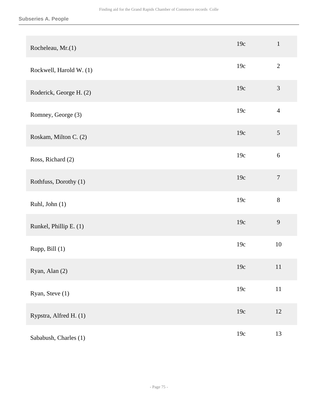| Rocheleau, Mr.(1)       | 19c | $\mathbf 1$      |
|-------------------------|-----|------------------|
| Rockwell, Harold W. (1) | 19c | $\overline{2}$   |
| Roderick, George H. (2) | 19c | 3                |
| Romney, George (3)      | 19c | $\overline{4}$   |
| Roskam, Milton C. (2)   | 19c | $\sqrt{5}$       |
| Ross, Richard (2)       | 19c | 6                |
| Rothfuss, Dorothy (1)   | 19c | $\boldsymbol{7}$ |
| Ruhl, John (1)          | 19c | $8\,$            |
| Runkel, Phillip E. (1)  | 19c | 9                |
| Rupp, Bill (1)          | 19c | 10               |
| Ryan, Alan (2)          | 19c | 11               |
| Ryan, Steve (1)         | 19c | $11\,$           |
| Rypstra, Alfred H. (1)  | 19c | $12\,$           |
| Sababush, Charles (1)   | 19c | 13               |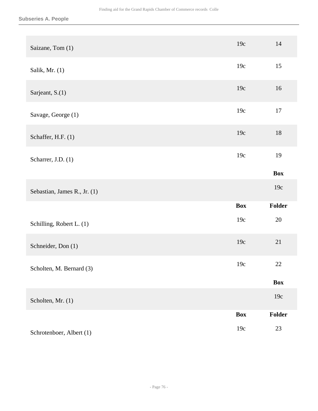| Saizane, Tom (1)             | 19c        | $14\,$     |
|------------------------------|------------|------------|
| Salik, Mr. $(1)$             | 19c        | 15         |
| Sarjeant, S.(1)              | 19c        | 16         |
| Savage, George (1)           | 19c        | $17\,$     |
| Schaffer, H.F. (1)           | 19c        | $18\,$     |
| Scharrer, J.D. (1)           | 19c        | 19         |
|                              |            | <b>Box</b> |
| Sebastian, James R., Jr. (1) |            | 19c        |
|                              | <b>Box</b> | Folder     |
| Schilling, Robert L. (1)     | 19c        | $20\,$     |
| Schneider, Don (1)           | 19c        | 21         |
| Scholten, M. Bernard (3)     | 19c        | 22         |
|                              |            | <b>Box</b> |
| Scholten, Mr. (1)            |            | 19c        |
|                              | <b>Box</b> | Folder     |
| Schrotenboer, Albert (1)     | 19c        | 23         |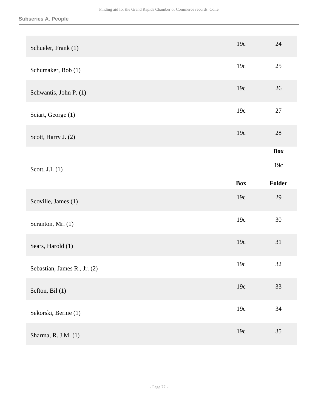| Schueler, Frank (1)          | 19c        | 24         |
|------------------------------|------------|------------|
| Schumaker, Bob (1)           | 19c        | 25         |
| Schwantis, John P. (1)       | 19c        | 26         |
| Sciart, George (1)           | 19c        | $27\,$     |
| Scott, Harry J. (2)          | 19c        | 28         |
|                              |            | <b>Box</b> |
| Scott, J.I. (1)              |            | 19c        |
|                              |            |            |
|                              | <b>Box</b> | Folder     |
| Scoville, James (1)          | 19c        | 29         |
| Scranton, Mr. (1)            | 19c        | 30         |
| Sears, Harold (1)            | 19c        | 31         |
| Sebastian, James R., Jr. (2) | 19c        | 32         |
| Sefton, Bil (1)              | 19c        | 33         |
| Sekorski, Bernie (1)         | 19c        | 34         |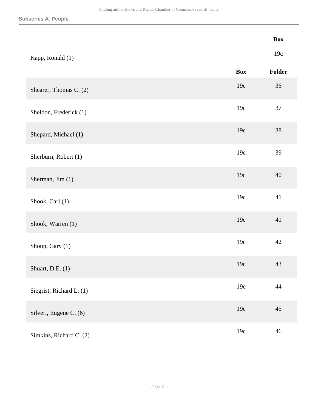|                          |            | <b>Box</b> |
|--------------------------|------------|------------|
| Kapp, Ronald (1)         |            | 19c        |
|                          | <b>Box</b> | Folder     |
| Shearer, Thomas C. (2)   | 19c        | 36         |
| Sheldon, Frederick (1)   | 19c        | 37         |
| Shepard, Michael (1)     | 19c        | 38         |
| Sherburn, Robert (1)     | 19c        | 39         |
| Sherman, Jim (1)         | 19c        | 40         |
| Shook, Carl (1)          | 19c        | 41         |
| Shook, Warren (1)        | 19c        | 41         |
| Shoup, Gary (1)          | 19c        | 42         |
| Shuart, D.E. (1)         | 19c        | 43         |
| Siegrist, Richard L. (1) | 19c        | 44         |
| Silveri, Eugene C. (6)   | 19c        | 45         |
| Simkins, Richard C. (2)  | 19c        | 46         |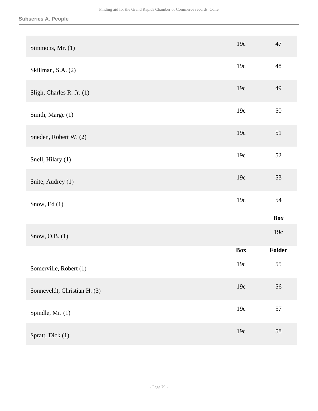| Simmons, Mr. (1)             | 19c        | 47         |
|------------------------------|------------|------------|
| Skillman, S.A. (2)           | 19c        | 48         |
| Sligh, Charles R. Jr. (1)    | 19c        | 49         |
| Smith, Marge (1)             | 19c        | $50\,$     |
| Sneden, Robert W. (2)        | 19c        | 51         |
| Snell, Hilary (1)            | 19c        | 52         |
| Snite, Audrey (1)            | 19c        | 53         |
| Snow, Ed (1)                 | 19c        | 54         |
|                              |            | <b>Box</b> |
| Snow, O.B. (1)               |            | 19c        |
|                              | <b>Box</b> | Folder     |
| Somerville, Robert (1)       | 19c        | 55         |
| Sonneveldt, Christian H. (3) | 19c        | 56         |
| Spindle, Mr. (1)             | 19c        | 57         |
| Spratt, Dick (1)             | 19c        | 58         |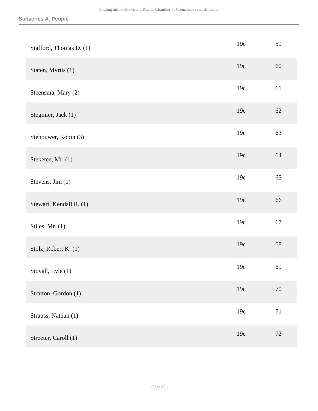| Stafford, Thomas D. (1) | 19c | 59     |
|-------------------------|-----|--------|
| Staten, Myrtis (1)      | 19c | 60     |
| Steensma, Mary (2)      | 19c | 61     |
| Stegmier, Jack (1)      | 19c | 62     |
| Stehouwer, Robin (3)    | 19c | 63     |
| Steketee, Mr. (1)       | 19c | 64     |
| Stevens, Jim (1)        | 19c | 65     |
| Stewart, Kendall R. (1) | 19c | 66     |
| Stiles, Mr. (1)         | 19c | 67     |
| Stolz, Robert K. (1)    | 19c | 68     |
| Stovall, Lyle (1)       | 19c | 69     |
| Stratton, Gordon (1)    | 19c | 70     |
| Strauss, Nathan (1)     | 19c | $71\,$ |
| Streeter, Caroll (1)    | 19c | $72\,$ |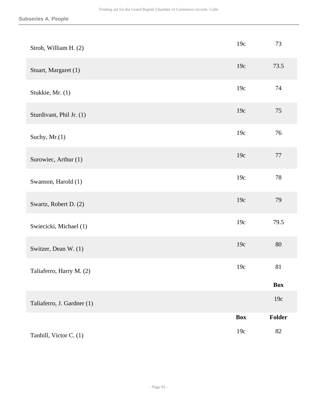| Stroh, William H. (2)      | 19c        | 73         |
|----------------------------|------------|------------|
| Stuart, Margaret (1)       | 19c        | 73.5       |
| Stukkie, Mr. (1)           | 19c        | 74         |
| Sturdivant, Phil Jr. (1)   | 19c        | 75         |
| Suchy, Mr.(1)              | 19c        | 76         |
| Surowiec, Arthur (1)       | 19c        | 77         |
| Swanson, Harold (1)        | 19c        | $78\,$     |
| Swartz, Robert D. (2)      | 19c        | 79         |
| Swiecicki, Michael (1)     | 19c        | 79.5       |
| Switzer, Dean W. (1)       | 19c        | 80         |
| Taliaferro, Harry M. (2)   | 19c        | 81         |
|                            |            | <b>Box</b> |
| Taliaferro, J. Gardner (1) |            | 19c        |
|                            | <b>Box</b> | Folder     |
| Tanhill, Victor C. (1)     | 19c        | 82         |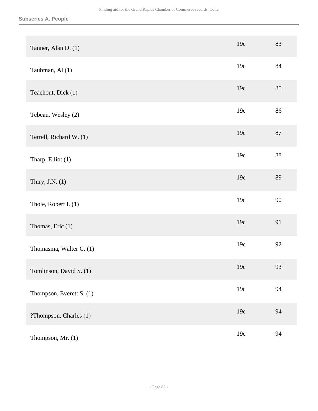| Tanner, Alan D. (1)      | 19c | 83 |
|--------------------------|-----|----|
| Taubman, Al (1)          | 19c | 84 |
| Teachout, Dick (1)       | 19c | 85 |
| Tebeau, Wesley (2)       | 19c | 86 |
| Terrell, Richard W. (1)  | 19c | 87 |
| Tharp, Elliot (1)        | 19c | 88 |
| Thiry, J.N. $(1)$        | 19c | 89 |
| Thole, Robert I. (1)     | 19c | 90 |
| Thomas, Eric (1)         | 19c | 91 |
| Thomasma, Walter C. (1)  | 19c | 92 |
| Tomlinson, David S. (1)  | 19c | 93 |
| Thompson, Everett S. (1) | 19c | 94 |
| ?Thompson, Charles (1)   | 19c | 94 |
| Thompson, Mr. (1)        | 19c | 94 |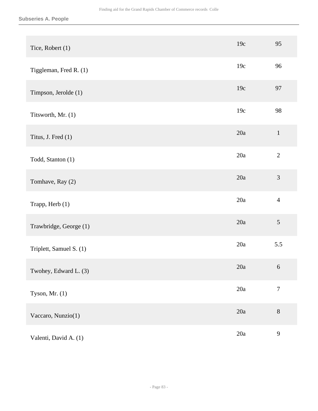| Tice, Robert (1)        | 19c | 95               |
|-------------------------|-----|------------------|
| Tiggleman, Fred R. (1)  | 19c | 96               |
| Timpson, Jerolde (1)    | 19c | 97               |
| Titsworth, Mr. (1)      | 19c | 98               |
| Titus, J. Fred (1)      | 20a | $\mathbf{1}$     |
| Todd, Stanton (1)       | 20a | $\overline{2}$   |
| Tomhave, Ray (2)        | 20a | 3                |
| Trapp, Herb (1)         | 20a | $\overline{4}$   |
| Trawbridge, George (1)  | 20a | $\sqrt{5}$       |
| Triplett, Samuel S. (1) | 20a | 5.5              |
| Twohey, Edward L. (3)   | 20a | $\sqrt{6}$       |
| Tyson, Mr. $(1)$        | 20a | $\boldsymbol{7}$ |
| Vaccaro, Nunzio(1)      | 20a | $8\,$            |
| Valenti, David A. (1)   | 20a | $\mathbf{9}$     |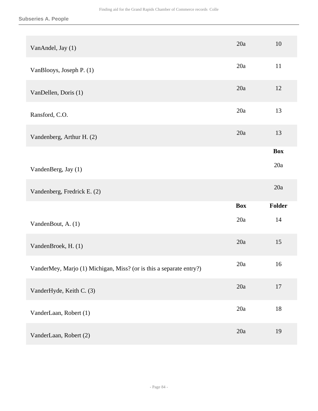| VanAndel, Jay (1)                                                   | 20a        | 10         |
|---------------------------------------------------------------------|------------|------------|
| VanBlooys, Joseph P. (1)                                            | 20a        | 11         |
| VanDellen, Doris (1)                                                | 20a        | 12         |
| Ransford, C.O.                                                      | 20a        | 13         |
| Vandenberg, Arthur H. (2)                                           | 20a        | 13         |
|                                                                     |            | <b>Box</b> |
| VandenBerg, Jay (1)                                                 |            | 20a        |
|                                                                     |            |            |
| Vandenberg, Fredrick E. (2)                                         |            | 20a        |
|                                                                     | <b>Box</b> | Folder     |
| VandenBout, A. (1)                                                  | 20a        | 14         |
| VandenBroek, H. (1)                                                 | 20a        | 15         |
| VanderMey, Marjo (1) Michigan, Miss? (or is this a separate entry?) | 20a        | 16         |
| VanderHyde, Keith C. (3)                                            | 20a        | $17\,$     |
| VanderLaan, Robert (1)                                              | 20a        | $18\,$     |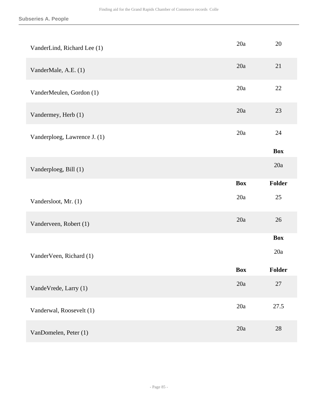| VanderLind, Richard Lee (1)  | 20a        | 20            |
|------------------------------|------------|---------------|
| VanderMale, A.E. (1)         | 20a        | 21            |
| VanderMeulen, Gordon (1)     | 20a        | 22            |
| Vandermey, Herb (1)          | 20a        | 23            |
| Vanderploeg, Lawrence J. (1) | 20a        | 24            |
|                              |            | <b>Box</b>    |
| Vanderploeg, Bill (1)        |            | 20a           |
|                              | <b>Box</b> | Folder        |
| Vandersloot, Mr. (1)         | 20a        | 25            |
| Vanderveen, Robert (1)       | 20a        | 26            |
|                              |            | <b>Box</b>    |
| VanderVeen, Richard (1)      |            | 20a           |
|                              | <b>Box</b> | <b>Folder</b> |
| VandeVrede, Larry (1)        | 20a        | $27\,$        |
| Vanderwal, Roosevelt (1)     | 20a        | 27.5          |
| VanDomelen, Peter (1)        | 20a        | 28            |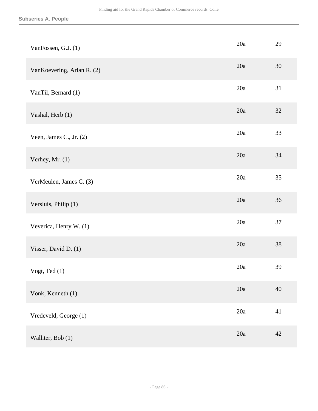| VanFossen, G.J. (1)        | 20a | 29     |
|----------------------------|-----|--------|
| VanKoevering, Arlan R. (2) | 20a | $30\,$ |
| VanTil, Bernard (1)        | 20a | 31     |
| Vashal, Herb (1)           | 20a | $32\,$ |
| Veen, James C., Jr. (2)    | 20a | 33     |
| Verhey, Mr. (1)            | 20a | 34     |
| VerMeulen, James C. (3)    | 20a | 35     |
| Versluis, Philip (1)       | 20a | 36     |
| Veverica, Henry W. (1)     | 20a | 37     |
| Visser, David D. (1)       | 20a | $38\,$ |
| Vogt, Ted $(1)$            | 20a | 39     |
| Vonk, Kenneth (1)          | 20a | 40     |
| Vredeveld, George (1)      | 20a | 41     |
| Walhter, Bob (1)           | 20a | 42     |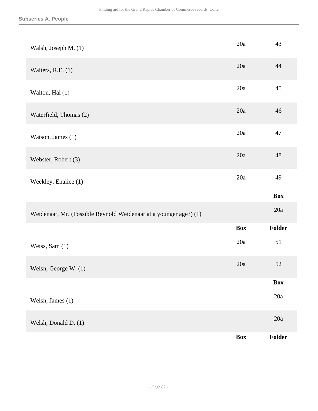| Walsh, Joseph M. (1)                                              | 20a        | 43             |
|-------------------------------------------------------------------|------------|----------------|
| Walters, R.E. $(1)$                                               | 20a        | 44             |
| Walton, Hal (1)                                                   | 20a        | 45             |
| Waterfield, Thomas (2)                                            | 20a        | 46             |
| Watson, James (1)                                                 | 20a        | 47             |
| Webster, Robert (3)                                               | 20a        | 48             |
| Weekley, Enalice (1)                                              | 20a        | 49             |
|                                                                   |            | <b>Box</b>     |
| Weidenaar, Mr. (Possible Reynold Weidenaar at a younger age?) (1) |            | 20a            |
|                                                                   | <b>Box</b> | Folder         |
| Weiss, Sam (1)                                                    | 20a        | 51             |
| Welsh, George W. (1)                                              | 20a        | $52\,$         |
|                                                                   |            | <b>Box</b>     |
| Welsh, James (1)                                                  |            | $20\mathrm{a}$ |
| Welsh, Donald D. (1)                                              |            | $20a$          |
|                                                                   | <b>Box</b> | Folder         |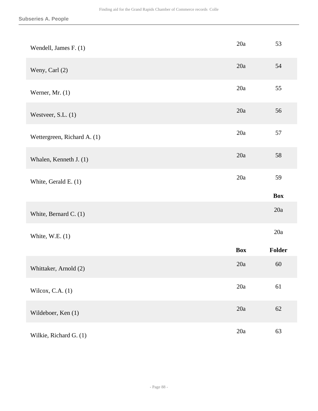| Wendell, James F. (1)       | 20a        | 53         |
|-----------------------------|------------|------------|
| Weny, Carl (2)              | 20a        | 54         |
| Werner, Mr. $(1)$           | 20a        | 55         |
| Westveer, S.L. (1)          | 20a        | 56         |
| Wettergreen, Richard A. (1) | 20a        | 57         |
| Whalen, Kenneth J. (1)      | 20a        | 58         |
| White, Gerald E. (1)        | 20a        | 59         |
|                             |            | <b>Box</b> |
| White, Bernard C. (1)       |            | 20a        |
| White, W.E. $(1)$           |            | 20a        |
|                             | <b>Box</b> | Folder     |
| Whittaker, Arnold (2)       | 20a        | 60         |
| Wilcox, C.A. $(1)$          | 20a        | 61         |
| Wildeboer, Ken (1)          | 20a        | 62         |
| Wilkie, Richard G. (1)      | 20a        | 63         |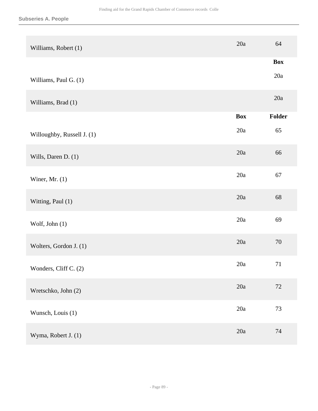| Williams, Robert (1)       | 20a        | 64         |
|----------------------------|------------|------------|
|                            |            | <b>Box</b> |
| Williams, Paul G. (1)      |            | 20a        |
| Williams, Brad (1)         |            | 20a        |
|                            | <b>Box</b> | Folder     |
| Willoughby, Russell J. (1) | 20a        | 65         |
| Wills, Daren D. (1)        | 20a        | 66         |
| Winer, Mr. $(1)$           | 20a        | 67         |
| Witting, Paul (1)          | 20a        | 68         |
| Wolf, John (1)             | 20a        | 69         |
| Wolters, Gordon J. (1)     | 20a        | 70         |
| Wonders, Cliff C. (2)      | 20a        | $71\,$     |
| Wretschko, John (2)        | 20a        | $72\,$     |
| Wunsch, Louis (1)          | 20a        | $73\,$     |
| Wyma, Robert J. (1)        | 20a        | 74         |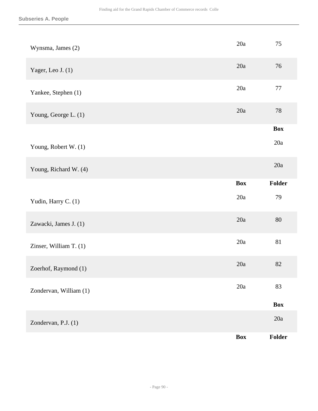| Wynsma, James (2)      | 20a        | 75         |
|------------------------|------------|------------|
| Yager, Leo J. (1)      | 20a        | 76         |
| Yankee, Stephen (1)    | 20a        | $77\,$     |
| Young, George L. (1)   | 20a        | $78\,$     |
|                        |            | <b>Box</b> |
| Young, Robert W. (1)   |            | 20a        |
| Young, Richard W. (4)  |            | 20a        |
|                        | <b>Box</b> | Folder     |
| Yudin, Harry C. (1)    | 20a        | 79         |
| Zawacki, James J. (1)  | 20a        | $80\,$     |
| Zinser, William T. (1) | 20a        | 81         |
| Zoerhof, Raymond (1)   | 20a        | 82         |
| Zondervan, William (1) | 20a        | 83         |
|                        |            | Box        |
| Zondervan, P.J. (1)    |            | 20a        |
|                        | <b>Box</b> | Folder     |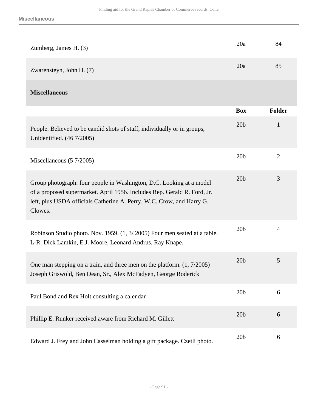| Zumberg, James H. (3)                                                                                                                                                                                                                | 20a             | 84             |
|--------------------------------------------------------------------------------------------------------------------------------------------------------------------------------------------------------------------------------------|-----------------|----------------|
| Zwarensteyn, John H. (7)                                                                                                                                                                                                             | 20a             | 85             |
| <b>Miscellaneous</b>                                                                                                                                                                                                                 |                 |                |
|                                                                                                                                                                                                                                      | <b>Box</b>      | <b>Folder</b>  |
| People. Believed to be candid shots of staff, individually or in groups,<br>Unidentified. (46 7/2005)                                                                                                                                | 20 <sub>b</sub> | $\mathbf{1}$   |
| Miscellaneous $(57/2005)$                                                                                                                                                                                                            | 20 <sub>b</sub> | $\overline{2}$ |
| Group photograph: four people in Washington, D.C. Looking at a model<br>of a proposed supermarket. April 1956. Includes Rep. Gerald R. Ford, Jr.<br>left, plus USDA officials Catherine A. Perry, W.C. Crow, and Harry G.<br>Clowes. | 20 <sub>b</sub> | 3              |
| Robinson Studio photo. Nov. 1959. (1, 3/2005) Four men seated at a table.<br>L-R. Dick Lamkin, E.J. Moore, Leonard Andrus, Ray Knape.                                                                                                | 20 <sub>b</sub> | 4              |
| One man stepping on a train, and three men on the platform. $(1, 7/2005)$<br>Joseph Griswold, Ben Dean, Sr., Alex McFadyen, George Roderick                                                                                          | 20 <sub>b</sub> | 5              |
| Paul Bond and Rex Holt consulting a calendar                                                                                                                                                                                         | 20 <sub>b</sub> | 6              |
| Phillip E. Runker received aware from Richard M. Gillett                                                                                                                                                                             | 20 <sub>b</sub> | 6              |
| Edward J. Frey and John Casselman holding a gift package. Czetli photo.                                                                                                                                                              | 20 <sub>b</sub> | 6              |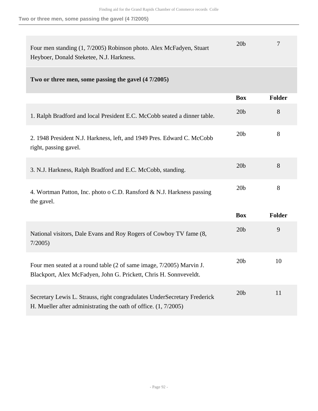**Two or three men, some passing the gavel (4 7/2005)**

| Four men standing (1, 7/2005) Robinson photo. Alex McFadyen, Stuart<br>Heyboer, Donald Steketee, N.J. Harkness.                               | 20 <sub>b</sub> | 7             |
|-----------------------------------------------------------------------------------------------------------------------------------------------|-----------------|---------------|
| Two or three men, some passing the gavel (4 7/2005)                                                                                           |                 |               |
|                                                                                                                                               | <b>Box</b>      | <b>Folder</b> |
| 1. Ralph Bradford and local President E.C. McCobb seated a dinner table.                                                                      | 20 <sub>b</sub> | 8             |
| 2. 1948 President N.J. Harkness, left, and 1949 Pres. Edward C. McCobb<br>right, passing gavel.                                               | 20 <sub>b</sub> | 8             |
| 3. N.J. Harkness, Ralph Bradford and E.C. McCobb, standing.                                                                                   | 20 <sub>b</sub> | 8             |
| 4. Wortman Patton, Inc. photo o C.D. Ransford & N.J. Harkness passing<br>the gavel.                                                           | 20 <sub>b</sub> | 8             |
|                                                                                                                                               | <b>Box</b>      | <b>Folder</b> |
| National visitors, Dale Evans and Roy Rogers of Cowboy TV fame (8,<br>7/2005                                                                  | 20 <sub>b</sub> | 9             |
| Four men seated at a round table (2 of same image, 7/2005) Marvin J.<br>Blackport, Alex McFadyen, John G. Prickett, Chris H. Sonnveveldt.     | 20 <sub>b</sub> | 10            |
| Secretary Lewis L. Strauss, right congradulates UnderSecretary Frederick<br>H. Mueller after administrating the oath of office. $(1, 7/2005)$ | 20 <sub>b</sub> | 11            |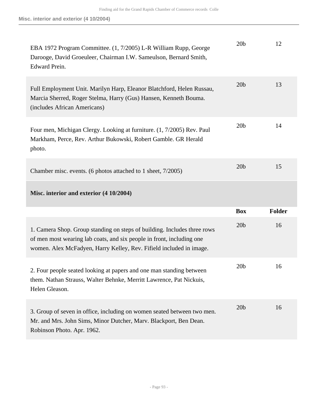| EBA 1972 Program Committee. (1, 7/2005) L-R William Rupp, George<br>Darooge, David Groeuleer, Chairman I.W. Sameulson, Bernard Smith,<br>Edward Prein.                                                                   | 20 <sub>b</sub> | 12     |
|--------------------------------------------------------------------------------------------------------------------------------------------------------------------------------------------------------------------------|-----------------|--------|
| Full Employment Unit. Marilyn Harp, Eleanor Blatchford, Helen Russau,<br>Marcia Sherred, Roger Stelma, Harry (Gus) Hansen, Kenneth Bouma.<br>(includes African Americans)                                                | 20 <sub>b</sub> | 13     |
| Four men, Michigan Clergy. Looking at furniture. (1, 7/2005) Rev. Paul<br>Markham, Perce, Rev. Arthur Bukowski, Robert Gamble. GR Herald<br>photo.                                                                       | 20 <sub>b</sub> | 14     |
| Chamber misc. events. (6 photos attached to 1 sheet, 7/2005)                                                                                                                                                             | 20 <sub>b</sub> | 15     |
| Misc. interior and exterior (4 10/2004)                                                                                                                                                                                  |                 |        |
|                                                                                                                                                                                                                          |                 |        |
|                                                                                                                                                                                                                          | <b>Box</b>      | Folder |
| 1. Camera Shop. Group standing on steps of building. Includes three rows<br>of men most wearing lab coats, and six people in front, including one<br>women. Alex McFadyen, Harry Kelley, Rev. Fifield included in image. | 20 <sub>b</sub> | 16     |
| 2. Four people seated looking at papers and one man standing between<br>them. Nathan Strauss, Walter Behnke, Merritt Lawrence, Pat Nickuis,<br>Helen Gleason.                                                            | 20 <sub>b</sub> | 16     |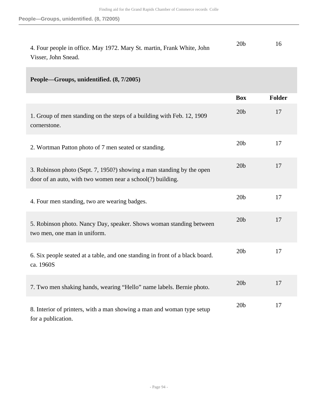| 4. Four people in office. May 1972. Mary St. martin, Frank White, John | 20 <sub>b</sub> |  |
|------------------------------------------------------------------------|-----------------|--|
| Visser, John Snead.                                                    |                 |  |

## **People—Groups, unidentified. (8, 7/2005)**

|                                                                                                                                     | <b>Box</b>      | Folder |
|-------------------------------------------------------------------------------------------------------------------------------------|-----------------|--------|
| 1. Group of men standing on the steps of a building with Feb. 12, 1909<br>cornerstone.                                              | 20 <sub>b</sub> | 17     |
| 2. Wortman Patton photo of 7 men seated or standing.                                                                                | 20 <sub>b</sub> | 17     |
| 3. Robinson photo (Sept. 7, 1950?) showing a man standing by the open<br>door of an auto, with two women near a school(?) building. | 20 <sub>b</sub> | 17     |
| 4. Four men standing, two are wearing badges.                                                                                       | 20 <sub>b</sub> | 17     |
| 5. Robinson photo. Nancy Day, speaker. Shows woman standing between<br>two men, one man in uniform.                                 | 20 <sub>b</sub> | 17     |
| 6. Six people seated at a table, and one standing in front of a black board.<br>ca. 1960S                                           | 20 <sub>b</sub> | 17     |
| 7. Two men shaking hands, wearing "Hello" name labels. Bernie photo.                                                                | 20 <sub>b</sub> | 17     |
| 8. Interior of printers, with a man showing a man and woman type setup<br>for a publication.                                        | 20 <sub>b</sub> | 17     |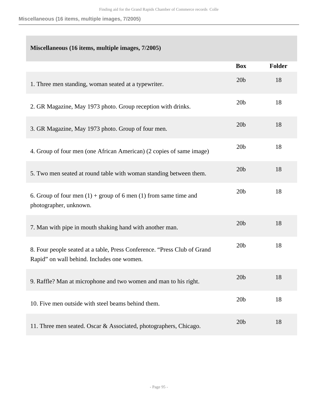**Miscellaneous (16 items, multiple images, 7/2005)**

## **Miscellaneous (16 items, multiple images, 7/2005)**

|                                                                                                                        | <b>Box</b>      | <b>Folder</b> |
|------------------------------------------------------------------------------------------------------------------------|-----------------|---------------|
| 1. Three men standing, woman seated at a typewriter.                                                                   | 20 <sub>b</sub> | 18            |
| 2. GR Magazine, May 1973 photo. Group reception with drinks.                                                           | 20 <sub>b</sub> | 18            |
| 3. GR Magazine, May 1973 photo. Group of four men.                                                                     | 20 <sub>b</sub> | 18            |
| 4. Group of four men (one African American) (2 copies of same image)                                                   | 20 <sub>b</sub> | 18            |
| 5. Two men seated at round table with woman standing between them.                                                     | 20 <sub>b</sub> | 18            |
| 6. Group of four men $(1)$ + group of 6 men $(1)$ from same time and<br>photographer, unknown.                         | 20 <sub>b</sub> | 18            |
| 7. Man with pipe in mouth shaking hand with another man.                                                               | 20 <sub>b</sub> | 18            |
| 8. Four people seated at a table, Press Conference. "Press Club of Grand<br>Rapid" on wall behind. Includes one women. | 20 <sub>b</sub> | 18            |
| 9. Raffle? Man at microphone and two women and man to his right.                                                       | 20 <sub>b</sub> | 18            |
| 10. Five men outside with steel beams behind them.                                                                     | 20 <sub>b</sub> | 18            |
| 11. Three men seated. Oscar & Associated, photographers, Chicago.                                                      | 20 <sub>b</sub> | 18            |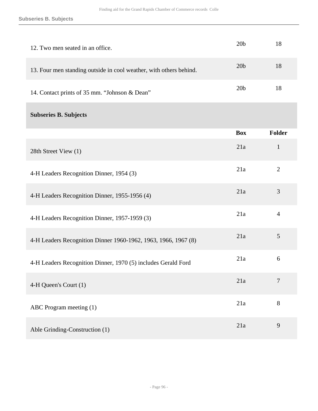| 12. Two men seated in an office.                                   | 20 <sub>b</sub> | 18             |
|--------------------------------------------------------------------|-----------------|----------------|
| 13. Four men standing outside in cool weather, with others behind. | 20 <sub>b</sub> | 18             |
| 14. Contact prints of 35 mm. "Johnson & Dean"                      | 20 <sub>b</sub> | 18             |
| <b>Subseries B. Subjects</b>                                       |                 |                |
|                                                                    | <b>Box</b>      | <b>Folder</b>  |
| 28th Street View (1)                                               | 21a             | $\mathbf{1}$   |
| 4-H Leaders Recognition Dinner, 1954 (3)                           | 21a             | $\overline{2}$ |
| 4-H Leaders Recognition Dinner, 1955-1956 (4)                      | 21a             | 3              |
| 4-H Leaders Recognition Dinner, 1957-1959 (3)                      | 21a             | $\overline{4}$ |
| 4-H Leaders Recognition Dinner 1960-1962, 1963, 1966, 1967 (8)     | 21a             | $\mathfrak{S}$ |
| 4-H Leaders Recognition Dinner, 1970 (5) includes Gerald Ford      | 21a             | 6              |
| 4-H Queen's Court (1)                                              | 21a             | 7              |
| ABC Program meeting (1)                                            | 21a             | 8              |
| Able Grinding-Construction (1)                                     | 21a             | 9              |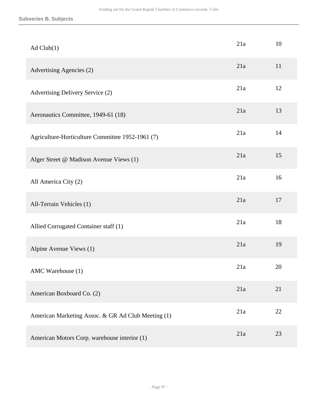| Ad Club(1)                                         | 21a | 10 |
|----------------------------------------------------|-----|----|
| Advertising Agencies (2)                           | 21a | 11 |
| Advertising Delivery Service (2)                   | 21a | 12 |
| Aeronautics Committee, 1949-61 (18)                | 21a | 13 |
| Agriculture-Horticulture Committee 1952-1961 (7)   | 21a | 14 |
| Alger Street @ Madison Avenue Views (1)            | 21a | 15 |
| All America City (2)                               | 21a | 16 |
| All-Terrain Vehicles (1)                           | 21a | 17 |
| Allied Corrugated Container staff (1)              | 21a | 18 |
| Alpine Avenue Views (1)                            | 21a | 19 |
| AMC Warehouse (1)                                  | 21a | 20 |
| American Boxboard Co. (2)                          | 21a | 21 |
| American Marketing Assoc. & GR Ad Club Meeting (1) | 21a | 22 |
| American Motors Corp. warehouse interior (1)       | 21a | 23 |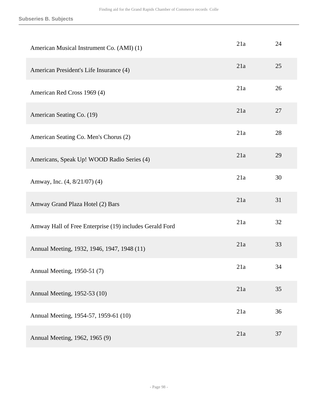| American Musical Instrument Co. (AMI) (1)               | 21a | 24 |
|---------------------------------------------------------|-----|----|
| American President's Life Insurance (4)                 | 21a | 25 |
| American Red Cross 1969 (4)                             | 21a | 26 |
| American Seating Co. (19)                               | 21a | 27 |
| American Seating Co. Men's Chorus (2)                   | 21a | 28 |
| Americans, Speak Up! WOOD Radio Series (4)              | 21a | 29 |
| Amway, Inc. (4, 8/21/07) (4)                            | 21a | 30 |
| Amway Grand Plaza Hotel (2) Bars                        | 21a | 31 |
| Amway Hall of Free Enterprise (19) includes Gerald Ford | 21a | 32 |
| Annual Meeting, 1932, 1946, 1947, 1948 (11)             | 21a | 33 |
| Annual Meeting, 1950-51 (7)                             | 21a | 34 |
| Annual Meeting, 1952-53 (10)                            | 21a | 35 |
| Annual Meeting, 1954-57, 1959-61 (10)                   | 21a | 36 |
| Annual Meeting, 1962, 1965 (9)                          | 21a | 37 |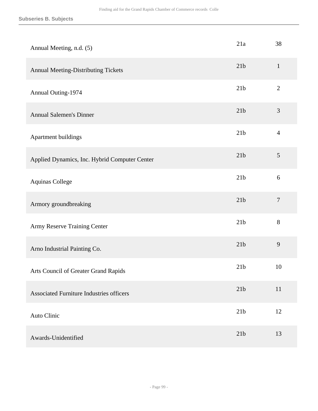| Annual Meeting, n.d. (5)                        | 21a             | 38             |
|-------------------------------------------------|-----------------|----------------|
| Annual Meeting-Distributing Tickets             | 21b             | $\mathbf{1}$   |
| Annual Outing-1974                              | 21b             | $\mathbf{2}$   |
| <b>Annual Salemen's Dinner</b>                  | 21b             | $\mathfrak{Z}$ |
| Apartment buildings                             | 21 <sub>b</sub> | $\overline{4}$ |
| Applied Dynamics, Inc. Hybrid Computer Center   | 21b             | $\mathfrak{S}$ |
| Aquinas College                                 | 21b             | 6              |
| Armory groundbreaking                           | 21b             | $\overline{7}$ |
| Army Reserve Training Center                    | 21 <sub>b</sub> | 8              |
| Arno Industrial Painting Co.                    | 21b             | 9              |
| Arts Council of Greater Grand Rapids            | 21 <sub>b</sub> | 10             |
| <b>Associated Furniture Industries officers</b> | 21 <sub>b</sub> | 11             |
| Auto Clinic                                     | 21b             | 12             |
| Awards-Unidentified                             | 21b             | 13             |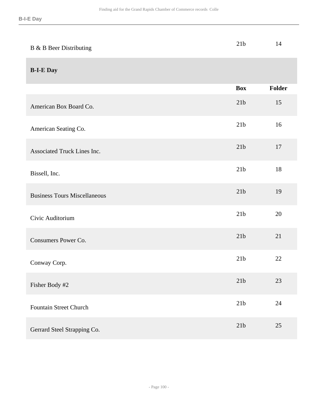| B & B Beer Distributing             | 21b             | 14            |
|-------------------------------------|-----------------|---------------|
| <b>B-I-E Day</b>                    |                 |               |
|                                     | <b>Box</b>      | <b>Folder</b> |
| American Box Board Co.              | 21 <sub>b</sub> | 15            |
| American Seating Co.                | 21 <sub>b</sub> | 16            |
| Associated Truck Lines Inc.         | 21b             | 17            |
| Bissell, Inc.                       | 21b             | 18            |
| <b>Business Tours Miscellaneous</b> | 21 <sub>b</sub> | 19            |
| Civic Auditorium                    | 21 <sub>b</sub> | 20            |
| Consumers Power Co.                 | 21 <sub>b</sub> | 21            |
| Conway Corp.                        | 21 <sub>b</sub> | 22            |
| Fisher Body #2                      | 21b             | 23            |
| <b>Fountain Street Church</b>       | 21b             | 24            |
| Gerrard Steel Strapping Co.         | 21b             | $25\,$        |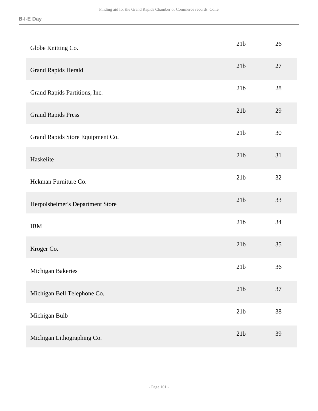| Globe Knitting Co.               | 21b             | 26 |
|----------------------------------|-----------------|----|
| <b>Grand Rapids Herald</b>       | 21b             | 27 |
| Grand Rapids Partitions, Inc.    | 21b             | 28 |
| <b>Grand Rapids Press</b>        | 21b             | 29 |
| Grand Rapids Store Equipment Co. | 21b             | 30 |
| Haskelite                        | 21b             | 31 |
| Hekman Furniture Co.             | 21b             | 32 |
| Herpolsheimer's Department Store | 21b             | 33 |
| <b>IBM</b>                       | 21b             | 34 |
| Kroger Co.                       | 21b             | 35 |
| Michigan Bakeries                | 21 <sub>b</sub> | 36 |
| Michigan Bell Telephone Co.      | $21b$           | 37 |
| Michigan Bulb                    | 21b             | 38 |
| Michigan Lithographing Co.       | 21b             | 39 |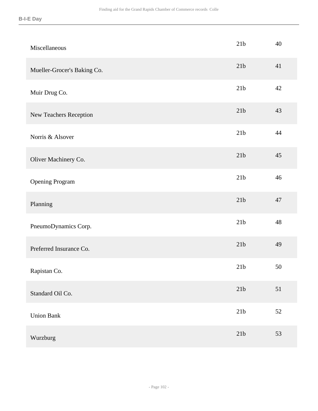| Miscellaneous               | 21b            | 40 |
|-----------------------------|----------------|----|
| Mueller-Grocer's Baking Co. | 21b            | 41 |
| Muir Drug Co.               | 21b            | 42 |
| New Teachers Reception      | 21b            | 43 |
| Norris & Alsover            | 21b            | 44 |
| Oliver Machinery Co.        | 21b            | 45 |
| <b>Opening Program</b>      | 21b            | 46 |
| Planning                    | 21b            | 47 |
| PneumoDynamics Corp.        | 21b            | 48 |
| Preferred Insurance Co.     | 21b            | 49 |
| Rapistan Co.                | 21b            | 50 |
| Standard Oil Co.            | 21b            | 51 |
| <b>Union Bank</b>           | $21\mathrm{b}$ | 52 |
| Wurzburg                    | $21\mathrm{b}$ | 53 |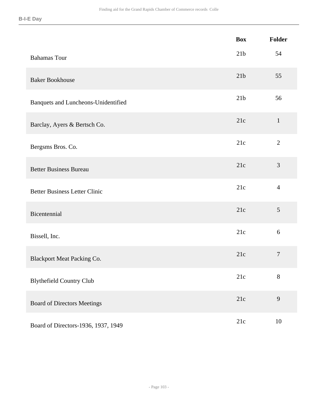|                                      | <b>Box</b>      | Folder         |
|--------------------------------------|-----------------|----------------|
| <b>Bahamas Tour</b>                  | 21 <sub>b</sub> | 54             |
| <b>Baker Bookhouse</b>               | 21b             | 55             |
| Banquets and Luncheons-Unidentified  | 21 <sub>b</sub> | 56             |
| Barclay, Ayers & Bertsch Co.         | 21c             | $\mathbf{1}$   |
| Bergsms Bros. Co.                    | 21c             | $\overline{2}$ |
| <b>Better Business Bureau</b>        | 21c             | $\mathfrak{Z}$ |
| <b>Better Business Letter Clinic</b> | 21c             | $\overline{4}$ |
| Bicentennial                         | 21c             | 5              |
| Bissell, Inc.                        | 21c             | 6              |
| <b>Blackport Meat Packing Co.</b>    | 21c             | $\overline{7}$ |
| <b>Blythefield Country Club</b>      | 21c             | $8\,$          |
| <b>Board of Directors Meetings</b>   | 21c             | 9              |
| Board of Directors-1936, 1937, 1949  | 21c             | 10             |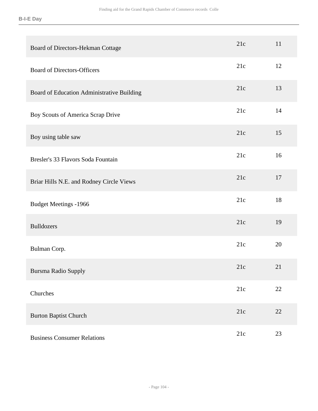| Board of Directors-Hekman Cottage          | 21c | 11 |
|--------------------------------------------|-----|----|
| <b>Board of Directors-Officers</b>         | 21c | 12 |
| Board of Education Administrative Building | 21c | 13 |
| Boy Scouts of America Scrap Drive          | 21c | 14 |
| Boy using table saw                        | 21c | 15 |
| Bresler's 33 Flavors Soda Fountain         | 21c | 16 |
| Briar Hills N.E. and Rodney Circle Views   | 21c | 17 |
| <b>Budget Meetings -1966</b>               | 21c | 18 |
| <b>Bulldozers</b>                          | 21c | 19 |
| Bulman Corp.                               | 21c | 20 |
| Bursma Radio Supply                        | 21c | 21 |
| Churches                                   | 21c | 22 |
| <b>Burton Baptist Church</b>               | 21c | 22 |
| <b>Business Consumer Relations</b>         | 21c | 23 |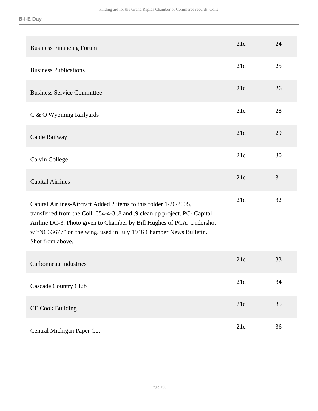| <b>Business Financing Forum</b>                                                                                                                                                                                                                                                                                  | 21c | 24 |
|------------------------------------------------------------------------------------------------------------------------------------------------------------------------------------------------------------------------------------------------------------------------------------------------------------------|-----|----|
| <b>Business Publications</b>                                                                                                                                                                                                                                                                                     | 21c | 25 |
| <b>Business Service Committee</b>                                                                                                                                                                                                                                                                                | 21c | 26 |
| C & O Wyoming Railyards                                                                                                                                                                                                                                                                                          | 21c | 28 |
| Cable Railway                                                                                                                                                                                                                                                                                                    | 21c | 29 |
| Calvin College                                                                                                                                                                                                                                                                                                   | 21c | 30 |
| <b>Capital Airlines</b>                                                                                                                                                                                                                                                                                          | 21c | 31 |
| Capital Airlines-Aircraft Added 2 items to this folder 1/26/2005,<br>transferred from the Coll. 054-4-3.8 and .9 clean up project. PC- Capital<br>Airline DC-3. Photo given to Chamber by Bill Hughes of PCA. Undershot<br>w "NC33677" on the wing, used in July 1946 Chamber News Bulletin.<br>Shot from above. | 21c | 32 |
| <b>Carbonneau Industries</b>                                                                                                                                                                                                                                                                                     | 21c | 33 |
| <b>Cascade Country Club</b>                                                                                                                                                                                                                                                                                      | 21c | 34 |
| <b>CE Cook Building</b>                                                                                                                                                                                                                                                                                          | 21c | 35 |
| Central Michigan Paper Co.                                                                                                                                                                                                                                                                                       | 21c | 36 |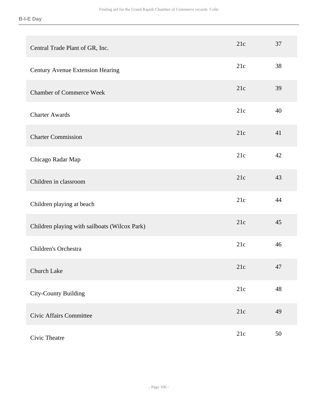| Central Trade Plant of GR, Inc.               | 21c | 37 |
|-----------------------------------------------|-----|----|
| Century Avenue Extension Hearing              | 21c | 38 |
| <b>Chamber of Commerce Week</b>               | 21c | 39 |
| <b>Charter Awards</b>                         | 21c | 40 |
| <b>Charter Commission</b>                     | 21c | 41 |
| Chicago Radar Map                             | 21c | 42 |
| Children in classroom                         | 21c | 43 |
| Children playing at beach                     | 21c | 44 |
| Children playing with sailboats (Wilcox Park) | 21c | 45 |
| Children's Orchestra                          | 21c | 46 |
| Church Lake                                   | 21c | 47 |
| <b>City-County Building</b>                   | 21c | 48 |
| <b>Civic Affairs Committee</b>                | 21c | 49 |
| Civic Theatre                                 | 21c | 50 |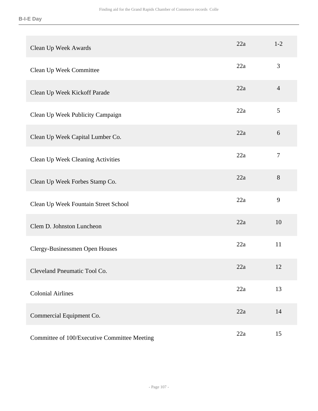| Clean Up Week Awards                         | 22a | $1 - 2$        |
|----------------------------------------------|-----|----------------|
| Clean Up Week Committee                      | 22a | 3              |
| Clean Up Week Kickoff Parade                 | 22a | $\overline{4}$ |
| Clean Up Week Publicity Campaign             | 22a | 5              |
| Clean Up Week Capital Lumber Co.             | 22a | 6              |
| Clean Up Week Cleaning Activities            | 22a | $\tau$         |
| Clean Up Week Forbes Stamp Co.               | 22a | 8              |
| Clean Up Week Fountain Street School         | 22a | 9              |
| Clem D. Johnston Luncheon                    | 22a | 10             |
| Clergy-Businessmen Open Houses               | 22a | 11             |
| Cleveland Pneumatic Tool Co.                 | 22a | 12             |
| <b>Colonial Airlines</b>                     | 22a | 13             |
| Commercial Equipment Co.                     | 22a | 14             |
| Committee of 100/Executive Committee Meeting | 22a | 15             |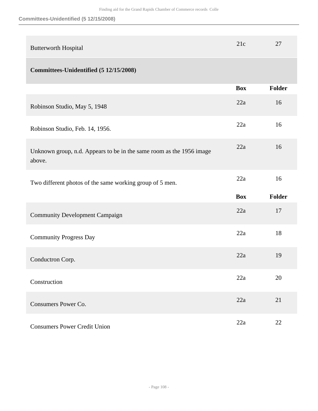| <b>Butterworth Hospital</b>                                                    | 21c        | 27     |
|--------------------------------------------------------------------------------|------------|--------|
| Committees-Unidentified (5 12/15/2008)                                         |            |        |
|                                                                                | <b>Box</b> | Folder |
| Robinson Studio, May 5, 1948                                                   | 22a        | 16     |
| Robinson Studio, Feb. 14, 1956.                                                | 22a        | 16     |
| Unknown group, n.d. Appears to be in the same room as the 1956 image<br>above. | 22a        | 16     |
| Two different photos of the same working group of 5 men.                       | 22a        | 16     |
|                                                                                | <b>Box</b> | Folder |
| <b>Community Development Campaign</b>                                          | 22a        | 17     |
| <b>Community Progress Day</b>                                                  | 22a        | 18     |
| Conductron Corp.                                                               | 22a        | 19     |
| Construction                                                                   | 22a        | 20     |
|                                                                                |            |        |
| Consumers Power Co.                                                            | 22a        | 21     |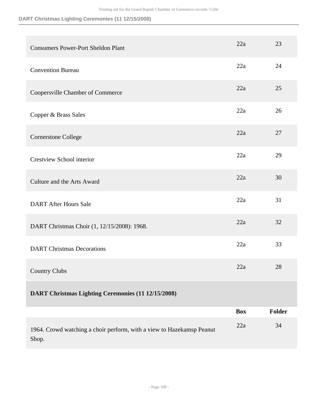| <b>Consumers Power-Port Sheldon Plant</b>                                      | 22a        | 23            |
|--------------------------------------------------------------------------------|------------|---------------|
| <b>Convention Bureau</b>                                                       | 22a        | 24            |
| Coopersville Chamber of Commerce                                               | 22a        | 25            |
| Copper & Brass Sales                                                           | 22a        | 26            |
| Cornerstone College                                                            | 22a        | 27            |
| <b>Crestview School interior</b>                                               | 22a        | 29            |
| Culture and the Arts Award                                                     | 22a        | 30            |
| <b>DART After Hours Sale</b>                                                   | 22a        | 31            |
| DART Christmas Choir (1, 12/15/2008): 1968.                                    | 22a        | 32            |
| <b>DART</b> Christmas Decorations                                              | 22a        | 33            |
| <b>Country Clubs</b>                                                           | 22a        | 28            |
| DART Christmas Lighting Ceremonies (11 12/15/2008)                             |            |               |
|                                                                                | <b>Box</b> | <b>Folder</b> |
| 1964. Crowd watching a choir perform, with a view to Hazekamsp Peanut<br>Shop. | 22a        | 34            |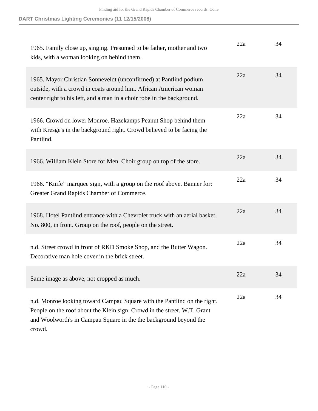| 1965. Family close up, singing. Presumed to be father, mother and two<br>kids, with a woman looking on behind them.                                                                                                                 | 22a | 34 |
|-------------------------------------------------------------------------------------------------------------------------------------------------------------------------------------------------------------------------------------|-----|----|
| 1965. Mayor Christian Sonneveldt (unconfirmed) at Pantlind podium<br>outside, with a crowd in coats around him. African American woman<br>center right to his left, and a man in a choir robe in the background.                    | 22a | 34 |
| 1966. Crowd on lower Monroe. Hazekamps Peanut Shop behind them<br>with Kresge's in the background right. Crowd believed to be facing the<br>Pantlind.                                                                               | 22a | 34 |
| 1966. William Klein Store for Men. Choir group on top of the store.                                                                                                                                                                 | 22a | 34 |
| 1966. "Knife" marquee sign, with a group on the roof above. Banner for:<br>Greater Grand Rapids Chamber of Commerce.                                                                                                                | 22a | 34 |
| 1968. Hotel Pantlind entrance with a Chevrolet truck with an aerial basket.<br>No. 800, in front. Group on the roof, people on the street.                                                                                          | 22a | 34 |
| n.d. Street crowd in front of RKD Smoke Shop, and the Butter Wagon.<br>Decorative man hole cover in the brick street.                                                                                                               | 22a | 34 |
| Same image as above, not cropped as much.                                                                                                                                                                                           | 22a | 34 |
| n.d. Monroe looking toward Campau Square with the Pantlind on the right.<br>People on the roof about the Klein sign. Crowd in the street. W.T. Grant<br>and Woolworth's in Campau Square in the the background beyond the<br>crowd. | 22a | 34 |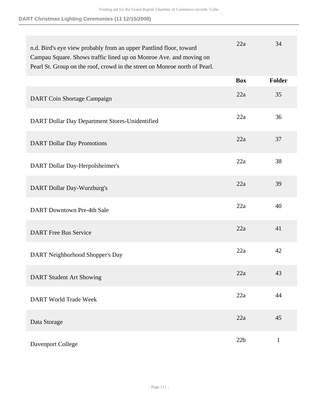| n.d. Bird's eye view probably from an upper Pantlind floor, toward<br>Campau Square. Shows traffic lined up on Monroe Ave. and moving on<br>Pearl St. Group on the roof, crowd in the street on Monroe north of Pearl. | 22a        | 34            |
|------------------------------------------------------------------------------------------------------------------------------------------------------------------------------------------------------------------------|------------|---------------|
|                                                                                                                                                                                                                        | <b>Box</b> | <b>Folder</b> |
| DART Coin Shortage Campaign                                                                                                                                                                                            | 22a        | 35            |
| DART Dollar Day Department Stores-Unidentified                                                                                                                                                                         | 22a        | 36            |
| <b>DART Dollar Day Promotions</b>                                                                                                                                                                                      | 22a        | 37            |
| DART Dollar Day-Herpolsheimer's                                                                                                                                                                                        | 22a        | 38            |
| DART Dollar Day-Wurzburg's                                                                                                                                                                                             | 22a        | 39            |
| <b>DART</b> Downtown Pre-4th Sale                                                                                                                                                                                      | 22a        | 40            |
| <b>DART</b> Free Bus Service                                                                                                                                                                                           | 22a        | 41            |
| DART Neighborhood Shopper's Day                                                                                                                                                                                        | 22a        | 42            |
| <b>DART Student Art Showing</b>                                                                                                                                                                                        | 22a        | 43            |
| <b>DART World Trade Week</b>                                                                                                                                                                                           | 22a        | 44            |
| Data Storage                                                                                                                                                                                                           | 22a        | 45            |
| Davenport College                                                                                                                                                                                                      | 22b        | $\mathbf{1}$  |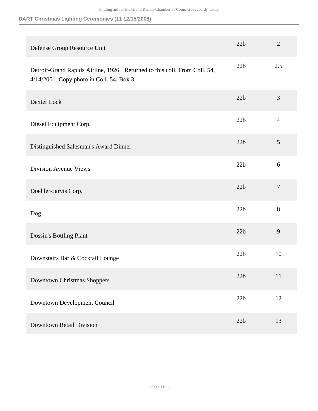| Defense Group Resource Unit                                                                                              | 22b | $\overline{2}$ |
|--------------------------------------------------------------------------------------------------------------------------|-----|----------------|
| Detroit-Grand Rapids Airline, 1926. [Returned to this coll. From Coll. 54,<br>4/14/2001. Copy photo in Coll. 54, Box 3.] | 22b | 2.5            |
| Dexter Lock                                                                                                              | 22b | 3              |
| Diesel Equipment Corp.                                                                                                   | 22b | $\overline{4}$ |
| Distinguished Salesman's Award Dinner                                                                                    | 22b | 5              |
| <b>Division Avenue Views</b>                                                                                             | 22b | 6              |
| Doehler-Jarvis Corp.                                                                                                     | 22b | $\overline{7}$ |
| Dog                                                                                                                      | 22b | 8              |
| Dossin's Bottling Plant                                                                                                  | 22b | 9              |
| Downstairs Bar & Cocktail Lounge                                                                                         | 22b | 10             |
| <b>Downtown Christmas Shoppers</b>                                                                                       | 22b | 11             |
| Downtown Development Council                                                                                             | 22b | 12             |
| <b>Downtown Retail Division</b>                                                                                          | 22b | 13             |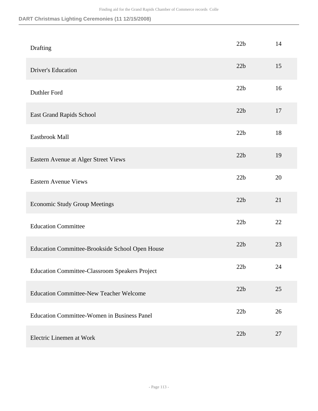| Drafting                                              | 22b | 14 |
|-------------------------------------------------------|-----|----|
| <b>Driver's Education</b>                             | 22b | 15 |
| Duthler Ford                                          | 22b | 16 |
| East Grand Rapids School                              | 22b | 17 |
| Eastbrook Mall                                        | 22b | 18 |
| Eastern Avenue at Alger Street Views                  | 22b | 19 |
| <b>Eastern Avenue Views</b>                           | 22b | 20 |
| <b>Economic Study Group Meetings</b>                  | 22b | 21 |
| <b>Education Committee</b>                            | 22b | 22 |
| Education Committee-Brookside School Open House       | 22b | 23 |
| <b>Education Committee-Classroom Speakers Project</b> | 22b | 24 |
| <b>Education Committee-New Teacher Welcome</b>        | 22b | 25 |
| <b>Education Committee-Women in Business Panel</b>    | 22b | 26 |
| Electric Linemen at Work                              | 22b | 27 |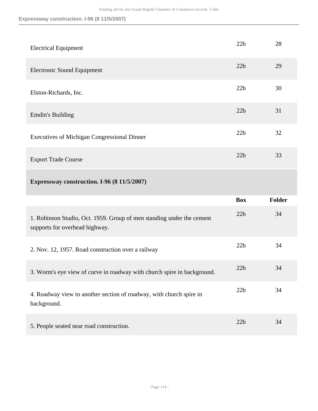**Expressway construction. I-96 (8 11/5/2007)**

| <b>Electrical Equipment</b>                        | 22b | 28 |
|----------------------------------------------------|-----|----|
| <b>Electronic Sound Equipment</b>                  | 22b | 29 |
| Elston-Richards, Inc.                              | 22b | 30 |
| <b>Emdin's Building</b>                            | 22b | 31 |
| <b>Executives of Michigan Congressional Dinner</b> | 22b | 32 |
| <b>Export Trade Course</b>                         | 22b | 33 |

# **Expressway construction. I-96 (8 11/5/2007)**

|                                                                                                         | <b>Box</b> | <b>Folder</b> |
|---------------------------------------------------------------------------------------------------------|------------|---------------|
| 1. Robinson Studio, Oct. 1959. Group of men standing under the cement<br>supports for overhead highway. | 22b        | 34            |
| 2. Nov. 12, 1957. Road construction over a railway                                                      | 22b        | 34            |
| 3. Worm's eye view of curve in roadway with church spire in background.                                 | 22b        | 34            |
| 4. Roadway view to another section of roadway, with church spire in<br>background.                      | 22b        | 34            |
| 5. People seated near road construction.                                                                | 22h        | 34            |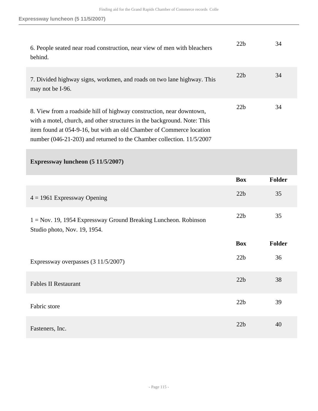| 6. People seated near road construction, near view of men with bleachers<br>behind.                                                                                                                                                                                                               | 22b | 34 |
|---------------------------------------------------------------------------------------------------------------------------------------------------------------------------------------------------------------------------------------------------------------------------------------------------|-----|----|
| 7. Divided highway signs, workmen, and roads on two lane highway. This<br>may not be I-96.                                                                                                                                                                                                        | 22b | 34 |
| 8. View from a roadside hill of highway construction, near downtown,<br>with a motel, church, and other structures in the background. Note: This<br>item found at 054-9-16, but with an old Chamber of Commerce location<br>number (046-21-203) and returned to the Chamber collection. 11/5/2007 | 22b | 34 |

|                                                                                                   | <b>Box</b> | <b>Folder</b> |
|---------------------------------------------------------------------------------------------------|------------|---------------|
| $4 = 1961$ Expressway Opening                                                                     | 22b        | 35            |
| $1 = Nov. 19, 1954$ Expressway Ground Breaking Luncheon. Robinson<br>Studio photo, Nov. 19, 1954. | 22b        | 35            |
|                                                                                                   | <b>Box</b> | Folder        |
| Expressway overpasses (3 11/5/2007)                                                               | 22b        | 36            |
| <b>Fables II Restaurant</b>                                                                       | 22b        | 38            |
| Fabric store                                                                                      | 22b        | 39            |
| Fasteners, Inc.                                                                                   | 22b        | 40            |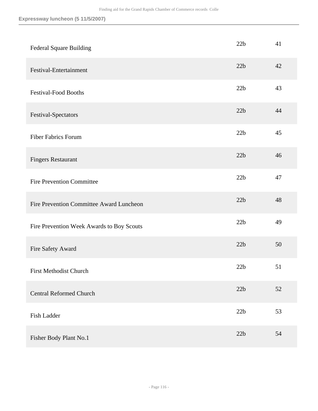| <b>Federal Square Building</b>            | 22b | 41 |
|-------------------------------------------|-----|----|
| Festival-Entertainment                    | 22b | 42 |
| <b>Festival-Food Booths</b>               | 22b | 43 |
| Festival-Spectators                       | 22b | 44 |
| <b>Fiber Fabrics Forum</b>                | 22b | 45 |
| <b>Fingers Restaurant</b>                 | 22b | 46 |
| <b>Fire Prevention Committee</b>          | 22b | 47 |
| Fire Prevention Committee Award Luncheon  | 22b | 48 |
| Fire Prevention Week Awards to Boy Scouts | 22b | 49 |
| Fire Safety Award                         | 22b | 50 |
| First Methodist Church                    | 22b | 51 |
| <b>Central Reformed Church</b>            | 22b | 52 |
| <b>Fish Ladder</b>                        | 22b | 53 |
| Fisher Body Plant No.1                    | 22b | 54 |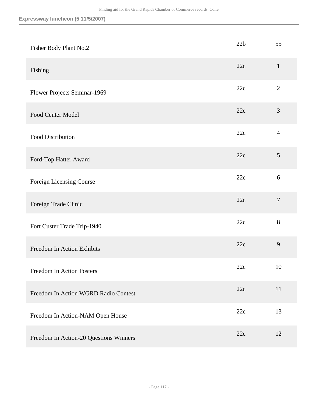| Fisher Body Plant No.2                 | 22b | 55             |
|----------------------------------------|-----|----------------|
| Fishing                                | 22c | $\mathbf{1}$   |
| Flower Projects Seminar-1969           | 22c | $\overline{2}$ |
| Food Center Model                      | 22c | $\mathfrak{Z}$ |
| <b>Food Distribution</b>               | 22c | $\overline{4}$ |
| Ford-Top Hatter Award                  | 22c | $\mathfrak{S}$ |
| Foreign Licensing Course               | 22c | 6              |
| Foreign Trade Clinic                   | 22c | $\overline{7}$ |
| Fort Custer Trade Trip-1940            | 22c | 8              |
| Freedom In Action Exhibits             | 22c | 9              |
| Freedom In Action Posters              | 22c | 10             |
| Freedom In Action WGRD Radio Contest   | 22c | 11             |
| Freedom In Action-NAM Open House       | 22c | 13             |
| Freedom In Action-20 Questions Winners | 22c | 12             |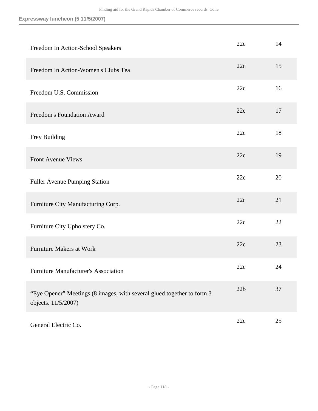| Freedom In Action-School Speakers                                                             | 22c | 14 |
|-----------------------------------------------------------------------------------------------|-----|----|
| Freedom In Action-Women's Clubs Tea                                                           | 22c | 15 |
| Freedom U.S. Commission                                                                       | 22c | 16 |
| <b>Freedom's Foundation Award</b>                                                             | 22c | 17 |
| Frey Building                                                                                 | 22c | 18 |
| <b>Front Avenue Views</b>                                                                     | 22c | 19 |
| <b>Fuller Avenue Pumping Station</b>                                                          | 22c | 20 |
| Furniture City Manufacturing Corp.                                                            | 22c | 21 |
| Furniture City Upholstery Co.                                                                 | 22c | 22 |
| <b>Furniture Makers at Work</b>                                                               | 22c | 23 |
| <b>Furniture Manufacturer's Association</b>                                                   | 22c | 24 |
| "Eye Opener" Meetings (8 images, with several glued together to form 3<br>objects. 11/5/2007) | 22b | 37 |
| General Electric Co.                                                                          | 22c | 25 |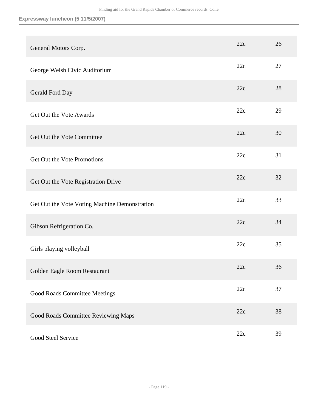| General Motors Corp.                          | 22c | 26 |
|-----------------------------------------------|-----|----|
| George Welsh Civic Auditorium                 | 22c | 27 |
| Gerald Ford Day                               | 22c | 28 |
| Get Out the Vote Awards                       | 22c | 29 |
| Get Out the Vote Committee                    | 22c | 30 |
| Get Out the Vote Promotions                   | 22c | 31 |
| Get Out the Vote Registration Drive           | 22c | 32 |
| Get Out the Vote Voting Machine Demonstration | 22c | 33 |
| Gibson Refrigeration Co.                      | 22c | 34 |
| Girls playing volleyball                      | 22c | 35 |
| Golden Eagle Room Restaurant                  | 22c | 36 |
| Good Roads Committee Meetings                 | 22c | 37 |
| Good Roads Committee Reviewing Maps           | 22c | 38 |
| Good Steel Service                            | 22c | 39 |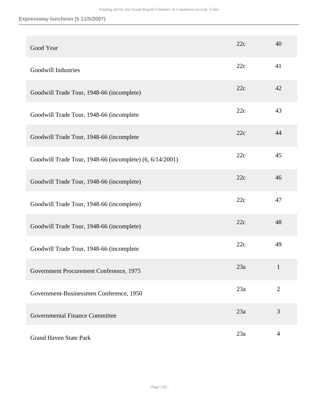| Good Year                                                | 22c | 40             |
|----------------------------------------------------------|-----|----------------|
| Goodwill Industries                                      | 22c | 41             |
| Goodwill Trade Tour, 1948-66 (incomplete)                | 22c | 42             |
| Goodwill Trade Tour, 1948-66 (incomplete                 | 22c | 43             |
| Goodwill Trade Tour, 1948-66 (incomplete                 | 22c | 44             |
| Goodwill Trade Tour, 1948-66 (incomplete) (6, 6/14/2001) | 22c | 45             |
| Goodwill Trade Tour, 1948-66 (incomplete)                | 22c | 46             |
| Goodwill Trade Tour, 1948-66 (incomplete)                | 22c | 47             |
| Goodwill Trade Tour, 1948-66 (incomplete)                | 22c | 48             |
| Goodwill Trade Tour, 1948-66 (incomplete                 | 22c | 49             |
| Government Procurement Conference, 1975                  | 23a | $\mathbf{1}$   |
| Government-Businessmen Conference, 1950                  | 23a | $\overline{2}$ |
| Governmental Finance Committee                           | 23a | 3              |
| <b>Grand Haven State Park</b>                            | 23a | $\overline{4}$ |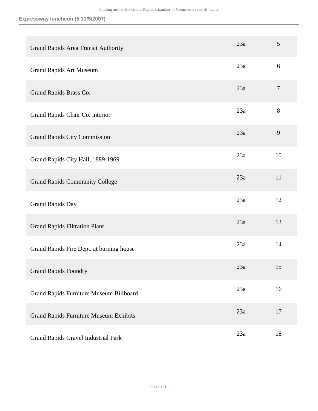| Grand Rapids Area Transit Authority           | 23a | 5              |
|-----------------------------------------------|-----|----------------|
| <b>Grand Rapids Art Museum</b>                | 23a | 6              |
| Grand Rapids Brass Co.                        | 23a | $\overline{7}$ |
| Grand Rapids Chair Co. interior               | 23a | 8              |
| <b>Grand Rapids City Commission</b>           | 23a | 9              |
| Grand Rapids City Hall, 1889-1969             | 23a | 10             |
| <b>Grand Rapids Community College</b>         | 23a | 11             |
| <b>Grand Rapids Day</b>                       | 23a | 12             |
| <b>Grand Rapids Filtration Plant</b>          | 23a | 13             |
| Grand Rapids Fire Dept. at burning house      | 23a | 14             |
| <b>Grand Rapids Foundry</b>                   | 23a | 15             |
| Grand Rapids Furniture Museum Billboard       | 23a | 16             |
| <b>Grand Rapids Furniture Museum Exhibits</b> | 23a | 17             |
| Grand Rapids Gravel Industrial Park           | 23a | 18             |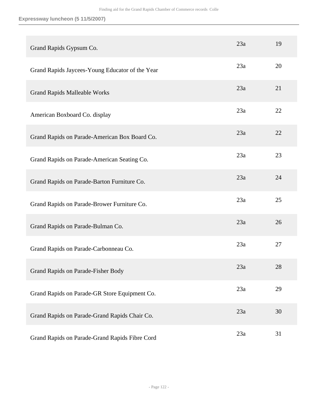| Grand Rapids Gypsum Co.                         | 23a | 19 |
|-------------------------------------------------|-----|----|
| Grand Rapids Jaycees-Young Educator of the Year | 23a | 20 |
| <b>Grand Rapids Malleable Works</b>             | 23a | 21 |
| American Boxboard Co. display                   | 23a | 22 |
| Grand Rapids on Parade-American Box Board Co.   | 23a | 22 |
| Grand Rapids on Parade-American Seating Co.     | 23a | 23 |
| Grand Rapids on Parade-Barton Furniture Co.     | 23a | 24 |
| Grand Rapids on Parade-Brower Furniture Co.     | 23a | 25 |
| Grand Rapids on Parade-Bulman Co.               | 23a | 26 |
| Grand Rapids on Parade-Carbonneau Co.           | 23a | 27 |
| Grand Rapids on Parade-Fisher Body              | 23a | 28 |
| Grand Rapids on Parade-GR Store Equipment Co.   | 23a | 29 |
| Grand Rapids on Parade-Grand Rapids Chair Co.   | 23a | 30 |
| Grand Rapids on Parade-Grand Rapids Fibre Cord  | 23a | 31 |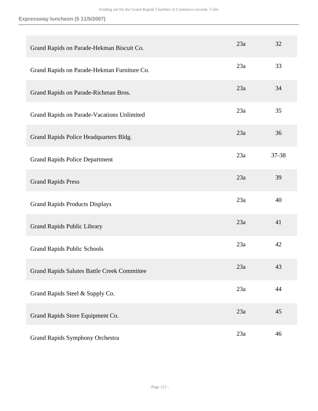| Grand Rapids on Parade-Hekman Biscuit Co.          | 23a | 32    |
|----------------------------------------------------|-----|-------|
| Grand Rapids on Parade-Hekman Furniture Co.        | 23a | 33    |
| Grand Rapids on Parade-Richman Bros.               | 23a | 34    |
| Grand Rapids on Parade-Vacations Unlimited         | 23a | 35    |
| Grand Rapids Police Headquarters Bldg.             | 23a | 36    |
| <b>Grand Rapids Police Department</b>              | 23a | 37-38 |
| <b>Grand Rapids Press</b>                          | 23a | 39    |
| <b>Grand Rapids Products Displays</b>              | 23a | 40    |
| <b>Grand Rapids Public Library</b>                 | 23a | 41    |
| <b>Grand Rapids Public Schools</b>                 | 23a | 42    |
| <b>Grand Rapids Salutes Battle Creek Committee</b> | 23a | 43    |
| Grand Rapids Steel & Supply Co.                    | 23a | 44    |
| Grand Rapids Store Equipment Co.                   | 23a | 45    |
| Grand Rapids Symphony Orchestra                    | 23a | 46    |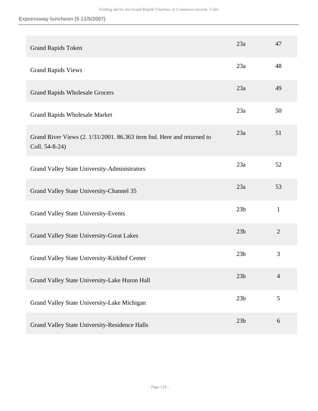| <b>Grand Rapids Token</b>                                                                | 23a             | 47             |
|------------------------------------------------------------------------------------------|-----------------|----------------|
| <b>Grand Rapids Views</b>                                                                | 23a             | 48             |
| <b>Grand Rapids Wholesale Grocers</b>                                                    | 23a             | 49             |
| <b>Grand Rapids Wholesale Market</b>                                                     | 23a             | 50             |
| Grand River Views (2. 1/31/2001. 86.363 item fnd. Here and returned to<br>Coll. 54-8-24) | 23a             | 51             |
| <b>Grand Valley State University-Administrators</b>                                      | 23a             | 52             |
| Grand Valley State University-Channel 35                                                 | 23a             | 53             |
| <b>Grand Valley State University-Events</b>                                              | 23 <sub>b</sub> | $\mathbf{1}$   |
| Grand Valley State University-Great Lakes                                                | 23 <sub>b</sub> | $\overline{2}$ |
| Grand Valley State University-Kirkhof Center                                             | 23 <sub>b</sub> | 3              |
| Grand Valley State University-Lake Huron Hall                                            | 23 <sub>b</sub> | $\overline{4}$ |
| Grand Valley State University-Lake Michigan                                              | 23 <sub>b</sub> | 5              |
| Grand Valley State University-Residence Halls                                            | 23 <sub>b</sub> | 6              |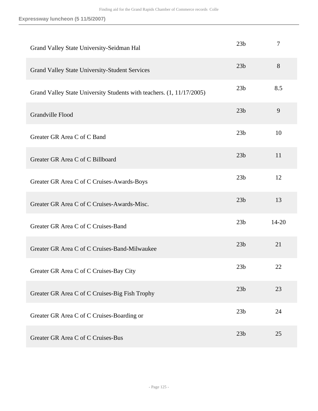| Grand Valley State University-Seidman Hal                             | 23 <sub>b</sub> | $\tau$ |
|-----------------------------------------------------------------------|-----------------|--------|
| <b>Grand Valley State University-Student Services</b>                 | 23 <sub>b</sub> | 8      |
| Grand Valley State University Students with teachers. (1, 11/17/2005) | 23 <sub>b</sub> | 8.5    |
| Grandville Flood                                                      | 23 <sub>b</sub> | 9      |
| Greater GR Area C of C Band                                           | 23 <sub>b</sub> | 10     |
| Greater GR Area C of C Billboard                                      | 23 <sub>b</sub> | 11     |
| Greater GR Area C of C Cruises-Awards-Boys                            | 23 <sub>b</sub> | 12     |
| Greater GR Area C of C Cruises-Awards-Misc.                           | 23 <sub>b</sub> | 13     |
| Greater GR Area C of C Cruises-Band                                   | 23 <sub>b</sub> | 14-20  |
| Greater GR Area C of C Cruises-Band-Milwaukee                         | 23 <sub>b</sub> | 21     |
| Greater GR Area C of C Cruises-Bay City                               | 23 <sub>b</sub> | 22     |
| Greater GR Area C of C Cruises-Big Fish Trophy                        | 23 <sub>b</sub> | 23     |
| Greater GR Area C of C Cruises-Boarding or                            | 23 <sub>b</sub> | 24     |
| Greater GR Area C of C Cruises-Bus                                    | 23 <sub>b</sub> | 25     |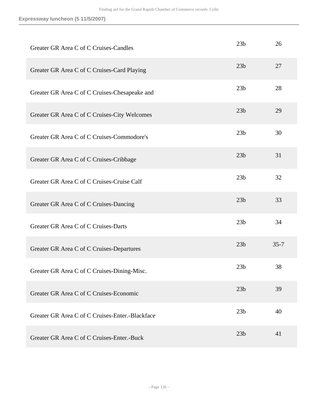| Greater GR Area C of C Cruises-Candles          | 23 <sub>b</sub> | 26       |
|-------------------------------------------------|-----------------|----------|
| Greater GR Area C of C Cruises-Card Playing     | 23 <sub>b</sub> | 27       |
| Greater GR Area C of C Cruises-Chesapeake and   | 23 <sub>b</sub> | 28       |
| Greater GR Area C of C Cruises-City Welcomes    | 23 <sub>b</sub> | 29       |
| Greater GR Area C of C Cruises-Commodore's      | 23 <sub>b</sub> | 30       |
| Greater GR Area C of C Cruises-Cribbage         | 23 <sub>b</sub> | 31       |
| Greater GR Area C of C Cruises-Cruise Calf      | 23 <sub>b</sub> | 32       |
| Greater GR Area C of C Cruises-Dancing          | 23 <sub>b</sub> | 33       |
| Greater GR Area C of C Cruises-Darts            | 23 <sub>b</sub> | 34       |
| Greater GR Area C of C Cruises-Departures       | 23 <sub>b</sub> | $35 - 7$ |
| Greater GR Area C of C Cruises-Dining-Misc.     | 23 <sub>b</sub> | 38       |
| Greater GR Area C of C Cruises-Economic         | 23 <sub>b</sub> | 39       |
| Greater GR Area C of C Cruises-Enter.-Blackface | 23 <sub>b</sub> | 40       |
| Greater GR Area C of C Cruises-Enter.-Buck      | 23 <sub>b</sub> | 41       |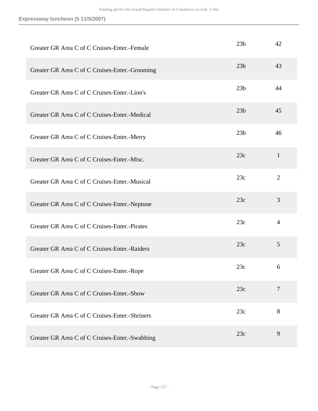| Greater GR Area C of C Cruises-Enter.-Female   | 23 <sub>b</sub> | 42             |
|------------------------------------------------|-----------------|----------------|
| Greater GR Area C of C Cruises-Enter.-Grooming | 23 <sub>b</sub> | 43             |
| Greater GR Area C of C Cruises-Enter.-Lion's   | 23 <sub>b</sub> | 44             |
| Greater GR Area C of C Cruises-Enter.-Medical  | 23 <sub>b</sub> | 45             |
| Greater GR Area C of C Cruises-Enter.-Merry    | 23 <sub>b</sub> | 46             |
| Greater GR Area C of C Cruises-Enter.-Misc.    | 23c             | $\mathbf{1}$   |
| Greater GR Area C of C Cruises-Enter.-Musical  | 23c             | $\overline{2}$ |
| Greater GR Area C of C Cruises-Enter.-Neptune  | 23c             | 3              |
| Greater GR Area C of C Cruises-Enter.-Pirates  | 23c             | $\overline{4}$ |
| Greater GR Area C of C Cruises-Enter.-Raiders  | 23c             | 5              |
| Greater GR Area C of C Cruises-Enter.-Rope     | 23c             | 6              |
| Greater GR Area C of C Cruises-Enter.-Show     | 23c             | $\overline{7}$ |
| Greater GR Area C of C Cruises-Enter.-Shriners | 23c             | 8              |
| Greater GR Area C of C Cruises-Enter.-Swabbing | 23c             | 9              |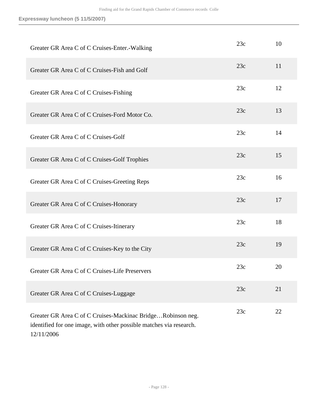| Greater GR Area C of C Cruises-Enter.-Walking                                                                                                    | 23c | 10 |
|--------------------------------------------------------------------------------------------------------------------------------------------------|-----|----|
| Greater GR Area C of C Cruises-Fish and Golf                                                                                                     | 23c | 11 |
| Greater GR Area C of C Cruises-Fishing                                                                                                           | 23c | 12 |
| Greater GR Area C of C Cruises-Ford Motor Co.                                                                                                    | 23c | 13 |
| Greater GR Area C of C Cruises-Golf                                                                                                              | 23c | 14 |
| Greater GR Area C of C Cruises-Golf Trophies                                                                                                     | 23c | 15 |
| Greater GR Area C of C Cruises-Greeting Reps                                                                                                     | 23c | 16 |
| Greater GR Area C of C Cruises-Honorary                                                                                                          | 23c | 17 |
| Greater GR Area C of C Cruises-Itinerary                                                                                                         | 23c | 18 |
| Greater GR Area C of C Cruises-Key to the City                                                                                                   | 23c | 19 |
| Greater GR Area C of C Cruises-Life Preservers                                                                                                   | 23c | 20 |
| Greater GR Area C of C Cruises-Luggage                                                                                                           | 23c | 21 |
| Greater GR Area C of C Cruises-Mackinac BridgeRobinson neg.<br>identified for one image, with other possible matches via research.<br>12/11/2006 | 23c | 22 |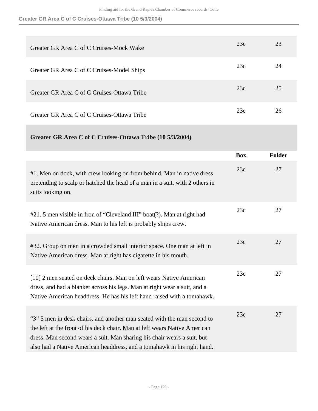| Greater GR Area C of C Cruises-Mock Wake    | 23c | 23 |
|---------------------------------------------|-----|----|
| Greater GR Area C of C Cruises-Model Ships  | 23c | 24 |
| Greater GR Area C of C Cruises-Ottawa Tribe | 23c | 25 |
| Greater GR Area C of C Cruises-Ottawa Tribe | 23c | 26 |

|                                                                                                                                                                                                                                                                                                             | <b>Box</b> | <b>Folder</b> |
|-------------------------------------------------------------------------------------------------------------------------------------------------------------------------------------------------------------------------------------------------------------------------------------------------------------|------------|---------------|
| #1. Men on dock, with crew looking on from behind. Man in native dress<br>pretending to scalp or hatched the head of a man in a suit, with 2 others in<br>suits looking on.                                                                                                                                 | 23c        | 27            |
| #21.5 men visible in fron of "Cleveland III" boat(?). Man at right had<br>Native American dress. Man to his left is probably ships crew.                                                                                                                                                                    | 23c        | 27            |
| #32. Group on men in a crowded small interior space. One man at left in<br>Native American dress. Man at right has cigarette in his mouth.                                                                                                                                                                  | 23c        | 27            |
| [10] 2 men seated on deck chairs. Man on left wears Native American<br>dress, and had a blanket across his legs. Man at right wear a suit, and a<br>Native American headdress. He has his left hand raised with a tomahawk.                                                                                 | 23c        | 27            |
| "3" 5 men in desk chairs, and another man seated with the man second to<br>the left at the front of his deck chair. Man at left wears Native American<br>dress. Man second wears a suit. Man sharing his chair wears a suit, but<br>also had a Native American headdress, and a tomahawk in his right hand. | 23c        | 27            |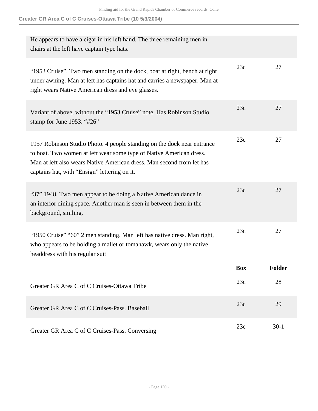| He appears to have a cigar in his left hand. The three remaining men in<br>chairs at the left have captain type hats.                                                                                                                                                   |            |        |
|-------------------------------------------------------------------------------------------------------------------------------------------------------------------------------------------------------------------------------------------------------------------------|------------|--------|
| "1953 Cruise". Two men standing on the dock, boat at right, bench at right<br>under awning. Man at left has captains hat and carries a newspaper. Man at<br>right wears Native American dress and eye glasses.                                                          | 23c        | 27     |
| Variant of above, without the "1953 Cruise" note. Has Robinson Studio<br>stamp for June 1953. "#26"                                                                                                                                                                     | 23c        | 27     |
| 1957 Robinson Studio Photo. 4 people standing on the dock near entrance<br>to boat. Two women at left wear some type of Native American dress.<br>Man at left also wears Native American dress. Man second from let has<br>captains hat, with "Ensign" lettering on it. | 23c        | 27     |
| "37" 1948. Two men appear to be doing a Native American dance in<br>an interior dining space. Another man is seen in between them in the<br>background, smiling.                                                                                                        | 23c        | 27     |
| "1950 Cruise" "60" 2 men standing. Man left has native dress. Man right,<br>who appears to be holding a mallet or tomahawk, wears only the native<br>headdress with his regular suit                                                                                    | 23c        | 27     |
|                                                                                                                                                                                                                                                                         | <b>Box</b> | Folder |
| Greater GR Area C of C Cruises-Ottawa Tribe                                                                                                                                                                                                                             | 23c        | 28     |
| Greater GR Area C of C Cruises-Pass, Baseball                                                                                                                                                                                                                           | 23c        | 29     |
| Greater GR Area C of C Cruises-Pass. Conversing                                                                                                                                                                                                                         | 23c        | $30-1$ |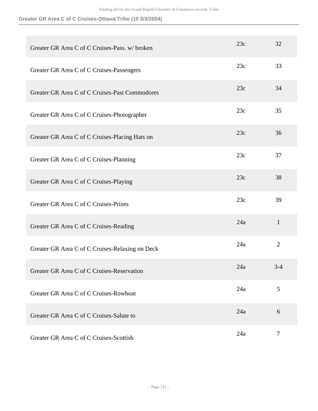| Greater GR Area C of C Cruises-Pass. w/ broken  | 23c | 32             |
|-------------------------------------------------|-----|----------------|
| Greater GR Area C of C Cruises-Passengers       | 23c | 33             |
| Greater GR Area C of C Cruises-Past Commodores  | 23c | 34             |
| Greater GR Area C of C Cruises-Photographer     | 23c | 35             |
| Greater GR Area C of C Cruises-Placing Hats on  | 23c | 36             |
| Greater GR Area C of C Cruises-Planning         | 23c | 37             |
| Greater GR Area C of C Cruises-Playing          | 23c | 38             |
| Greater GR Area C of C Cruises-Prizes           | 23c | 39             |
| Greater GR Area C of C Cruises-Reading          | 24a | $\mathbf{1}$   |
| Greater GR Area C of C Cruises-Relaxing on Deck | 24a | $\overline{2}$ |
| Greater GR Area C of C Cruises-Reservation      | 24a | 3-4            |
| Greater GR Area C of C Cruises-Rowboat          | 24a | 5              |
| Greater GR Area C of C Cruises-Salute to        | 24a | 6              |
| Greater GR Area C of C Cruises-Scottish         | 24a | $\tau$         |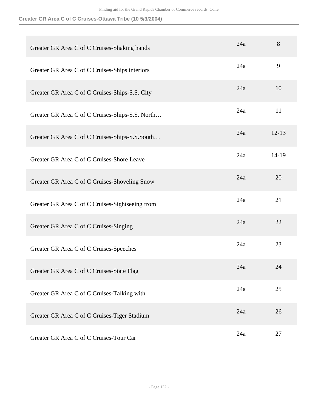| Greater GR Area C of C Cruises-Shaking hands    | 24a | 8         |
|-------------------------------------------------|-----|-----------|
| Greater GR Area C of C Cruises-Ships interiors  | 24a | 9         |
| Greater GR Area C of C Cruises-Ships-S.S. City  | 24a | 10        |
| Greater GR Area C of C Cruises-Ships-S.S. North | 24a | 11        |
| Greater GR Area C of C Cruises-Ships-S.S.South  | 24a | $12 - 13$ |
| Greater GR Area C of C Cruises-Shore Leave      | 24a | $14-19$   |
| Greater GR Area C of C Cruises-Shoveling Snow   | 24a | 20        |
| Greater GR Area C of C Cruises-Sightseeing from | 24a | 21        |
| Greater GR Area C of C Cruises-Singing          | 24a | 22        |
| Greater GR Area C of C Cruises-Speeches         | 24a | 23        |
| Greater GR Area C of C Cruises-State Flag       | 24a | 24        |
| Greater GR Area C of C Cruises-Talking with     | 24a | 25        |
| Greater GR Area C of C Cruises-Tiger Stadium    | 24a | 26        |
| Greater GR Area C of C Cruises-Tour Car         | 24a | 27        |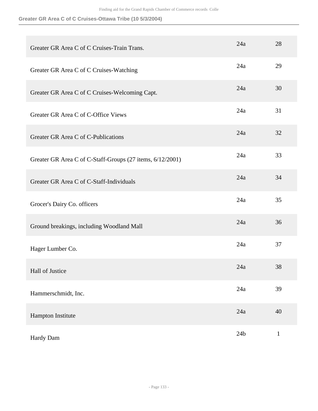| Greater GR Area C of C Cruises-Train Trans.               | 24a             | 28           |
|-----------------------------------------------------------|-----------------|--------------|
| Greater GR Area C of C Cruises-Watching                   | 24a             | 29           |
| Greater GR Area C of C Cruises-Welcoming Capt.            | 24a             | 30           |
| Greater GR Area C of C-Office Views                       | 24a             | 31           |
| Greater GR Area C of C-Publications                       | 24a             | 32           |
| Greater GR Area C of C-Staff-Groups (27 items, 6/12/2001) | 24a             | 33           |
| Greater GR Area C of C-Staff-Individuals                  | 24a             | 34           |
| Grocer's Dairy Co. officers                               | 24a             | 35           |
| Ground breakings, including Woodland Mall                 | 24a             | 36           |
| Hager Lumber Co.                                          | 24a             | 37           |
| Hall of Justice                                           | 24a             | 38           |
| Hammerschmidt, Inc.                                       | 24a             | 39           |
| Hampton Institute                                         | 24a             | 40           |
| Hardy Dam                                                 | 24 <sub>b</sub> | $\mathbf{1}$ |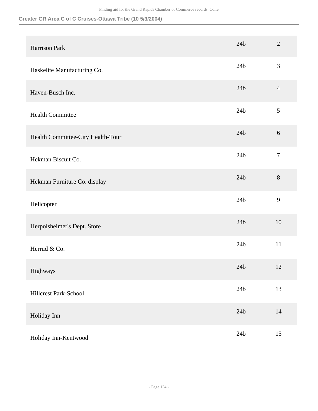| Harrison Park                     | 24 <sub>b</sub> | $\overline{2}$ |
|-----------------------------------|-----------------|----------------|
| Haskelite Manufacturing Co.       | 24 <sub>b</sub> | 3              |
| Haven-Busch Inc.                  | 24 <sub>b</sub> | $\overline{4}$ |
| <b>Health Committee</b>           | 24 <sub>b</sub> | 5              |
| Health Committee-City Health-Tour | 24 <sub>b</sub> | 6              |
| Hekman Biscuit Co.                | 24 <sub>b</sub> | $\tau$         |
| Hekman Furniture Co. display      | 24 <sub>b</sub> | 8              |
| Helicopter                        | 24 <sub>b</sub> | 9              |
| Herpolsheimer's Dept. Store       | 24 <sub>b</sub> | 10             |
| Herrud & Co.                      | 24 <sub>b</sub> | 11             |
| Highways                          | 24 <sub>b</sub> | 12             |
| Hillcrest Park-School             | 24 <sub>b</sub> | 13             |
| Holiday Inn                       | 24 <sub>b</sub> | $14$           |
| Holiday Inn-Kentwood              | 24 <sub>b</sub> | 15             |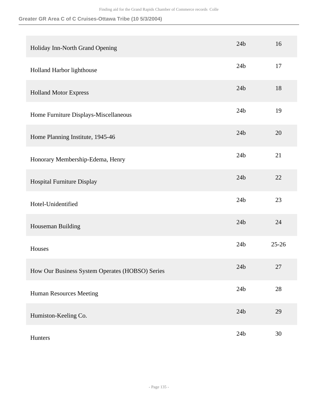| Holiday Inn-North Grand Opening                 | 24 <sub>b</sub> | 16        |
|-------------------------------------------------|-----------------|-----------|
| Holland Harbor lighthouse                       | 24 <sub>b</sub> | 17        |
| <b>Holland Motor Express</b>                    | 24 <sub>b</sub> | 18        |
| Home Furniture Displays-Miscellaneous           | 24 <sub>b</sub> | 19        |
| Home Planning Institute, 1945-46                | 24 <sub>b</sub> | 20        |
| Honorary Membership-Edema, Henry                | 24 <sub>b</sub> | 21        |
| Hospital Furniture Display                      | 24 <sub>b</sub> | 22        |
| Hotel-Unidentified                              | 24 <sub>b</sub> | 23        |
| Houseman Building                               | 24 <sub>b</sub> | 24        |
| Houses                                          | 24 <sub>b</sub> | $25 - 26$ |
| How Our Business System Operates (HOBSO) Series | 24 <sub>b</sub> | 27        |
| Human Resources Meeting                         | 24 <sub>b</sub> | $28\,$    |
| Humiston-Keeling Co.                            | 24 <sub>b</sub> | 29        |
| Hunters                                         | 24 <sub>b</sub> | $30\,$    |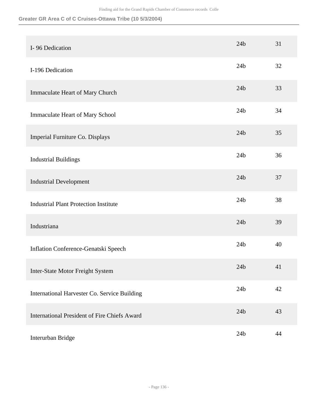| I-96 Dedication                                     | 24 <sub>b</sub> | 31     |
|-----------------------------------------------------|-----------------|--------|
| I-196 Dedication                                    | 24 <sub>b</sub> | 32     |
| Immaculate Heart of Mary Church                     | 24 <sub>b</sub> | 33     |
| Immaculate Heart of Mary School                     | 24 <sub>b</sub> | 34     |
| Imperial Furniture Co. Displays                     | 24 <sub>b</sub> | 35     |
| <b>Industrial Buildings</b>                         | 24 <sub>b</sub> | 36     |
| <b>Industrial Development</b>                       | 24 <sub>b</sub> | 37     |
| <b>Industrial Plant Protection Institute</b>        | 24 <sub>b</sub> | 38     |
| Industriana                                         | 24 <sub>b</sub> | 39     |
| Inflation Conference-Genatski Speech                | 24 <sub>b</sub> | 40     |
| Inter-State Motor Freight System                    | 24 <sub>b</sub> | 41     |
| International Harvester Co. Service Building        | 24 <sub>b</sub> | $42\,$ |
| <b>International President of Fire Chiefs Award</b> | 24 <sub>b</sub> | 43     |
| Interurban Bridge                                   | 24 <sub>b</sub> | 44     |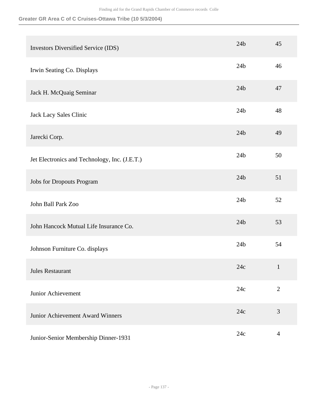| <b>Investors Diversified Service (IDS)</b>    | 24 <sub>b</sub> | 45             |
|-----------------------------------------------|-----------------|----------------|
| Irwin Seating Co. Displays                    | 24 <sub>b</sub> | 46             |
| Jack H. McQuaig Seminar                       | 24 <sub>b</sub> | 47             |
| Jack Lacy Sales Clinic                        | 24 <sub>b</sub> | 48             |
| Jarecki Corp.                                 | 24 <sub>b</sub> | 49             |
| Jet Electronics and Technology, Inc. (J.E.T.) | 24 <sub>b</sub> | 50             |
| <b>Jobs for Dropouts Program</b>              | 24 <sub>b</sub> | 51             |
| John Ball Park Zoo                            | 24 <sub>b</sub> | 52             |
| John Hancock Mutual Life Insurance Co.        | 24 <sub>b</sub> | 53             |
| Johnson Furniture Co. displays                | 24 <sub>b</sub> | 54             |
| Jules Restaurant                              | 24c             | $\mathbf{1}$   |
| Junior Achievement                            | 24c             | $\overline{2}$ |
| Junior Achievement Award Winners              | 24c             | 3              |
| Junior-Senior Membership Dinner-1931          | 24c             | $\overline{4}$ |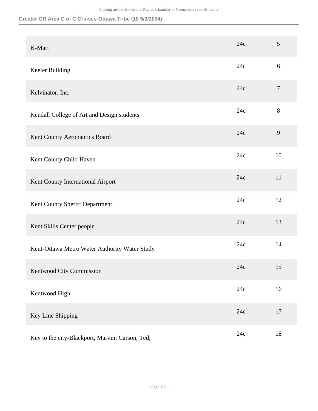| K-Mart                                          | 24c | 5              |
|-------------------------------------------------|-----|----------------|
| Keeler Building                                 | 24c | 6              |
| Kelvinator, Inc.                                | 24c | $\overline{7}$ |
| Kendall College of Art and Design students      | 24c | 8              |
| Kent County Aeronautics Board                   | 24c | 9              |
| Kent County Child Haven                         | 24c | 10             |
| Kent County International Airport               | 24c | 11             |
| Kent County Sheriff Department                  | 24c | 12             |
| Kent Skills Center people                       | 24c | 13             |
| Kent-Ottawa Metro Water Authority Water Study   | 24c | 14             |
| Kentwood City Commission                        | 24c | 15             |
| Kentwood High                                   | 24c | 16             |
| Key Line Shipping                               | 24c | 17             |
| Key to the city-Blackport, Marvin; Carson, Ted; | 24c | 18             |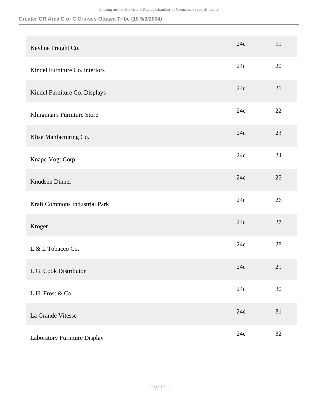| Keyhne Freight Co.             | 24c | 19     |
|--------------------------------|-----|--------|
| Kindel Furniture Co. interiors | 24c | 20     |
| Kindel Furniture Co. Displays  | 24c | 21     |
| Klingman's Furniture Store     | 24c | 22     |
| Klise Manfacturing Co.         | 24c | 23     |
| Knape-Vogt Corp.               | 24c | 24     |
| Knudsen Dinner                 | 24c | 25     |
| Kraft Commons Industrial Park  | 24c | 26     |
| Kroger                         | 24c | 27     |
| L & L Tobacco Co.              | 24c | 28     |
| L G. Cook Distributor          | 24c | 29     |
| L.H. Frost & Co.               | 24c | $30\,$ |
| La Grande Vitesse              | 24c | 31     |
| Laboratory Furniture Display   | 24c | 32     |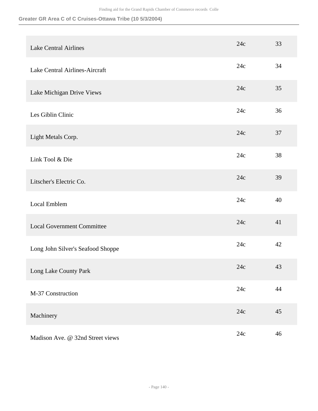| <b>Lake Central Airlines</b>      | 24c | 33   |
|-----------------------------------|-----|------|
| Lake Central Airlines-Aircraft    | 24c | 34   |
| Lake Michigan Drive Views         | 24c | 35   |
| Les Giblin Clinic                 | 24c | 36   |
| Light Metals Corp.                | 24c | 37   |
| Link Tool & Die                   | 24c | 38   |
| Litscher's Electric Co.           | 24c | 39   |
| Local Emblem                      | 24c | 40   |
| <b>Local Government Committee</b> | 24c | 41   |
| Long John Silver's Seafood Shoppe | 24c | 42   |
| Long Lake County Park             | 24c | 43   |
| M-37 Construction                 | 24c | $44$ |
| Machinery                         | 24c | 45   |
| Madison Ave. @ 32nd Street views  | 24c | 46   |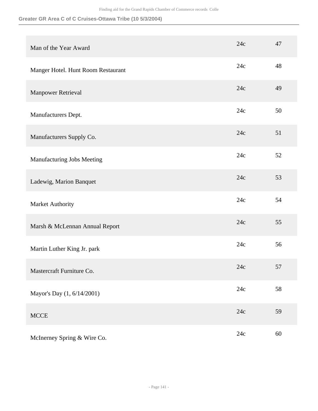| Man of the Year Award              | 24c | 47     |
|------------------------------------|-----|--------|
| Manger Hotel. Hunt Room Restaurant | 24c | 48     |
| Manpower Retrieval                 | 24c | 49     |
| Manufacturers Dept.                | 24c | 50     |
| Manufacturers Supply Co.           | 24c | 51     |
| Manufacturing Jobs Meeting         | 24c | 52     |
| Ladewig, Marion Banquet            | 24c | 53     |
| Market Authority                   | 24c | 54     |
| Marsh & McLennan Annual Report     | 24c | 55     |
| Martin Luther King Jr. park        | 24c | 56     |
| Mastercraft Furniture Co.          | 24c | 57     |
| Mayor's Day (1, 6/14/2001)         | 24c | 58     |
| <b>MCCE</b>                        | 24c | 59     |
| McInerney Spring & Wire Co.        | 24c | $60\,$ |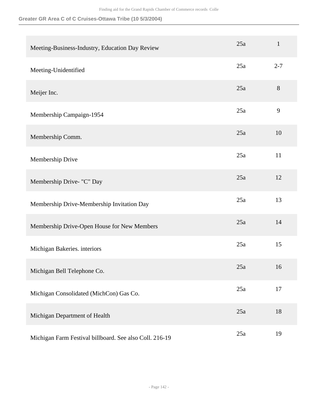| Meeting-Business-Industry, Education Day Review         | 25a | $\mathbf{1}$ |
|---------------------------------------------------------|-----|--------------|
| Meeting-Unidentified                                    | 25a | $2 - 7$      |
| Meijer Inc.                                             | 25a | 8            |
| Membership Campaign-1954                                | 25a | 9            |
| Membership Comm.                                        | 25a | 10           |
| Membership Drive                                        | 25a | 11           |
| Membership Drive- "C" Day                               | 25a | 12           |
| Membership Drive-Membership Invitation Day              | 25a | 13           |
| Membership Drive-Open House for New Members             | 25a | 14           |
| Michigan Bakeries. interiors                            | 25a | 15           |
| Michigan Bell Telephone Co.                             | 25a | 16           |
| Michigan Consolidated (MichCon) Gas Co.                 | 25a | 17           |
| Michigan Department of Health                           | 25a | 18           |
| Michigan Farm Festival billboard. See also Coll. 216-19 | 25a | 19           |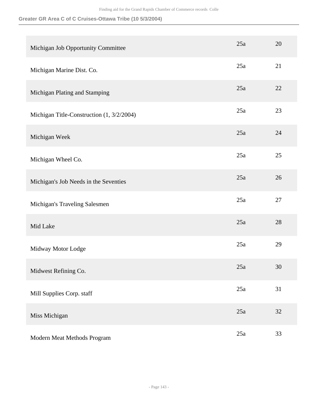| Michigan Job Opportunity Committee        | 25a | 20     |
|-------------------------------------------|-----|--------|
| Michigan Marine Dist. Co.                 | 25a | 21     |
| Michigan Plating and Stamping             | 25a | 22     |
| Michigan Title-Construction (1, 3/2/2004) | 25a | 23     |
| Michigan Week                             | 25a | 24     |
| Michigan Wheel Co.                        | 25a | 25     |
| Michigan's Job Needs in the Seventies     | 25a | 26     |
| Michigan's Traveling Salesmen             | 25a | 27     |
| Mid Lake                                  | 25a | 28     |
| Midway Motor Lodge                        | 25a | 29     |
| Midwest Refining Co.                      | 25a | 30     |
| Mill Supplies Corp. staff                 | 25a | 31     |
| Miss Michigan                             | 25a | $32\,$ |
| Modern Meat Methods Program               | 25a | 33     |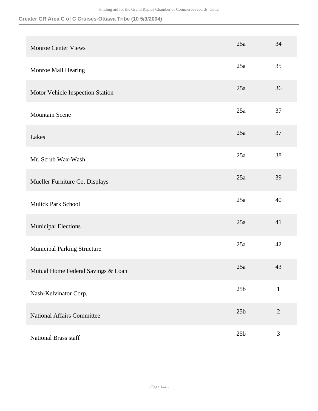**Greater GR Area C of C Cruises-Ottawa Tribe (10 5/3/2004)**

| <b>Monroe Center Views</b>         | 25a             | 34             |
|------------------------------------|-----------------|----------------|
| Monroe Mall Hearing                | 25a             | 35             |
| Motor Vehicle Inspection Station   | 25a             | 36             |
| <b>Mountain Scene</b>              | 25a             | 37             |
| Lakes                              | 25a             | 37             |
| Mr. Scrub Wax-Wash                 | 25a             | 38             |
| Mueller Furniture Co. Displays     | 25a             | 39             |
| <b>Mulick Park School</b>          | 25a             | 40             |
| <b>Municipal Elections</b>         | 25a             | 41             |
| <b>Municipal Parking Structure</b> | 25a             | 42             |
| Mutual Home Federal Savings & Loan | 25a             | 43             |
| Nash-Kelvinator Corp.              | 25 <sub>b</sub> | $\mathbf{1}$   |
| <b>National Affairs Committee</b>  | 25 <sub>b</sub> | $\overline{2}$ |
| National Brass staff               | 25 <sub>b</sub> | $\mathfrak{Z}$ |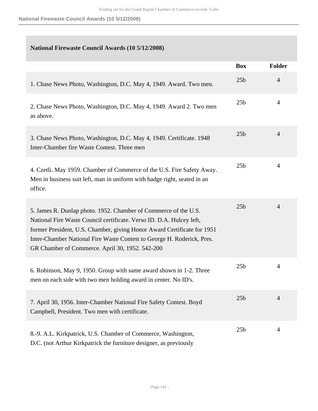|                                                                                                                                                                                                                                                                                                                                                 | <b>Box</b>      | <b>Folder</b>  |
|-------------------------------------------------------------------------------------------------------------------------------------------------------------------------------------------------------------------------------------------------------------------------------------------------------------------------------------------------|-----------------|----------------|
| 1. Chase News Photo, Washington, D.C. May 4, 1949. Award. Two men.                                                                                                                                                                                                                                                                              | 25 <sub>b</sub> | $\overline{4}$ |
| 2. Chase News Photo, Washington, D.C. May 4, 1949. Award 2. Two men<br>as above.                                                                                                                                                                                                                                                                | 25 <sub>b</sub> | 4              |
| 3. Chase News Photo, Washington, D.C. May 4, 1949. Certificate. 1948<br>Inter-Chamber fire Waste Contest. Three men                                                                                                                                                                                                                             | 25 <sub>b</sub> | $\overline{4}$ |
| 4. Czetli. May 1959. Chamber of Commerce of the U.S. Fire Safety Away.<br>Men in business suit left, man in uniform with badge right, seated in an<br>office.                                                                                                                                                                                   | 25 <sub>b</sub> | 4              |
| 5. James R. Dunlap photo. 1952. Chamber of Commerce of the U.S.<br>National Fire Waste Council certificate. Verso ID. D.A. Hulcey left,<br>former President, U.S. Chamber, giving Honor Award Certificate for 1951<br>Inter-Chamber National Fire Waste Contest to George H. Roderick, Pres.<br>GR Chamber of Commerce. April 30, 1952. 542-200 | 25 <sub>b</sub> | 4              |
| 6. Robinson, May 9, 1950. Group with same award shown in 1-2. Three<br>men on each side with two men holding award in center. No ID's.                                                                                                                                                                                                          | 25 <sub>b</sub> | 4              |
| 7. April 30, 1956. Inter-Chamber National Fire Safety Contest. Boyd<br>Campbell, President. Two men with certificate.                                                                                                                                                                                                                           | 25 <sub>b</sub> | 4              |
| 8.-9. A.L. Kirkpatrick, U.S. Chamber of Commerce, Washington,<br>D.C. (not Arthur Kirkpatrick the furniture designer, as previously                                                                                                                                                                                                             | 25 <sub>b</sub> | 4              |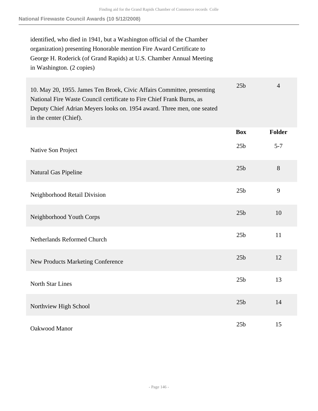identified, who died in 1941, but a Washington official of the Chamber organization) presenting Honorable mention Fire Award Certificate to George H. Roderick (of Grand Rapids) at U.S. Chamber Annual Meeting in Washington. (2 copies)

| 10. May 20, 1955. James Ten Broek, Civic Affairs Committee, presenting<br>National Fire Waste Council certificate to Fire Chief Frank Burns, as<br>Deputy Chief Adrian Meyers looks on. 1954 award. Three men, one seated<br>in the center (Chief). | 25 <sub>b</sub> | $\overline{4}$ |
|-----------------------------------------------------------------------------------------------------------------------------------------------------------------------------------------------------------------------------------------------------|-----------------|----------------|
|                                                                                                                                                                                                                                                     | <b>Box</b>      | <b>Folder</b>  |
| Native Son Project                                                                                                                                                                                                                                  | 25 <sub>b</sub> | $5 - 7$        |
| Natural Gas Pipeline                                                                                                                                                                                                                                | 25 <sub>b</sub> | 8              |
| Neighborhood Retail Division                                                                                                                                                                                                                        | 25 <sub>b</sub> | 9              |
| Neighborhood Youth Corps                                                                                                                                                                                                                            | 25 <sub>b</sub> | 10             |
| <b>Netherlands Reformed Church</b>                                                                                                                                                                                                                  | 25 <sub>b</sub> | 11             |
| <b>New Products Marketing Conference</b>                                                                                                                                                                                                            | 25 <sub>b</sub> | 12             |
| <b>North Star Lines</b>                                                                                                                                                                                                                             | 25 <sub>b</sub> | 13             |
| Northview High School                                                                                                                                                                                                                               | 25 <sub>b</sub> | 14             |
| Oakwood Manor                                                                                                                                                                                                                                       | 25 <sub>b</sub> | 15             |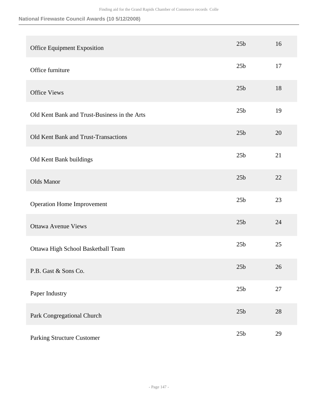| Office Equipment Exposition                  | 25 <sub>b</sub> | 16     |
|----------------------------------------------|-----------------|--------|
| Office furniture                             | 25 <sub>b</sub> | 17     |
| <b>Office Views</b>                          | 25 <sub>b</sub> | 18     |
| Old Kent Bank and Trust-Business in the Arts | 25 <sub>b</sub> | 19     |
| Old Kent Bank and Trust-Transactions         | 25 <sub>b</sub> | 20     |
| Old Kent Bank buildings                      | 25 <sub>b</sub> | 21     |
| Olds Manor                                   | 25 <sub>b</sub> | 22     |
| <b>Operation Home Improvement</b>            | 25 <sub>b</sub> | 23     |
| <b>Ottawa Avenue Views</b>                   | 25 <sub>b</sub> | 24     |
| Ottawa High School Basketball Team           | 25 <sub>b</sub> | 25     |
| P.B. Gast & Sons Co.                         | 25 <sub>b</sub> | 26     |
| Paper Industry                               | 25 <sub>b</sub> | $27\,$ |
| Park Congregational Church                   | 25 <sub>b</sub> | 28     |
| <b>Parking Structure Customer</b>            | 25 <sub>b</sub> | 29     |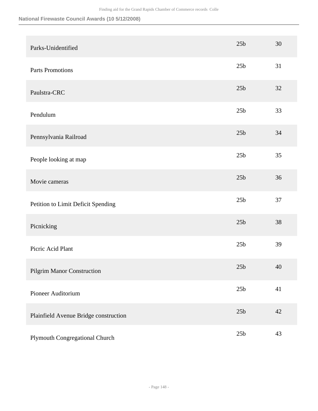| Parks-Unidentified                    | 25 <sub>b</sub> | 30 |
|---------------------------------------|-----------------|----|
| <b>Parts Promotions</b>               | 25 <sub>b</sub> | 31 |
| Paulstra-CRC                          | 25 <sub>b</sub> | 32 |
| Pendulum                              | 25 <sub>b</sub> | 33 |
| Pennsylvania Railroad                 | 25 <sub>b</sub> | 34 |
| People looking at map                 | 25 <sub>b</sub> | 35 |
| Movie cameras                         | 25 <sub>b</sub> | 36 |
| Petition to Limit Deficit Spending    | 25 <sub>b</sub> | 37 |
| Picnicking                            | 25 <sub>b</sub> | 38 |
| Picric Acid Plant                     | 25 <sub>b</sub> | 39 |
| <b>Pilgrim Manor Construction</b>     | 25 <sub>b</sub> | 40 |
| Pioneer Auditorium                    | 25 <sub>b</sub> | 41 |
| Plainfield Avenue Bridge construction | 25 <sub>b</sub> | 42 |
| Plymouth Congregational Church        | 25 <sub>b</sub> | 43 |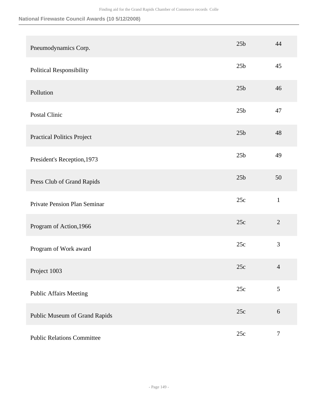| Pneumodynamics Corp.              | 25 <sub>b</sub> | 44             |
|-----------------------------------|-----------------|----------------|
| <b>Political Responsibility</b>   | 25 <sub>b</sub> | 45             |
| Pollution                         | 25 <sub>b</sub> | 46             |
| Postal Clinic                     | 25 <sub>b</sub> | 47             |
| <b>Practical Politics Project</b> | 25 <sub>b</sub> | 48             |
| President's Reception, 1973       | 25 <sub>b</sub> | 49             |
| Press Club of Grand Rapids        | 25 <sub>b</sub> | 50             |
| Private Pension Plan Seminar      | 25c             | $\mathbf{1}$   |
| Program of Action, 1966           | 25c             | $\overline{2}$ |
| Program of Work award             | 25c             | 3              |
| Project 1003                      | 25c             | $\overline{4}$ |
| <b>Public Affairs Meeting</b>     | 25c             | 5              |
| Public Museum of Grand Rapids     | 25c             | $6\,$          |
| <b>Public Relations Committee</b> | 25c             | $\tau$         |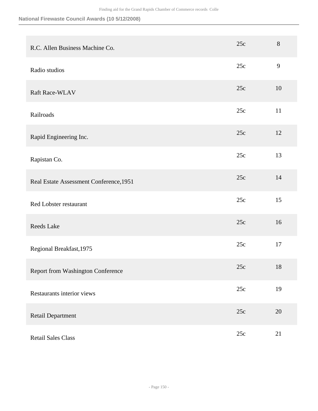| R.C. Allen Business Machine Co.         | 25c | 8      |
|-----------------------------------------|-----|--------|
| Radio studios                           | 25c | 9      |
| Raft Race-WLAV                          | 25c | 10     |
| Railroads                               | 25c | 11     |
| Rapid Engineering Inc.                  | 25c | 12     |
| Rapistan Co.                            | 25c | 13     |
| Real Estate Assessment Conference, 1951 | 25c | 14     |
| Red Lobster restaurant                  | 25c | 15     |
| Reeds Lake                              | 25c | 16     |
| Regional Breakfast, 1975                | 25c | 17     |
| Report from Washington Conference       | 25c | 18     |
| Restaurants interior views              | 25c | 19     |
| Retail Department                       | 25c | $20\,$ |
| <b>Retail Sales Class</b>               | 25c | 21     |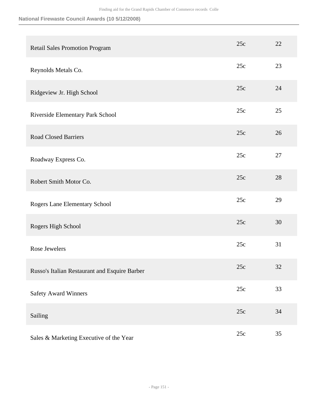| <b>Retail Sales Promotion Program</b>         | 25c | 22 |
|-----------------------------------------------|-----|----|
| Reynolds Metals Co.                           | 25c | 23 |
| Ridgeview Jr. High School                     | 25c | 24 |
| Riverside Elementary Park School              | 25c | 25 |
| <b>Road Closed Barriers</b>                   | 25c | 26 |
| Roadway Express Co.                           | 25c | 27 |
| Robert Smith Motor Co.                        | 25c | 28 |
| Rogers Lane Elementary School                 | 25c | 29 |
| Rogers High School                            | 25c | 30 |
| Rose Jewelers                                 | 25c | 31 |
| Russo's Italian Restaurant and Esquire Barber | 25c | 32 |
| <b>Safety Award Winners</b>                   | 25c | 33 |
| Sailing                                       | 25c | 34 |
| Sales & Marketing Executive of the Year       | 25c | 35 |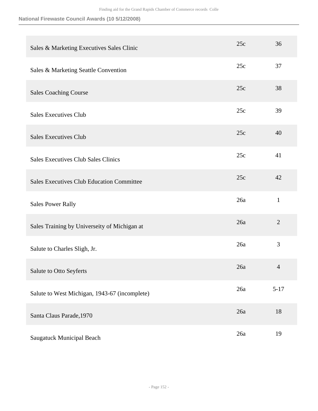| Sales & Marketing Executives Sales Clinic        | 25c | 36             |
|--------------------------------------------------|-----|----------------|
| Sales & Marketing Seattle Convention             | 25c | 37             |
| <b>Sales Coaching Course</b>                     | 25c | 38             |
| <b>Sales Executives Club</b>                     | 25c | 39             |
| <b>Sales Executives Club</b>                     | 25c | 40             |
| <b>Sales Executives Club Sales Clinics</b>       | 25c | 41             |
| <b>Sales Executives Club Education Committee</b> | 25c | 42             |
| <b>Sales Power Rally</b>                         | 26a | $\mathbf{1}$   |
| Sales Training by Universeity of Michigan at     | 26a | $\overline{2}$ |
| Salute to Charles Sligh, Jr.                     | 26a | 3              |
| Salute to Otto Seyferts                          | 26a | $\overline{4}$ |
| Salute to West Michigan, 1943-67 (incomplete)    | 26a | $5 - 17$       |
| Santa Claus Parade, 1970                         | 26a | 18             |
| <b>Saugatuck Municipal Beach</b>                 | 26a | 19             |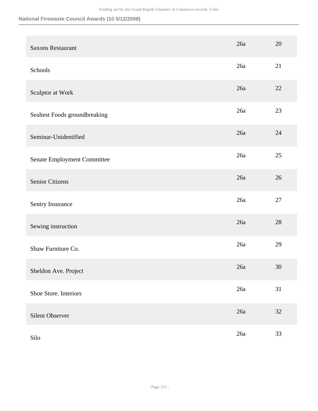| <b>Saxons Restaurant</b>      | 26a   | 20     |
|-------------------------------|-------|--------|
| Schools                       | 26a   | 21     |
| Sculptor at Work              | 26a   | 22     |
| Sealtest Foods groundbreaking | 26a   | 23     |
| Seminar-Unidentified          | 26a   | 24     |
| Senate Employment Committee   | 26a   | 25     |
| Senior Citizens               | 26a   | 26     |
| Sentry Insurance              | 26a   | 27     |
| Sewing instruction            | 26a   | 28     |
| Shaw Furniture Co.            | 26a   | 29     |
| Sheldon Ave. Project          | 26a   | $30\,$ |
| Shoe Store. Interiors         | $26a$ | 31     |
| Silent Observer               | 26a   | $32\,$ |
| Silo                          | 26a   | 33     |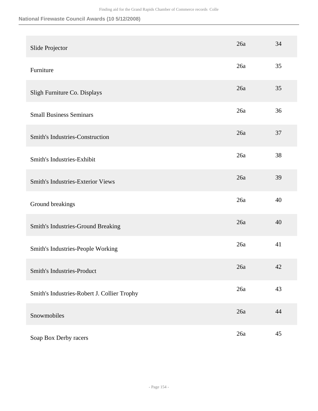| Slide Projector                             | 26a | 34     |
|---------------------------------------------|-----|--------|
| Furniture                                   | 26a | 35     |
| Sligh Furniture Co. Displays                | 26a | 35     |
| <b>Small Business Seminars</b>              | 26a | 36     |
| Smith's Industries-Construction             | 26a | 37     |
| Smith's Industries-Exhibit                  | 26a | 38     |
| <b>Smith's Industries-Exterior Views</b>    | 26a | 39     |
| Ground breakings                            | 26a | 40     |
| Smith's Industries-Ground Breaking          | 26a | 40     |
| Smith's Industries-People Working           | 26a | 41     |
| <b>Smith's Industries-Product</b>           | 26a | 42     |
| Smith's Industries-Robert J. Collier Trophy | 26a | 43     |
| Snowmobiles                                 | 26a | 44     |
| Soap Box Derby racers                       | 26a | $45\,$ |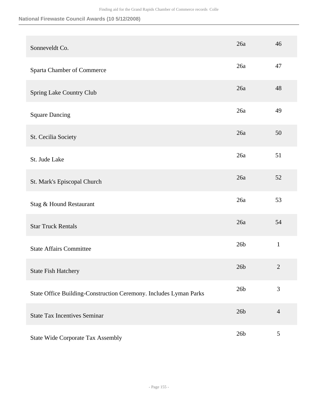| Sonneveldt Co.                                                    | 26a             | 46             |
|-------------------------------------------------------------------|-----------------|----------------|
| Sparta Chamber of Commerce                                        | 26a             | 47             |
| Spring Lake Country Club                                          | 26a             | 48             |
| <b>Square Dancing</b>                                             | 26a             | 49             |
| St. Cecilia Society                                               | 26a             | 50             |
| St. Jude Lake                                                     | 26a             | 51             |
| St. Mark's Episcopal Church                                       | 26a             | 52             |
| Stag & Hound Restaurant                                           | 26a             | 53             |
| <b>Star Truck Rentals</b>                                         | 26a             | 54             |
| <b>State Affairs Committee</b>                                    | 26 <sub>b</sub> | $\mathbf{1}$   |
| <b>State Fish Hatchery</b>                                        | 26 <sub>b</sub> | $\overline{2}$ |
| State Office Building-Construction Ceremony. Includes Lyman Parks | 26 <sub>b</sub> | $\mathfrak{Z}$ |
| <b>State Tax Incentives Seminar</b>                               | 26 <sub>b</sub> | $\overline{4}$ |
| <b>State Wide Corporate Tax Assembly</b>                          | 26 <sub>b</sub> | 5              |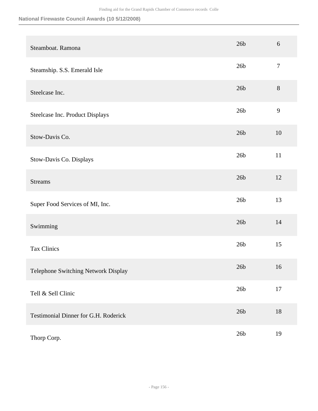| Steamboat. Ramona                    | 26 <sub>b</sub> | 6              |
|--------------------------------------|-----------------|----------------|
| Steamship. S.S. Emerald Isle         | 26 <sub>b</sub> | $\overline{7}$ |
| Steelcase Inc.                       | 26 <sub>b</sub> | $8\,$          |
| Steelcase Inc. Product Displays      | 26 <sub>b</sub> | $\mathbf{9}$   |
| Stow-Davis Co.                       | 26 <sub>b</sub> | 10             |
| Stow-Davis Co. Displays              | 26 <sub>b</sub> | 11             |
| <b>Streams</b>                       | 26 <sub>b</sub> | 12             |
| Super Food Services of MI, Inc.      | 26 <sub>b</sub> | 13             |
| Swimming                             | 26 <sub>b</sub> | 14             |
| <b>Tax Clinics</b>                   | 26 <sub>b</sub> | 15             |
| Telephone Switching Network Display  | 26 <sub>b</sub> | 16             |
| Tell & Sell Clinic                   | 26 <sub>b</sub> | 17             |
| Testimonial Dinner for G.H. Roderick | 26 <sub>b</sub> | 18             |
| Thorp Corp.                          | 26 <sub>b</sub> | 19             |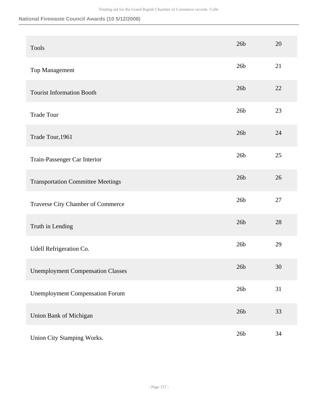| <b>Tools</b>                             | 26 <sub>b</sub> | 20 |
|------------------------------------------|-----------------|----|
| Top Management                           | 26 <sub>b</sub> | 21 |
| <b>Tourist Information Booth</b>         | 26 <sub>b</sub> | 22 |
| <b>Trade Tour</b>                        | 26 <sub>b</sub> | 23 |
| Trade Tour, 1961                         | 26 <sub>b</sub> | 24 |
| Train-Passenger Car Interior             | 26 <sub>b</sub> | 25 |
| <b>Transportation Committee Meetings</b> | 26 <sub>b</sub> | 26 |
| Traverse City Chamber of Commerce        | 26 <sub>b</sub> | 27 |
| Truth in Lending                         | 26 <sub>b</sub> | 28 |
| Udell Refrigeration Co.                  | 26 <sub>b</sub> | 29 |
| <b>Unemployment Compensation Classes</b> | 26 <sub>b</sub> | 30 |
| <b>Unemployment Compensation Forum</b>   | 26 <sub>b</sub> | 31 |
| Union Bank of Michigan                   | 26 <sub>b</sub> | 33 |
| Union City Stamping Works.               | 26 <sub>b</sub> | 34 |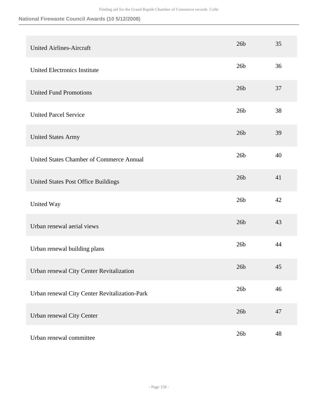|                                                 | 26 <sub>b</sub> | 35 |
|-------------------------------------------------|-----------------|----|
| <b>United Airlines-Aircraft</b>                 |                 |    |
| United Electronics Institute                    | 26 <sub>b</sub> | 36 |
| <b>United Fund Promotions</b>                   | 26 <sub>b</sub> | 37 |
| <b>United Parcel Service</b>                    | 26 <sub>b</sub> | 38 |
| <b>United States Army</b>                       | 26 <sub>b</sub> | 39 |
| <b>United States Chamber of Commerce Annual</b> | 26 <sub>b</sub> | 40 |
| United States Post Office Buildings             | 26 <sub>b</sub> | 41 |
| United Way                                      | 26 <sub>b</sub> | 42 |
| Urban renewal aerial views                      | 26 <sub>b</sub> | 43 |
| Urban renewal building plans                    | 26 <sub>b</sub> | 44 |
| Urban renewal City Center Revitalization        | 26 <sub>b</sub> | 45 |
| Urban renewal City Center Revitalization-Park   | 26 <sub>b</sub> | 46 |
| Urban renewal City Center                       | 26 <sub>b</sub> | 47 |
| Urban renewal committee                         | 26 <sub>b</sub> | 48 |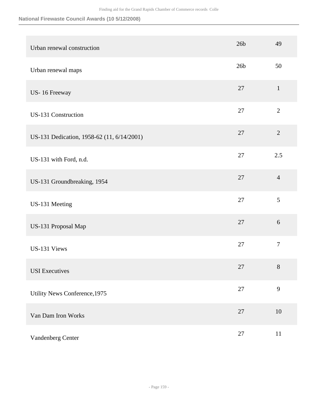| Urban renewal construction                 | 26 <sub>b</sub> | 49             |
|--------------------------------------------|-----------------|----------------|
| Urban renewal maps                         | 26 <sub>b</sub> | 50             |
| US-16 Freeway                              | 27              | $\mathbf{1}$   |
| <b>US-131 Construction</b>                 | 27              | $\overline{2}$ |
| US-131 Dedication, 1958-62 (11, 6/14/2001) | 27              | $\overline{2}$ |
| US-131 with Ford, n.d.                     | 27              | 2.5            |
| US-131 Groundbreaking, 1954                | 27              | $\overline{4}$ |
| US-131 Meeting                             | 27              | 5              |
| US-131 Proposal Map                        | 27              | 6              |
| US-131 Views                               | 27              | $\tau$         |
| <b>USI</b> Executives                      | 27              | $8\,$          |
| Utility News Conference, 1975              | $27\,$          | 9              |
| Van Dam Iron Works                         | 27              | $10\,$         |
| Vandenberg Center                          | $27\,$          | 11             |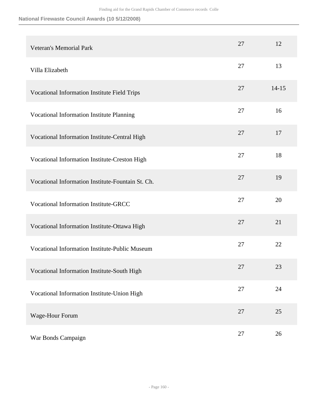| <b>Veteran's Memorial Park</b>                        | 27 | 12        |
|-------------------------------------------------------|----|-----------|
| Villa Elizabeth                                       | 27 | 13        |
| Vocational Information Institute Field Trips          | 27 | $14 - 15$ |
| Vocational Information Institute Planning             | 27 | 16        |
| Vocational Information Institute-Central High         | 27 | 17        |
| Vocational Information Institute-Creston High         | 27 | 18        |
| Vocational Information Institute-Fountain St. Ch.     | 27 | 19        |
| <b>Vocational Information Institute-GRCC</b>          | 27 | 20        |
| Vocational Information Institute-Ottawa High          | 27 | 21        |
| <b>Vocational Information Institute-Public Museum</b> | 27 | 22        |
| Vocational Information Institute-South High           | 27 | 23        |
| Vocational Information Institute-Union High           | 27 | 24        |
| Wage-Hour Forum                                       | 27 | 25        |
| War Bonds Campaign                                    | 27 | 26        |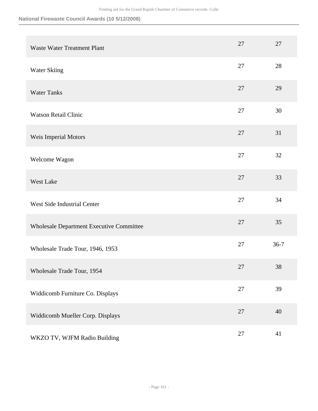| <b>Waste Water Treatment Plant</b>       | 27 | 27       |
|------------------------------------------|----|----------|
| Water Skiing                             | 27 | 28       |
| <b>Water Tanks</b>                       | 27 | 29       |
| <b>Watson Retail Clinic</b>              | 27 | 30       |
| Weis Imperial Motors                     | 27 | 31       |
| Welcome Wagon                            | 27 | 32       |
| West Lake                                | 27 | 33       |
| West Side Industrial Center              | 27 | 34       |
| Wholesale Department Executive Committee | 27 | 35       |
| Wholesale Trade Tour, 1946, 1953         | 27 | $36 - 7$ |
| Wholesale Trade Tour, 1954               | 27 | 38       |
| Widdicomb Furniture Co. Displays         | 27 | 39       |
| Widdicomb Mueller Corp. Displays         | 27 | 40       |
| WKZO TV, WJFM Radio Building             | 27 | 41       |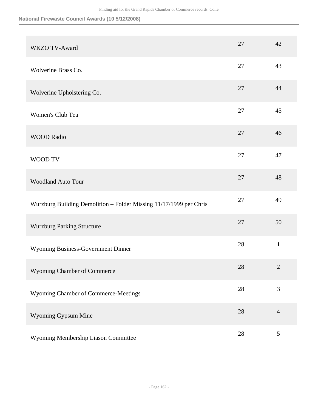| WKZO TV-Award                                                      | 27     | 42             |
|--------------------------------------------------------------------|--------|----------------|
| Wolverine Brass Co.                                                | 27     | 43             |
| Wolverine Upholstering Co.                                         | 27     | 44             |
| Women's Club Tea                                                   | 27     | 45             |
| <b>WOOD Radio</b>                                                  | 27     | 46             |
| WOOD TV                                                            | 27     | 47             |
| <b>Woodland Auto Tour</b>                                          | 27     | 48             |
| Wurzburg Building Demolition - Folder Missing 11/17/1999 per Chris | 27     | 49             |
| <b>Wurzburg Parking Structure</b>                                  | 27     | 50             |
| Wyoming Business-Government Dinner                                 | 28     | $\mathbf{1}$   |
| Wyoming Chamber of Commerce                                        | $28\,$ | $\mathbf{2}$   |
| Wyoming Chamber of Commerce-Meetings                               | 28     | 3              |
| Wyoming Gypsum Mine                                                | 28     | $\overline{4}$ |
| Wyoming Membership Liason Committee                                | $28\,$ | $\mathfrak{S}$ |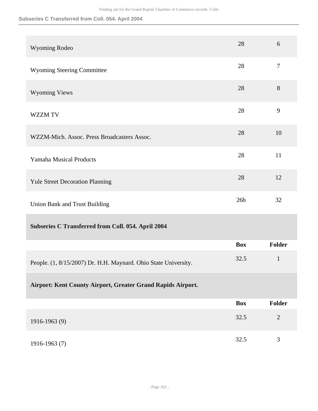#### **Subseries C Transferred from Coll. 054. April 2004**

| Wyoming Rodeo                                                   | 28              | 6              |
|-----------------------------------------------------------------|-----------------|----------------|
| <b>Wyoming Steering Committee</b>                               | 28              | $\tau$         |
| <b>Wyoming Views</b>                                            | 28              | 8              |
| <b>WZZM TV</b>                                                  | 28              | 9              |
| WZZM-Mich. Assoc. Press Broadcasters Assoc.                     | 28              | 10             |
| <b>Yamaha Musical Products</b>                                  | 28              | 11             |
| <b>Yule Street Decoration Planning</b>                          | 28              | 12             |
| Union Bank and Trust Building                                   | 26 <sub>b</sub> | 32             |
| Subseries C Transferred from Coll. 054. April 2004              |                 |                |
|                                                                 | <b>Box</b>      | <b>Folder</b>  |
| People. (1, 8/15/2007) Dr. H.H. Maynard. Ohio State University. | 32.5            | $\mathbf{1}$   |
| Airport: Kent County Airport, Greater Grand Rapids Airport.     |                 |                |
|                                                                 | <b>Box</b>      | <b>Folder</b>  |
| 1916-1963 (9)                                                   | 32.5            | $\overline{2}$ |
| 1916-1963 (7)                                                   | 32.5            | 3              |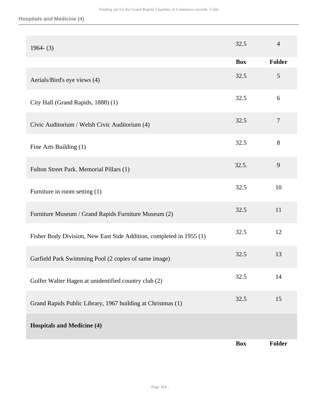#### **Hospitals and Medicine (4)**

| $1964 - (3)$                                                        | 32.5       | $\overline{4}$ |
|---------------------------------------------------------------------|------------|----------------|
|                                                                     | <b>Box</b> | Folder         |
| Aerials/Bird's eye views (4)                                        | 32.5       | 5              |
| City Hall (Grand Rapids, 1888) (1)                                  | 32.5       | 6              |
| Civic Auditorium / Welsh Civic Auditorium (4)                       | 32.5       | $\overline{7}$ |
| Fine Arts Building (1)                                              | 32.5       | 8              |
| Fulton Street Park. Memorial Pillars (1)                            | 32.5.      | 9              |
| Furniture in room setting (1)                                       | 32.5       | 10             |
| Furniture Museum / Grand Rapids Furniture Museum (2)                | 32.5       | 11             |
| Fisher Body Division, New East Side Addition, completed in 1955 (1) | 32.5       | 12             |
| Garfield Park Swimming Pool (2 copies of same image)                | 32.5       | 13             |
| Golfer Walter Hagen at unidentified country club (2)                | 32.5       | 14             |
| Grand Rapids Public Library, 1967 building at Christmas (1)         | 32.5       | 15             |
| <b>Hospitals and Medicine (4)</b>                                   |            |                |
|                                                                     | <b>Box</b> | <b>Folder</b>  |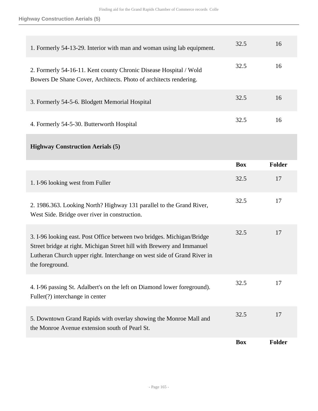| 1. Formerly 54-13-29. Interior with man and woman using lab equipment.                                                                                                                                                                         | 32.5       | 16            |
|------------------------------------------------------------------------------------------------------------------------------------------------------------------------------------------------------------------------------------------------|------------|---------------|
| 2. Formerly 54-16-11. Kent county Chronic Disease Hospital / Wold<br>Bowers De Shane Cover, Architects. Photo of architects rendering.                                                                                                         | 32.5       | 16            |
| 3. Formerly 54-5-6. Blodgett Memorial Hospital                                                                                                                                                                                                 | 32.5       | 16            |
| 4. Formerly 54-5-30. Butterworth Hospital                                                                                                                                                                                                      | 32.5       | 16            |
| <b>Highway Construction Aerials (5)</b>                                                                                                                                                                                                        |            |               |
|                                                                                                                                                                                                                                                | <b>Box</b> | <b>Folder</b> |
| 1. I-96 looking west from Fuller                                                                                                                                                                                                               | 32.5       | 17            |
| 2. 1986.363. Looking North? Highway 131 parallel to the Grand River,<br>West Side. Bridge over river in construction.                                                                                                                          | 32.5       | 17            |
| 3. I-96 looking east. Post Office between two bridges. Michigan/Bridge<br>Street bridge at right. Michigan Street hill with Brewery and Immanuel<br>Lutheran Church upper right. Interchange on west side of Grand River in<br>the foreground. | 32.5       | 17            |
| 4. I-96 passing St. Adalbert's on the left on Diamond lower foreground).<br>Fuller(?) interchange in center                                                                                                                                    | 32.5       | 17            |
| 5. Downtown Grand Rapids with overlay showing the Monroe Mall and<br>the Monroe Avenue extension south of Pearl St.                                                                                                                            | 32.5       | 17            |
|                                                                                                                                                                                                                                                | <b>Box</b> | <b>Folder</b> |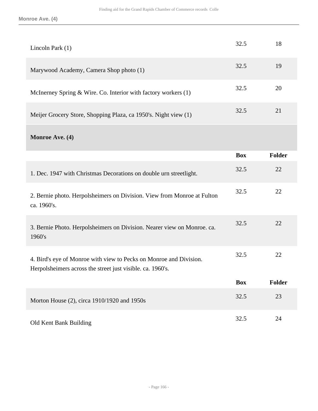| Lincoln Park (1)                                                                                                                 | 32.5       | 18            |
|----------------------------------------------------------------------------------------------------------------------------------|------------|---------------|
| Marywood Academy, Camera Shop photo (1)                                                                                          | 32.5       | 19            |
| McInerney Spring & Wire. Co. Interior with factory workers (1)                                                                   | 32.5       | 20            |
| Meijer Grocery Store, Shopping Plaza, ca 1950's. Night view (1)                                                                  | 32.5       | 21            |
| Monroe Ave. (4)                                                                                                                  |            |               |
|                                                                                                                                  | <b>Box</b> | <b>Folder</b> |
| 1. Dec. 1947 with Christmas Decorations on double urn streetlight.                                                               | 32.5       | 22            |
| 2. Bernie photo. Herpolsheimers on Division. View from Monroe at Fulton<br>ca. 1960's.                                           | 32.5       | 22            |
| 3. Bernie Photo. Herpolsheimers on Division. Nearer view on Monroe. ca.<br>1960's                                                | 32.5       | 22            |
| 4. Bird's eye of Monroe with view to Pecks on Monroe and Division.<br>Herpolsheimers across the street just visible. ca. 1960's. | 32.5       | 22            |
|                                                                                                                                  | <b>Box</b> | Folder        |
| Morton House (2), circa 1910/1920 and 1950s                                                                                      | 32.5       | 23            |
| Old Kent Bank Building                                                                                                           | 32.5       | 24            |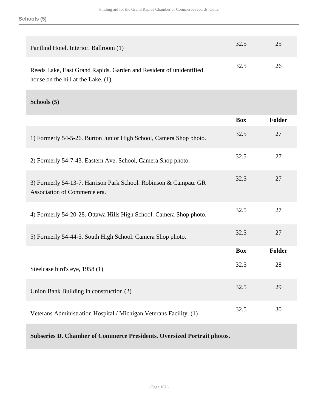| Pantlind Hotel. Interior. Ballroom (1)                             | 32.5 | 25 |
|--------------------------------------------------------------------|------|----|
| Reeds Lake, East Grand Rapids. Garden and Resident of unidentified | 32.5 | 26 |
| house on the hill at the Lake. $(1)$                               |      |    |

### **Schools (5)**

|                                                                                                  | <b>Box</b> | Folder        |
|--------------------------------------------------------------------------------------------------|------------|---------------|
| 1) Formerly 54-5-26. Burton Junior High School, Camera Shop photo.                               | 32.5       | 27            |
| 2) Formerly 54-7-43. Eastern Ave. School, Camera Shop photo.                                     | 32.5       | 27            |
| 3) Formerly 54-13-7. Harrison Park School. Robinson & Campau. GR<br>Association of Commerce era. | 32.5       | 27            |
| 4) Formerly 54-20-28. Ottawa Hills High School. Camera Shop photo.                               | 32.5       | 27            |
| 5) Formerly 54-44-5. South High School. Camera Shop photo.                                       | 32.5       | 27            |
|                                                                                                  | <b>Box</b> | <b>Folder</b> |
| Steelcase bird's eye, 1958 (1)                                                                   | 32.5       | 28            |
| Union Bank Building in construction (2)                                                          | 32.5       | 29            |
| Veterans Administration Hospital / Michigan Veterans Facility. (1)                               | 32.5       | 30            |

## **Subseries D. Chamber of Commerce Presidents. Oversized Portrait photos.**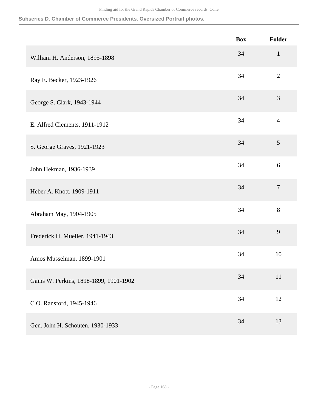# **Subseries D. Chamber of Commerce Presidents. Oversized Portrait photos.**

|                                        | <b>Box</b> | <b>Folder</b>  |
|----------------------------------------|------------|----------------|
| William H. Anderson, 1895-1898         | 34         | $\mathbf{1}$   |
| Ray E. Becker, 1923-1926               | 34         | $\overline{2}$ |
| George S. Clark, 1943-1944             | 34         | 3              |
| E. Alfred Clements, 1911-1912          | 34         | $\overline{4}$ |
| S. George Graves, 1921-1923            | 34         | 5              |
| John Hekman, 1936-1939                 | 34         | 6              |
| Heber A. Knott, 1909-1911              | 34         | $\tau$         |
| Abraham May, 1904-1905                 | 34         | 8              |
| Frederick H. Mueller, 1941-1943        | 34         | 9              |
| Amos Musselman, 1899-1901              | 34         | 10             |
| Gains W. Perkins, 1898-1899, 1901-1902 | 34         | 11             |
| C.O. Ransford, 1945-1946               | 34         | 12             |
| Gen. John H. Schouten, 1930-1933       | 34         | 13             |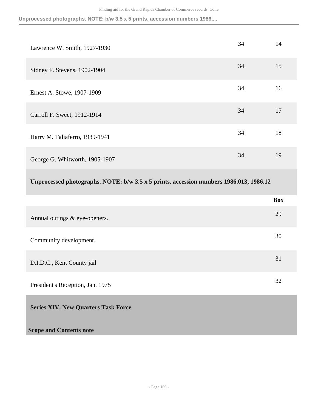**Unprocessed photographs. NOTE: b/w 3.5 x 5 prints, accession numbers 1986....**

| Lawrence W. Smith, 1927-1930   | 34 | 14 |
|--------------------------------|----|----|
| Sidney F. Stevens, 1902-1904   | 34 | 15 |
| Ernest A. Stowe, 1907-1909     | 34 | 16 |
| Carroll F. Sweet, 1912-1914    | 34 | 17 |
| Harry M. Taliaferro, 1939-1941 | 34 | 18 |
| George G. Whitworth, 1905-1907 | 34 | 19 |

## **Unprocessed photographs. NOTE: b/w 3.5 x 5 prints, accession numbers 1986.013, 1986.12**

|                                            | <b>Box</b> |
|--------------------------------------------|------------|
| Annual outings & eye-openers.              | 29         |
| Community development.                     | 30         |
| D.I.D.C., Kent County jail                 | 31         |
| President's Reception, Jan. 1975           | 32         |
| <b>Series XIV. New Quarters Task Force</b> |            |
| <b>Scope and Contents note</b>             |            |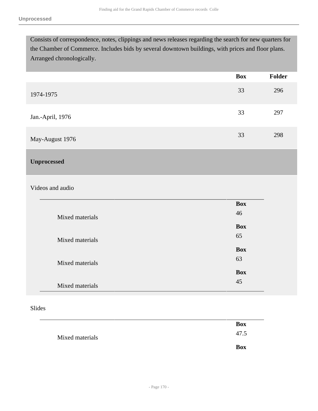Consists of correspondence, notes, clippings and news releases regarding the search for new quarters for the Chamber of Commerce. Includes bids by several downtown buildings, with prices and floor plans. Arranged chronologically.

|                  | <b>Box</b> | Folder |
|------------------|------------|--------|
| 1974-1975        | 33         | 296    |
| Jan.-April, 1976 | 33         | 297    |
| May-August 1976  | 33         | 298    |

### **Unprocessed**

#### Videos and audio

|                 | <b>Box</b> |
|-----------------|------------|
| Mixed materials | 46         |
|                 | <b>Box</b> |
| Mixed materials | 65         |
|                 | <b>Box</b> |
|                 |            |
| Mixed materials | 63         |
|                 | <b>Box</b> |
| Mixed materials | 45         |
|                 |            |

#### Slides

|                 |  | <b>Box</b> |
|-----------------|--|------------|
| Mixed materials |  | 47.5       |
|                 |  | <b>Box</b> |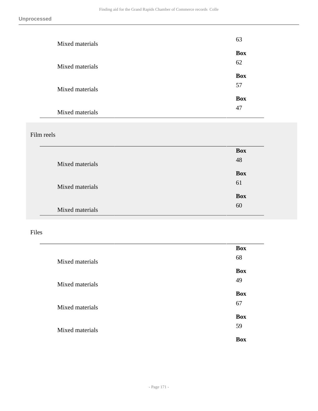| Mixed materials | 63               |
|-----------------|------------------|
| Mixed materials | <b>Box</b><br>62 |
|                 | <b>Box</b><br>57 |
| Mixed materials | <b>Box</b>       |
| Mixed materials | 47               |

## Film reels

|                 | <b>Box</b> |
|-----------------|------------|
| Mixed materials | 48         |
|                 | <b>Box</b> |
| Mixed materials | 61         |
|                 | <b>Box</b> |
| Mixed materials | 60         |

## Files

|                 | <b>Box</b> |
|-----------------|------------|
| Mixed materials | 68         |
|                 | <b>Box</b> |
|                 | 49         |
| Mixed materials |            |
|                 | <b>Box</b> |
| Mixed materials | 67         |
|                 | <b>Box</b> |
|                 | 59         |
| Mixed materials |            |
|                 | <b>Box</b> |